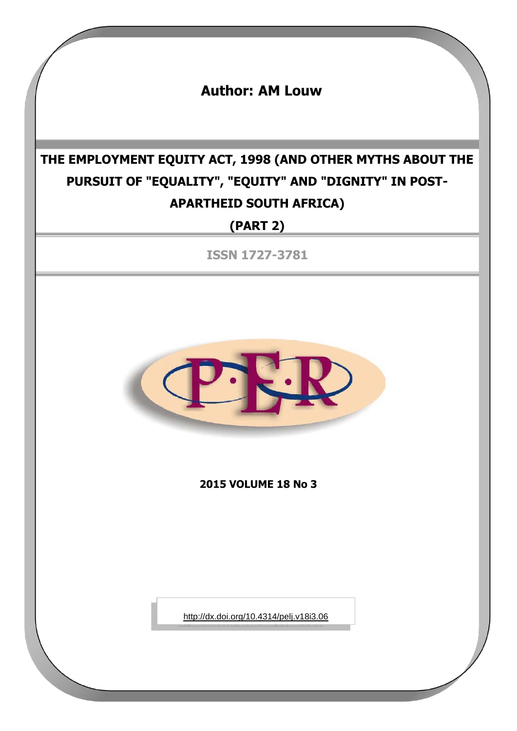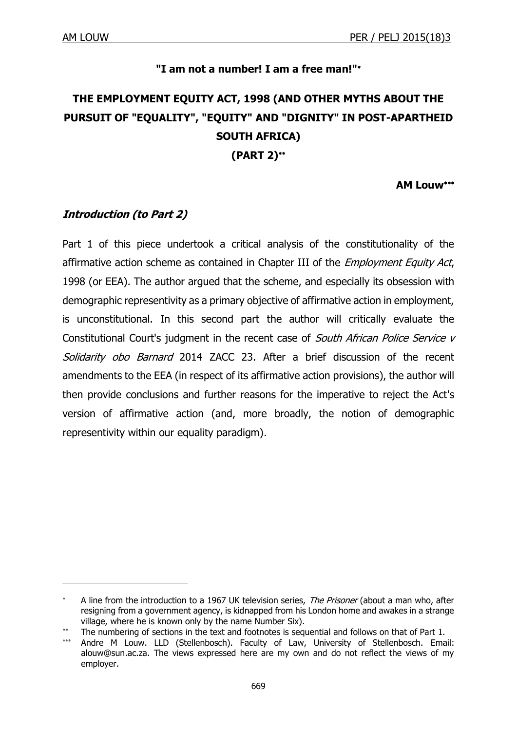## **"I am not a number! I am a free man!"**

# **THE EMPLOYMENT EQUITY ACT, 1998 (AND OTHER MYTHS ABOUT THE PURSUIT OF "EQUALITY", "EQUITY" AND "DIGNITY" IN POST-APARTHEID SOUTH AFRICA) (PART 2)**

## **AM Louw**

## **Introduction (to Part 2)**

Part 1 of this piece undertook a critical analysis of the constitutionality of the affirmative action scheme as contained in Chapter III of the *Employment Equity Act.* 1998 (or EEA). The author argued that the scheme, and especially its obsession with demographic representivity as a primary objective of affirmative action in employment, is unconstitutional. In this second part the author will critically evaluate the Constitutional Court's judgment in the recent case of South African Police Service v Solidarity obo Barnard 2014 ZACC 23. After a brief discussion of the recent amendments to the EEA (in respect of its affirmative action provisions), the author will then provide conclusions and further reasons for the imperative to reject the Act's version of affirmative action (and, more broadly, the notion of demographic representivity within our equality paradigm).

A line from the introduction to a 1967 UK television series, The Prisoner (about a man who, after resigning from a government agency, is kidnapped from his London home and awakes in a strange village, where he is known only by the name Number Six).

<sup>\*\*</sup> The numbering of sections in the text and footnotes is sequential and follows on that of Part 1.

<sup>\*\*\*</sup> Andre M Louw. LLD (Stellenbosch). Faculty of Law, University of Stellenbosch. Email: alouw@sun.ac.za. The views expressed here are my own and do not reflect the views of my employer.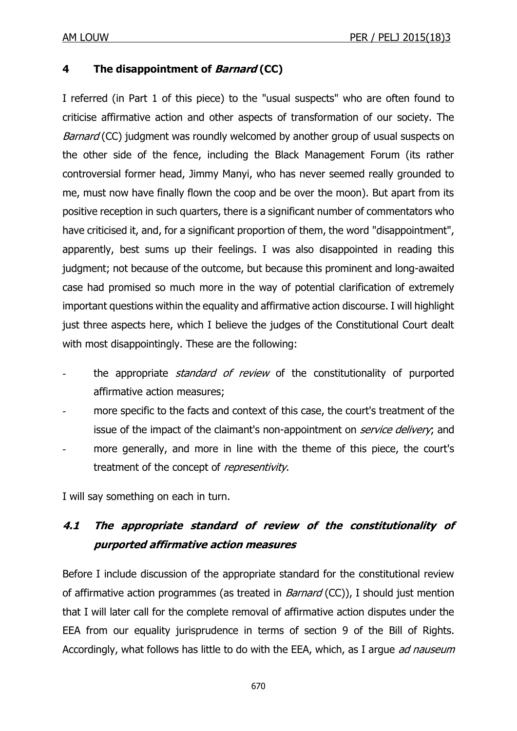## **4 The disappointment of Barnard (CC)**

I referred (in Part 1 of this piece) to the "usual suspects" who are often found to criticise affirmative action and other aspects of transformation of our society. The Barnard (CC) judgment was roundly welcomed by another group of usual suspects on the other side of the fence, including the Black Management Forum (its rather controversial former head, Jimmy Manyi, who has never seemed really grounded to me, must now have finally flown the coop and be over the moon). But apart from its positive reception in such quarters, there is a significant number of commentators who have criticised it, and, for a significant proportion of them, the word "disappointment", apparently, best sums up their feelings. I was also disappointed in reading this judgment; not because of the outcome, but because this prominent and long-awaited case had promised so much more in the way of potential clarification of extremely important questions within the equality and affirmative action discourse. I will highlight just three aspects here, which I believe the judges of the Constitutional Court dealt with most disappointingly. These are the following:

- the appropriate *standard of review* of the constitutionality of purported affirmative action measures;
- more specific to the facts and context of this case, the court's treatment of the issue of the impact of the claimant's non-appointment on *service delivery*; and
- more generally, and more in line with the theme of this piece, the court's treatment of the concept of representivity.

I will say something on each in turn.

# **4.1 The appropriate standard of review of the constitutionality of purported affirmative action measures**

Before I include discussion of the appropriate standard for the constitutional review of affirmative action programmes (as treated in *Barnard* (CC)), I should just mention that I will later call for the complete removal of affirmative action disputes under the EEA from our equality jurisprudence in terms of section 9 of the Bill of Rights. Accordingly, what follows has little to do with the EEA, which, as I argue ad nauseum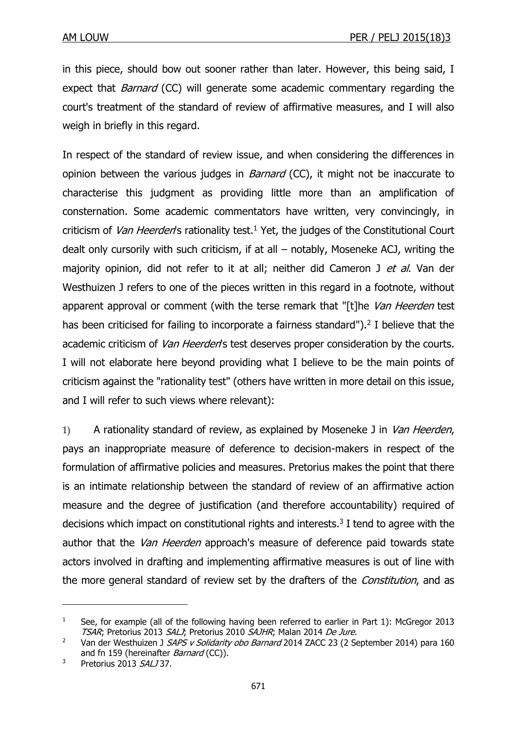in this piece, should bow out sooner rather than later. However, this being said, I expect that *Barnard* (CC) will generate some academic commentary regarding the court's treatment of the standard of review of affirmative measures, and I will also weigh in briefly in this regard.

In respect of the standard of review issue, and when considering the differences in opinion between the various judges in *Barnard* (CC), it might not be inaccurate to characterise this judgment as providing little more than an amplification of consternation. Some academic commentators have written, very convincingly, in criticism of *Van Heerden's* rationality test.<sup>1</sup> Yet, the judges of the Constitutional Court dealt only cursorily with such criticism, if at all – notably, Moseneke ACJ, writing the majority opinion, did not refer to it at all; neither did Cameron J et al. Van der Westhuizen J refers to one of the pieces written in this regard in a footnote, without apparent approval or comment (with the terse remark that "[t]he Van Heerden test has been criticised for failing to incorporate a fairness standard").<sup>2</sup> I believe that the academic criticism of Van Heerden's test deserves proper consideration by the courts. I will not elaborate here beyond providing what I believe to be the main points of criticism against the "rationality test" (others have written in more detail on this issue, and I will refer to such views where relevant):

1) A rationality standard of review, as explained by Moseneke J in Van Heerden, pays an inappropriate measure of deference to decision-makers in respect of the formulation of affirmative policies and measures. Pretorius makes the point that there is an intimate relationship between the standard of review of an affirmative action measure and the degree of justification (and therefore accountability) required of decisions which impact on constitutional rights and interests.<sup>3</sup> I tend to agree with the author that the *Van Heerden* approach's measure of deference paid towards state actors involved in drafting and implementing affirmative measures is out of line with the more general standard of review set by the drafters of the *Constitution*, and as

<sup>&</sup>lt;sup>1</sup> See, for example (all of the following having been referred to earlier in Part 1): McGregor 2013 TSAR; Pretorius 2013 SALJ; Pretorius 2010 SAJHR; Malan 2014 De Jure.

<sup>&</sup>lt;sup>2</sup> Van der Westhuizen J SAPS v Solidarity obo Barnard 2014 ZACC 23 (2 September 2014) para 160 and fn 159 (hereinafter *Barnard* (CC)).

<sup>&</sup>lt;sup>3</sup> Pretorius 2013 *SALJ* 37.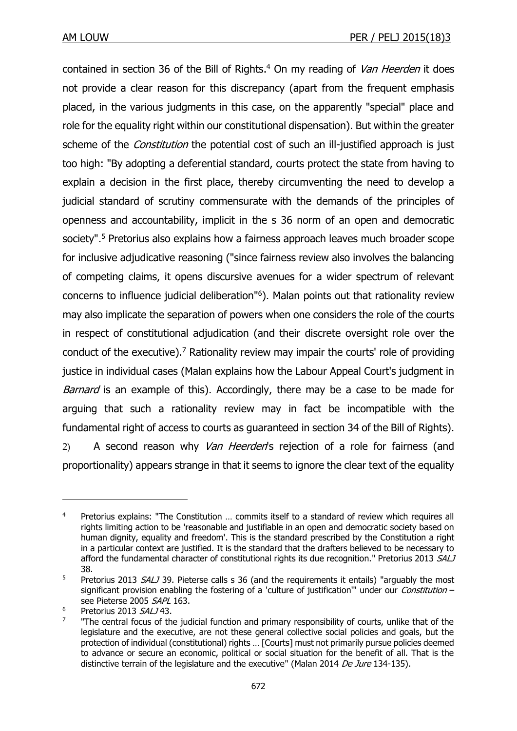contained in section 36 of the Bill of Rights.<sup>4</sup> On my reading of Van Heerden it does not provide a clear reason for this discrepancy (apart from the frequent emphasis placed, in the various judgments in this case, on the apparently "special" place and role for the equality right within our constitutional dispensation). But within the greater scheme of the *Constitution* the potential cost of such an ill-justified approach is just too high: "By adopting a deferential standard, courts protect the state from having to explain a decision in the first place, thereby circumventing the need to develop a judicial standard of scrutiny commensurate with the demands of the principles of openness and accountability, implicit in the s 36 norm of an open and democratic society".<sup>5</sup> Pretorius also explains how a fairness approach leaves much broader scope for inclusive adjudicative reasoning ("since fairness review also involves the balancing of competing claims, it opens discursive avenues for a wider spectrum of relevant concerns to influence judicial deliberation" 6 ). Malan points out that rationality review may also implicate the separation of powers when one considers the role of the courts in respect of constitutional adjudication (and their discrete oversight role over the conduct of the executive).<sup>7</sup> Rationality review may impair the courts' role of providing justice in individual cases (Malan explains how the Labour Appeal Court's judgment in Barnard is an example of this). Accordingly, there may be a case to be made for arguing that such a rationality review may in fact be incompatible with the fundamental right of access to courts as guaranteed in section 34 of the Bill of Rights). 2) A second reason why Van Heerderl's rejection of a role for fairness (and proportionality) appears strange in that it seems to ignore the clear text of the equality

<sup>&</sup>lt;sup>4</sup> Pretorius explains: "The Constitution ... commits itself to a standard of review which requires all rights limiting action to be 'reasonable and justifiable in an open and democratic society based on human dignity, equality and freedom'. This is the standard prescribed by the Constitution a right in a particular context are justified. It is the standard that the drafters believed to be necessary to afford the fundamental character of constitutional rights its due recognition." Pretorius 2013 SALJ 38.

<sup>&</sup>lt;sup>5</sup> Pretorius 2013 SALJ 39. Pieterse calls s 36 (and the requirements it entails) "arguably the most significant provision enabling the fostering of a 'culture of justification'" under our Constitution see Pieterse 2005 SAPL 163.

<sup>&</sup>lt;sup>6</sup> Pretorius 2013 SALJ 43.

<sup>7</sup> "The central focus of the judicial function and primary responsibility of courts, unlike that of the legislature and the executive, are not these general collective social policies and goals, but the protection of individual (constitutional) rights … [Courts] must not primarily pursue policies deemed to advance or secure an economic, political or social situation for the benefit of all. That is the distinctive terrain of the legislature and the executive" (Malan 2014 De Jure 134-135).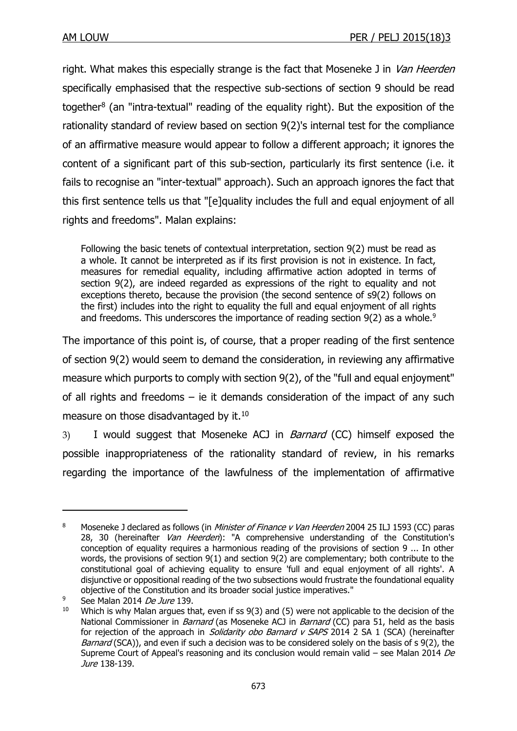right. What makes this especially strange is the fact that Moseneke J in Van Heerden specifically emphasised that the respective sub-sections of section 9 should be read together<sup>8</sup> (an "intra-textual" reading of the equality right). But the exposition of the rationality standard of review based on section 9(2)'s internal test for the compliance of an affirmative measure would appear to follow a different approach; it ignores the content of a significant part of this sub-section, particularly its first sentence (i.e. it fails to recognise an "inter-textual" approach). Such an approach ignores the fact that this first sentence tells us that "[e]quality includes the full and equal enjoyment of all rights and freedoms". Malan explains:

Following the basic tenets of contextual interpretation, section 9(2) must be read as a whole. It cannot be interpreted as if its first provision is not in existence. In fact, measures for remedial equality, including affirmative action adopted in terms of section 9(2), are indeed regarded as expressions of the right to equality and not exceptions thereto, because the provision (the second sentence of s9(2) follows on the first) includes into the right to equality the full and equal enjoyment of all rights and freedoms. This underscores the importance of reading section  $9(2)$  as a whole.<sup>9</sup>

The importance of this point is, of course, that a proper reading of the first sentence of section 9(2) would seem to demand the consideration, in reviewing any affirmative measure which purports to comply with section 9(2), of the "full and equal enjoyment" of all rights and freedoms – ie it demands consideration of the impact of any such measure on those disadvantaged by it.<sup>10</sup>

3) I would suggest that Moseneke ACJ in *Barnard* (CC) himself exposed the possible inappropriateness of the rationality standard of review, in his remarks regarding the importance of the lawfulness of the implementation of affirmative

<sup>8</sup> Moseneke J declared as follows (in *Minister of Finance v Van Heerden* 2004 25 ILJ 1593 (CC) paras 28, 30 (hereinafter Van Heerden): "A comprehensive understanding of the Constitution's conception of equality requires a harmonious reading of the provisions of section 9 ... In other words, the provisions of section 9(1) and section 9(2) are complementary; both contribute to the constitutional goal of achieving equality to ensure 'full and equal enjoyment of all rights'. A disjunctive or oppositional reading of the two subsections would frustrate the foundational equality objective of the Constitution and its broader social justice imperatives."

 $9$  See Malan 2014 De Jure 139.

<sup>&</sup>lt;sup>10</sup> Which is why Malan argues that, even if ss  $9(3)$  and (5) were not applicable to the decision of the National Commissioner in *Barnard* (as Moseneke ACJ in *Barnard* (CC) para 51, held as the basis for rejection of the approach in *Solidarity obo Barnard v SAPS* 2014 2 SA 1 (SCA) (hereinafter Barnard (SCA)), and even if such a decision was to be considered solely on the basis of s 9(2), the Supreme Court of Appeal's reasoning and its conclusion would remain valid – see Malan 2014 De Jure 138-139.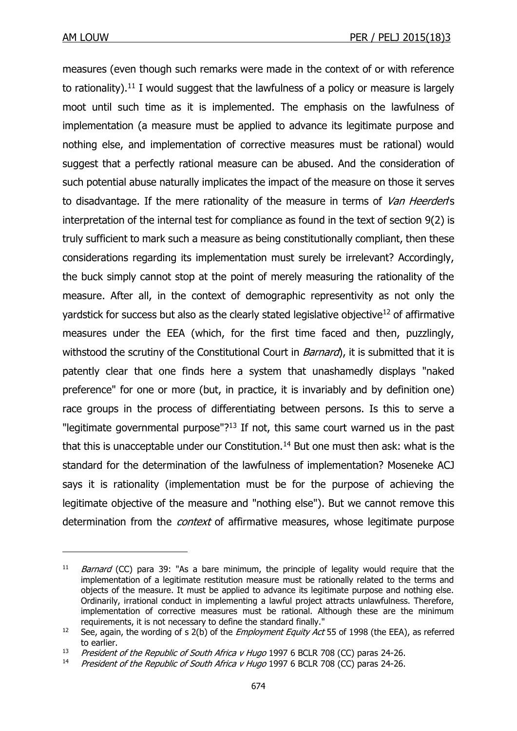measures (even though such remarks were made in the context of or with reference to rationality).<sup>11</sup> I would suggest that the lawfulness of a policy or measure is largely moot until such time as it is implemented. The emphasis on the lawfulness of implementation (a measure must be applied to advance its legitimate purpose and nothing else, and implementation of corrective measures must be rational) would suggest that a perfectly rational measure can be abused. And the consideration of such potential abuse naturally implicates the impact of the measure on those it serves to disadvantage. If the mere rationality of the measure in terms of Van Heerden's interpretation of the internal test for compliance as found in the text of section 9(2) is truly sufficient to mark such a measure as being constitutionally compliant, then these considerations regarding its implementation must surely be irrelevant? Accordingly, the buck simply cannot stop at the point of merely measuring the rationality of the measure. After all, in the context of demographic representivity as not only the yardstick for success but also as the clearly stated legislative objective<sup>12</sup> of affirmative measures under the EEA (which, for the first time faced and then, puzzlingly, withstood the scrutiny of the Constitutional Court in *Barnard*), it is submitted that it is patently clear that one finds here a system that unashamedly displays "naked preference" for one or more (but, in practice, it is invariably and by definition one) race groups in the process of differentiating between persons. Is this to serve a "legitimate governmental purpose"? $13$  If not, this same court warned us in the past that this is unacceptable under our Constitution.<sup>14</sup> But one must then ask: what is the standard for the determination of the lawfulness of implementation? Moseneke ACJ says it is rationality (implementation must be for the purpose of achieving the legitimate objective of the measure and "nothing else"). But we cannot remove this determination from the *context* of affirmative measures, whose legitimate purpose

 $11$  *Barnard* (CC) para 39: "As a bare minimum, the principle of legality would require that the implementation of a legitimate restitution measure must be rationally related to the terms and objects of the measure. It must be applied to advance its legitimate purpose and nothing else. Ordinarily, irrational conduct in implementing a lawful project attracts unlawfulness. Therefore, implementation of corrective measures must be rational. Although these are the minimum requirements, it is not necessary to define the standard finally."

<sup>&</sup>lt;sup>12</sup> See, again, the wording of s 2(b) of the *Employment Equity Act* 55 of 1998 (the EEA), as referred to earlier.

<sup>&</sup>lt;sup>13</sup> President of the Republic of South Africa v Hugo 1997 6 BCLR 708 (CC) paras 24-26.

<sup>&</sup>lt;sup>14</sup> President of the Republic of South Africa v Hugo 1997 6 BCLR 708 (CC) paras 24-26.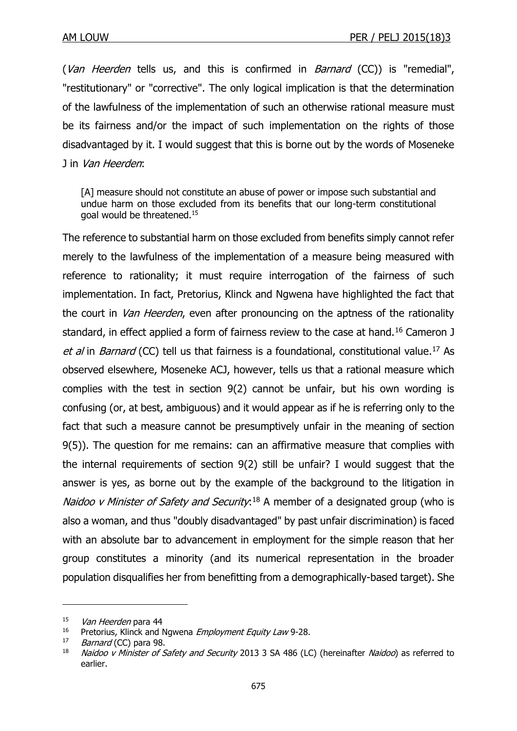(Van Heerden tells us, and this is confirmed in Barnard (CC)) is "remedial", "restitutionary" or "corrective". The only logical implication is that the determination of the lawfulness of the implementation of such an otherwise rational measure must be its fairness and/or the impact of such implementation on the rights of those disadvantaged by it. I would suggest that this is borne out by the words of Moseneke J in Van Heerden:

[A] measure should not constitute an abuse of power or impose such substantial and undue harm on those excluded from its benefits that our long-term constitutional goal would be threatened.<sup>15</sup>

The reference to substantial harm on those excluded from benefits simply cannot refer merely to the lawfulness of the implementation of a measure being measured with reference to rationality; it must require interrogation of the fairness of such implementation. In fact, Pretorius, Klinck and Ngwena have highlighted the fact that the court in *Van Heerden*, even after pronouncing on the aptness of the rationality standard, in effect applied a form of fairness review to the case at hand.<sup>16</sup> Cameron J et al in Barnard (CC) tell us that fairness is a foundational, constitutional value.<sup>17</sup> As observed elsewhere, Moseneke ACJ, however, tells us that a rational measure which complies with the test in section 9(2) cannot be unfair, but his own wording is confusing (or, at best, ambiguous) and it would appear as if he is referring only to the fact that such a measure cannot be presumptively unfair in the meaning of section 9(5)). The question for me remains: can an affirmative measure that complies with the internal requirements of section 9(2) still be unfair? I would suggest that the answer is yes, as borne out by the example of the background to the litigation in Naidoo v Minister of Safety and Security:<sup>18</sup> A member of a designated group (who is also a woman, and thus "doubly disadvantaged" by past unfair discrimination) is faced with an absolute bar to advancement in employment for the simple reason that her group constitutes a minority (and its numerical representation in the broader population disqualifies her from benefitting from a demographically-based target). She

 $15$  *Van Heerden* para 44<br> $16$  **Dretorius** Klinck and I

<sup>&</sup>lt;sup>16</sup> Pretorius, Klinck and Ngwena *Employment Equity Law* 9-28.<br><sup>17</sup> Barnard (CC) para 98

Barnard (CC) para 98.

<sup>&</sup>lt;sup>18</sup> Naidoo v Minister of Safety and Security 2013 3 SA 486 (LC) (hereinafter Naidoo) as referred to earlier.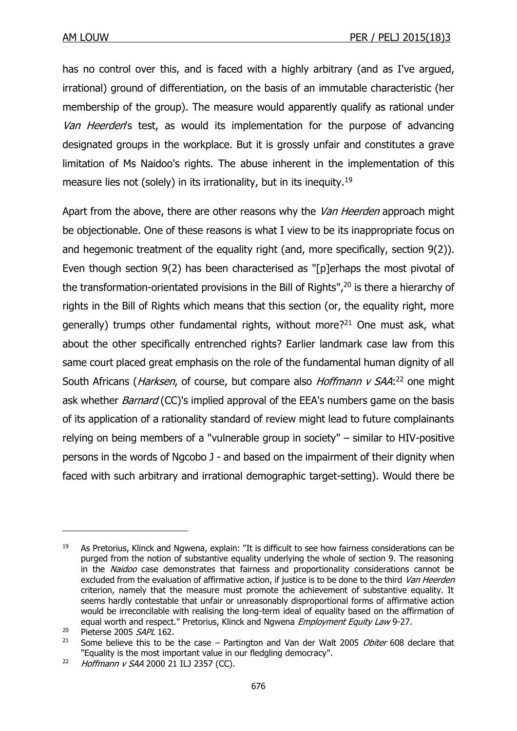has no control over this, and is faced with a highly arbitrary (and as I've argued, irrational) ground of differentiation, on the basis of an immutable characteristic (her membership of the group). The measure would apparently qualify as rational under Van Heerden's test, as would its implementation for the purpose of advancing designated groups in the workplace. But it is grossly unfair and constitutes a grave limitation of Ms Naidoo's rights. The abuse inherent in the implementation of this measure lies not (solely) in its irrationality, but in its inequity.<sup>19</sup>

Apart from the above, there are other reasons why the Van Heerden approach might be objectionable. One of these reasons is what I view to be its inappropriate focus on and hegemonic treatment of the equality right (and, more specifically, section 9(2)). Even though section 9(2) has been characterised as "[p]erhaps the most pivotal of the transformation-orientated provisions in the Bill of Rights", $^{20}$  is there a hierarchy of rights in the Bill of Rights which means that this section (or, the equality right, more generally) trumps other fundamental rights, without more?<sup>21</sup> One must ask, what about the other specifically entrenched rights? Earlier landmark case law from this same court placed great emphasis on the role of the fundamental human dignity of all South Africans (*Harksen*, of course, but compare also *Hoffmann v SAA*:<sup>22</sup> one might ask whether *Barnard* (CC)'s implied approval of the EEA's numbers game on the basis of its application of a rationality standard of review might lead to future complainants relying on being members of a "vulnerable group in society" – similar to HIV-positive persons in the words of Ngcobo J - and based on the impairment of their dignity when faced with such arbitrary and irrational demographic target-setting). Would there be

 $19$  As Pretorius, Klinck and Ngwena, explain: "It is difficult to see how fairness considerations can be purged from the notion of substantive equality underlying the whole of section 9. The reasoning in the *Naidoo* case demonstrates that fairness and proportionality considerations cannot be excluded from the evaluation of affirmative action, if justice is to be done to the third Van Heerden criterion, namely that the measure must promote the achievement of substantive equality. It seems hardly contestable that unfair or unreasonably disproportional forms of affirmative action would be irreconcilable with realising the long-term ideal of equality based on the affirmation of equal worth and respect." Pretorius, Klinck and Ngwena Employment Equity Law 9-27.

<sup>&</sup>lt;sup>20</sup> Pieterse 2005 *SAPL* 162.<br><sup>21</sup> Some believe this to be

Some believe this to be the case – Partington and Van der Walt 2005 Obiter 608 declare that "Equality is the most important value in our fledgling democracy".

 $22$  Hoffmann v SAA 2000 21 ILJ 2357 (CC).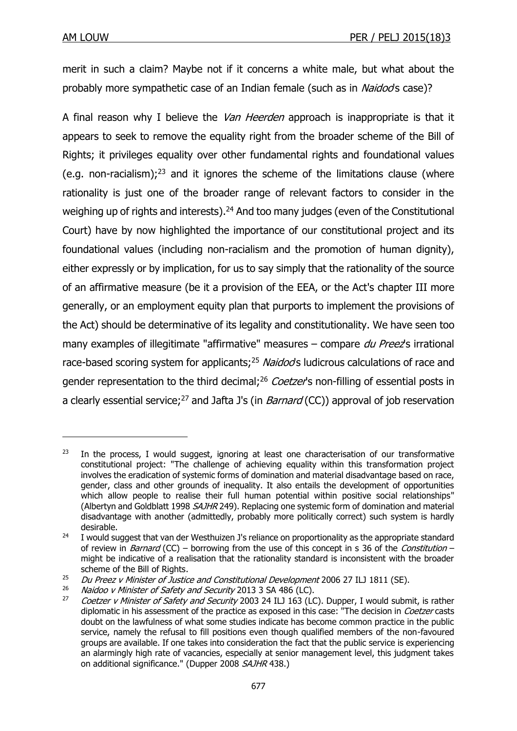merit in such a claim? Maybe not if it concerns a white male, but what about the probably more sympathetic case of an Indian female (such as in Naidod's case)?

A final reason why I believe the *Van Heerden* approach is inappropriate is that it appears to seek to remove the equality right from the broader scheme of the Bill of Rights; it privileges equality over other fundamental rights and foundational values (e.g. non-racialism); $23$  and it ignores the scheme of the limitations clause (where rationality is just one of the broader range of relevant factors to consider in the weighing up of rights and interests).<sup>24</sup> And too many judges (even of the Constitutional Court) have by now highlighted the importance of our constitutional project and its foundational values (including non-racialism and the promotion of human dignity), either expressly or by implication, for us to say simply that the rationality of the source of an affirmative measure (be it a provision of the EEA, or the Act's chapter III more generally, or an employment equity plan that purports to implement the provisions of the Act) should be determinative of its legality and constitutionality. We have seen too many examples of illegitimate "affirmative" measures – compare  $du$  Preez's irrational race-based scoring system for applicants;<sup>25</sup> Naidods ludicrous calculations of race and gender representation to the third decimal;<sup>26</sup> Coetzer's non-filling of essential posts in a clearly essential service;<sup>27</sup> and Jafta J's (in *Barnard* (CC)) approval of job reservation

 $23$  In the process, I would suggest, ignoring at least one characterisation of our transformative constitutional project: "The challenge of achieving equality within this transformation project involves the eradication of systemic forms of domination and material disadvantage based on race, gender, class and other grounds of inequality. It also entails the development of opportunities which allow people to realise their full human potential within positive social relationships" (Albertyn and Goldblatt 1998 SAJHR 249). Replacing one systemic form of domination and material disadvantage with another (admittedly, probably more politically correct) such system is hardly desirable.

<sup>&</sup>lt;sup>24</sup> I would suggest that van der Westhuizen J's reliance on proportionality as the appropriate standard of review in *Barnard* (CC) – borrowing from the use of this concept in s 36 of the *Constitution* – might be indicative of a realisation that the rationality standard is inconsistent with the broader scheme of the Bill of Rights.

<sup>&</sup>lt;sup>25</sup> Du Preez v Minister of Justice and Constitutional Development 2006 27 ILJ 1811 (SE).

<sup>&</sup>lt;sup>26</sup> Naidoo v Minister of Safety and Security 2013 3 SA 486 (LC).<br><sup>27</sup> Coetzer v Minister of Safety and Security 2003 24 JJ 1.163 (LC).

Coetzer v Minister of Safety and Security 2003 24 ILJ 163 (LC). Dupper, I would submit, is rather diplomatic in his assessment of the practice as exposed in this case: "The decision in *Coetzer* casts doubt on the lawfulness of what some studies indicate has become common practice in the public service, namely the refusal to fill positions even though qualified members of the non-favoured groups are available. If one takes into consideration the fact that the public service is experiencing an alarmingly high rate of vacancies, especially at senior management level, this judgment takes on additional significance." (Dupper 2008 SAJHR 438.)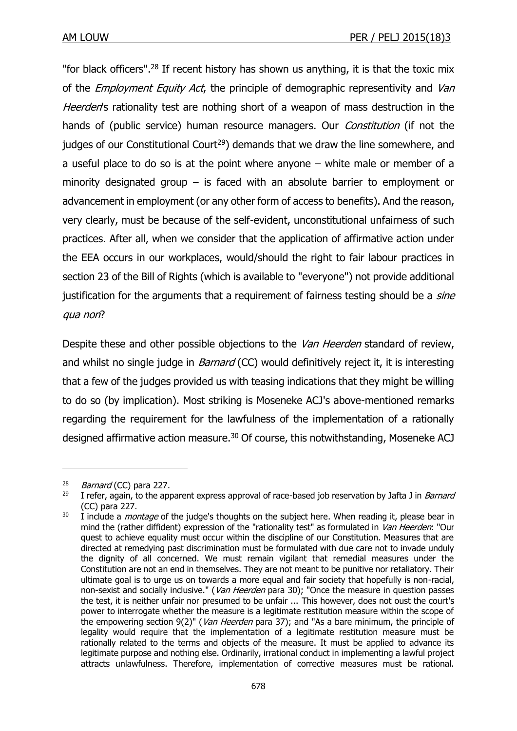"for black officers".<sup>28</sup> If recent history has shown us anything, it is that the toxic mix of the *Employment Equity Act*, the principle of demographic representivity and Van Heerden's rationality test are nothing short of a weapon of mass destruction in the hands of (public service) human resource managers. Our *Constitution* (if not the judges of our Constitutional Court<sup>29</sup>) demands that we draw the line somewhere, and a useful place to do so is at the point where anyone – white male or member of a minority designated group  $-$  is faced with an absolute barrier to employment or advancement in employment (or any other form of access to benefits). And the reason, very clearly, must be because of the self-evident, unconstitutional unfairness of such practices. After all, when we consider that the application of affirmative action under the EEA occurs in our workplaces, would/should the right to fair labour practices in section 23 of the Bill of Rights (which is available to "everyone") not provide additional justification for the arguments that a requirement of fairness testing should be a *sine* qua non?

Despite these and other possible objections to the Van Heerden standard of review, and whilst no single judge in *Barnard* (CC) would definitively reject it, it is interesting that a few of the judges provided us with teasing indications that they might be willing to do so (by implication). Most striking is Moseneke ACJ's above-mentioned remarks regarding the requirement for the lawfulness of the implementation of a rationally designed affirmative action measure.<sup>30</sup> Of course, this notwithstanding, Moseneke ACJ

 $28$  *Barnard* (CC) para 227.

 $29$  I refer, again, to the apparent express approval of race-based job reservation by Jafta J in *Barnard* (CC) para 227.

 $30$  I include a *montage* of the judge's thoughts on the subject here. When reading it, please bear in mind the (rather diffident) expression of the "rationality test" as formulated in Van Heerden: "Our quest to achieve equality must occur within the discipline of our Constitution. Measures that are directed at remedying past discrimination must be formulated with due care not to invade unduly the dignity of all concerned. We must remain vigilant that remedial measures under the Constitution are not an end in themselves. They are not meant to be punitive nor retaliatory. Their ultimate goal is to urge us on towards a more equal and fair society that hopefully is non-racial, non-sexist and socially inclusive." (Van Heerden para 30); "Once the measure in question passes the test, it is neither unfair nor presumed to be unfair ... This however, does not oust the court's power to interrogate whether the measure is a legitimate restitution measure within the scope of the empowering section 9(2)" (*Van Heerden* para 37); and "As a bare minimum, the principle of legality would require that the implementation of a legitimate restitution measure must be rationally related to the terms and objects of the measure. It must be applied to advance its legitimate purpose and nothing else. Ordinarily, irrational conduct in implementing a lawful project attracts unlawfulness. Therefore, implementation of corrective measures must be rational.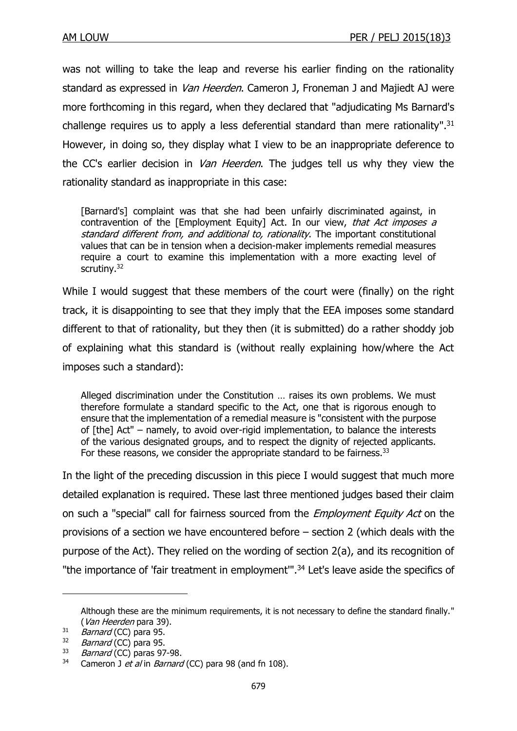was not willing to take the leap and reverse his earlier finding on the rationality standard as expressed in Van Heerden. Cameron J, Froneman J and Majiedt AJ were more forthcoming in this regard, when they declared that "adjudicating Ms Barnard's challenge requires us to apply a less deferential standard than mere rationality".<sup>31</sup> However, in doing so, they display what I view to be an inappropriate deference to the CC's earlier decision in *Van Heerden*. The judges tell us why they view the rationality standard as inappropriate in this case:

[Barnard's] complaint was that she had been unfairly discriminated against, in contravention of the [Employment Equity] Act. In our view, that Act imposes a standard different from, and additional to, rationality. The important constitutional values that can be in tension when a decision-maker implements remedial measures require a court to examine this implementation with a more exacting level of scrutiny.<sup>32</sup>

While I would suggest that these members of the court were (finally) on the right track, it is disappointing to see that they imply that the EEA imposes some standard different to that of rationality, but they then (it is submitted) do a rather shoddy job of explaining what this standard is (without really explaining how/where the Act imposes such a standard):

Alleged discrimination under the Constitution … raises its own problems. We must therefore formulate a standard specific to the Act, one that is rigorous enough to ensure that the implementation of a remedial measure is "consistent with the purpose of [the] Act" – namely, to avoid over-rigid implementation, to balance the interests of the various designated groups, and to respect the dignity of rejected applicants. For these reasons, we consider the appropriate standard to be fairness.  $33$ 

In the light of the preceding discussion in this piece I would suggest that much more detailed explanation is required. These last three mentioned judges based their claim on such a "special" call for fairness sourced from the *Employment Equity Act* on the provisions of a section we have encountered before – section 2 (which deals with the purpose of the Act). They relied on the wording of section 2(a), and its recognition of "the importance of 'fair treatment in employment"<sup>34</sup> Let's leave aside the specifics of

Although these are the minimum requirements, it is not necessary to define the standard finally." (Van Heerden para 39).

 $\frac{31}{32}$  *Barnard* (CC) para 95.

 $\frac{32}{33}$  *Barnard* (CC) para 95.<br> $\frac{33}{33}$  *Barnard* (CC) paras 97

Barnard (CC) paras 97-98.

 $34$  Cameron J et al in Barnard (CC) para 98 (and fn 108).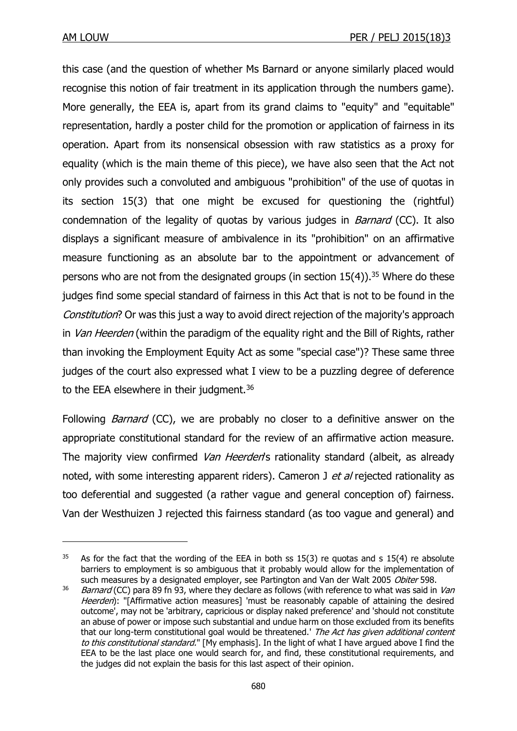this case (and the question of whether Ms Barnard or anyone similarly placed would recognise this notion of fair treatment in its application through the numbers game). More generally, the EEA is, apart from its grand claims to "equity" and "equitable" representation, hardly a poster child for the promotion or application of fairness in its operation. Apart from its nonsensical obsession with raw statistics as a proxy for equality (which is the main theme of this piece), we have also seen that the Act not only provides such a convoluted and ambiguous "prohibition" of the use of quotas in its section 15(3) that one might be excused for questioning the (rightful) condemnation of the legality of quotas by various judges in *Barnard* (CC). It also displays a significant measure of ambivalence in its "prohibition" on an affirmative measure functioning as an absolute bar to the appointment or advancement of persons who are not from the designated groups (in section  $15(4)$ ).<sup>35</sup> Where do these judges find some special standard of fairness in this Act that is not to be found in the Constitution? Or was this just a way to avoid direct rejection of the majority's approach in Van Heerden (within the paradigm of the equality right and the Bill of Rights, rather than invoking the Employment Equity Act as some "special case")? These same three judges of the court also expressed what I view to be a puzzling degree of deference to the EEA elsewhere in their judgment.<sup>36</sup>

Following *Barnard* (CC), we are probably no closer to a definitive answer on the appropriate constitutional standard for the review of an affirmative action measure. The majority view confirmed Van Heerden's rationality standard (albeit, as already noted, with some interesting apparent riders). Cameron J et al rejected rationality as too deferential and suggested (a rather vague and general conception of) fairness. Van der Westhuizen J rejected this fairness standard (as too vague and general) and

 $35$  As for the fact that the wording of the EEA in both ss 15(3) re quotas and s 15(4) re absolute barriers to employment is so ambiguous that it probably would allow for the implementation of such measures by a designated employer, see Partington and Van der Walt 2005 Obiter 598.

<sup>36</sup> Barnard (CC) para 89 fn 93, where they declare as follows (with reference to what was said in Van Heerden): "[Affirmative action measures] 'must be reasonably capable of attaining the desired outcome', may not be 'arbitrary, capricious or display naked preference' and 'should not constitute an abuse of power or impose such substantial and undue harm on those excluded from its benefits that our long-term constitutional goal would be threatened.' The Act has given additional content to this constitutional standard." [My emphasis]. In the light of what I have argued above I find the EEA to be the last place one would search for, and find, these constitutional requirements, and the judges did not explain the basis for this last aspect of their opinion.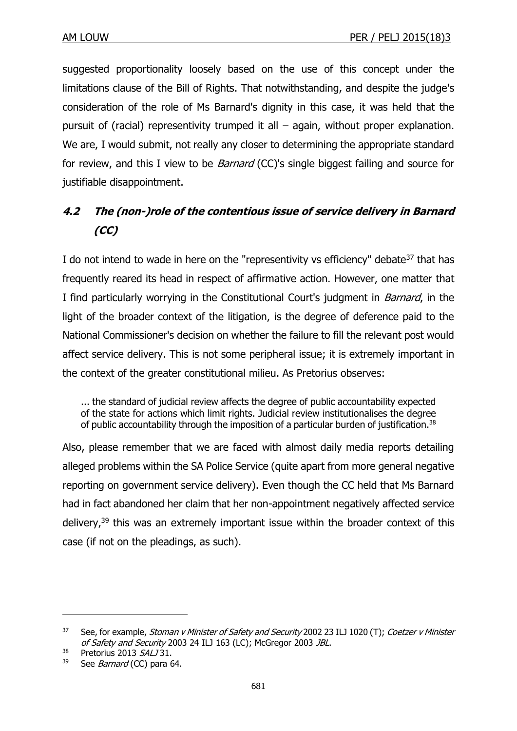suggested proportionality loosely based on the use of this concept under the limitations clause of the Bill of Rights. That notwithstanding, and despite the judge's consideration of the role of Ms Barnard's dignity in this case, it was held that the pursuit of (racial) representivity trumped it all – again, without proper explanation. We are, I would submit, not really any closer to determining the appropriate standard for review, and this I view to be *Barnard* (CC)'s single biggest failing and source for justifiable disappointment.

# **4.2 The (non-)role of the contentious issue of service delivery in Barnard (CC)**

I do not intend to wade in here on the "representivity vs efficiency" debate<sup>37</sup> that has frequently reared its head in respect of affirmative action. However, one matter that I find particularly worrying in the Constitutional Court's judgment in *Barnard*, in the light of the broader context of the litigation, is the degree of deference paid to the National Commissioner's decision on whether the failure to fill the relevant post would affect service delivery. This is not some peripheral issue; it is extremely important in the context of the greater constitutional milieu. As Pretorius observes:

... the standard of judicial review affects the degree of public accountability expected of the state for actions which limit rights. Judicial review institutionalises the degree of public accountability through the imposition of a particular burden of justification.<sup>38</sup>

Also, please remember that we are faced with almost daily media reports detailing alleged problems within the SA Police Service (quite apart from more general negative reporting on government service delivery). Even though the CC held that Ms Barnard had in fact abandoned her claim that her non-appointment negatively affected service delivery, $39$  this was an extremely important issue within the broader context of this case (if not on the pleadings, as such).

<sup>&</sup>lt;sup>37</sup> See, for example, *Stoman v Minister of Safety and Security* 2002 23 ILJ 1020 (T); Coetzer v Minister of Safety and Security 2003 24 ILJ 163 (LC); McGregor 2003 JBL.

 $38$  Pretorius 2013 SALJ 31.

<sup>39</sup> See *Barnard* (CC) para 64.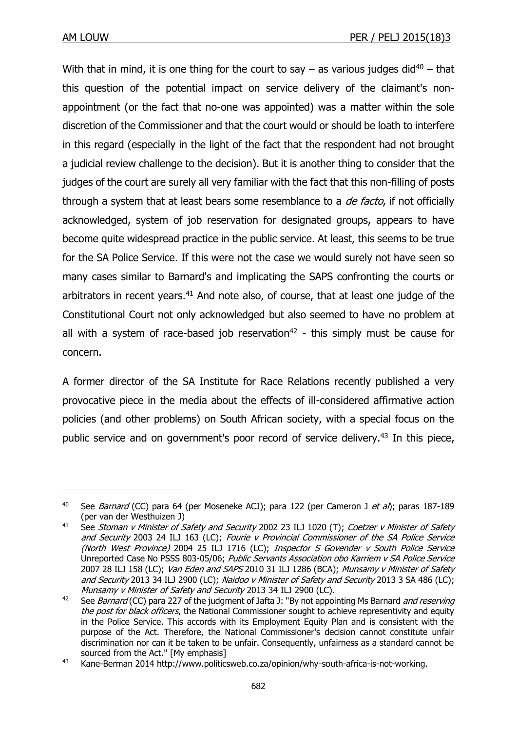With that in mind, it is one thing for the court to say – as various judges did<sup>40</sup> – that this question of the potential impact on service delivery of the claimant's nonappointment (or the fact that no-one was appointed) was a matter within the sole discretion of the Commissioner and that the court would or should be loath to interfere in this regard (especially in the light of the fact that the respondent had not brought a judicial review challenge to the decision). But it is another thing to consider that the judges of the court are surely all very familiar with the fact that this non-filling of posts through a system that at least bears some resemblance to a *de facto*, if not officially acknowledged, system of job reservation for designated groups, appears to have become quite widespread practice in the public service. At least, this seems to be true for the SA Police Service. If this were not the case we would surely not have seen so many cases similar to Barnard's and implicating the SAPS confronting the courts or arbitrators in recent years. $41$  And note also, of course, that at least one judge of the Constitutional Court not only acknowledged but also seemed to have no problem at all with a system of race-based job reservation<sup>42</sup> - this simply must be cause for concern.

A former director of the SA Institute for Race Relations recently published a very provocative piece in the media about the effects of ill-considered affirmative action policies (and other problems) on South African society, with a special focus on the public service and on government's poor record of service delivery.<sup>43</sup> In this piece,

<sup>&</sup>lt;sup>40</sup> See *Barnard* (CC) para 64 (per Moseneke ACJ); para 122 (per Cameron J *et al*); paras 187-189 (per van der Westhuizen J)

 $^{41}$  See Stoman v Minister of Safety and Security 2002 23 ILJ 1020 (T); Coetzer v Minister of Safety and Security 2003 24 ILJ 163 (LC); Fourie v Provincial Commissioner of the SA Police Service (North West Province) 2004 25 ILJ 1716 (LC); Inspector S Govender v South Police Service Unreported Case No PSSS 803-05/06; Public Servants Association obo Karriem v SA Police Service 2007 28 ILJ 158 (LC); Van Eden and SAPS 2010 31 ILJ 1286 (BCA); Munsamy v Minister of Safety and Security 2013 34 ILJ 2900 (LC); Naidoo v Minister of Safety and Security 2013 3 SA 486 (LC); Munsamy v Minister of Safety and Security 2013 34 ILJ 2900 (LC).

<sup>42</sup> See Barnard (CC) para 227 of the judgment of Jafta J: "By not appointing Ms Barnard and reserving the post for black officers, the National Commissioner sought to achieve representivity and equity in the Police Service. This accords with its Employment Equity Plan and is consistent with the purpose of the Act. Therefore, the National Commissioner's decision cannot constitute unfair discrimination nor can it be taken to be unfair. Consequently, unfairness as a standard cannot be sourced from the Act." [My emphasis]

<sup>43</sup> Kane-Berman 2014 http://www.politicsweb.co.za/opinion/why-south-africa-is-not-working.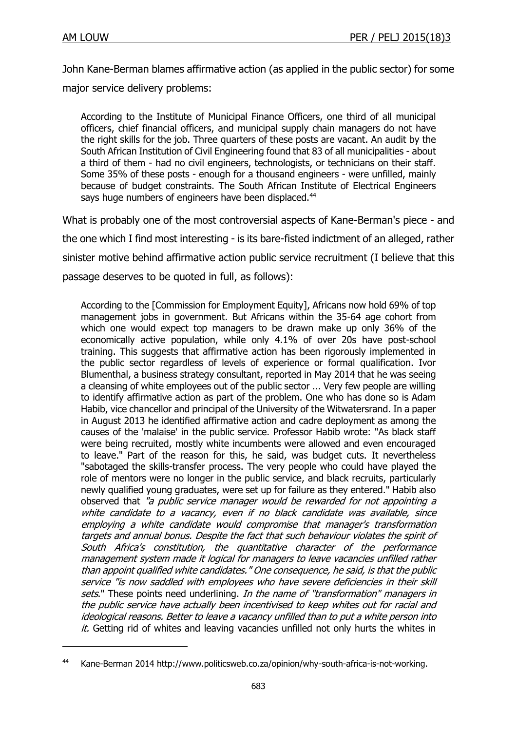John Kane-Berman blames affirmative action (as applied in the public sector) for some major service delivery problems:

According to the Institute of Municipal Finance Officers, one third of all municipal officers, chief financial officers, and municipal supply chain managers do not have the right skills for the job. Three quarters of these posts are vacant. An audit by the South African Institution of Civil Engineering found that 83 of all municipalities - about a third of them - had no civil engineers, technologists, or technicians on their staff. Some 35% of these posts - enough for a thousand engineers - were unfilled, mainly because of budget constraints. The South African Institute of Electrical Engineers says huge numbers of engineers have been displaced.<sup>44</sup>

What is probably one of the most controversial aspects of Kane-Berman's piece - and the one which I find most interesting - is its bare-fisted indictment of an alleged, rather sinister motive behind affirmative action public service recruitment (I believe that this passage deserves to be quoted in full, as follows):

According to the [Commission for Employment Equity], Africans now hold 69% of top management jobs in government. But Africans within the 35-64 age cohort from which one would expect top managers to be drawn make up only 36% of the economically active population, while only 4.1% of over 20s have post-school training. This suggests that affirmative action has been rigorously implemented in the public sector regardless of levels of experience or formal qualification. Ivor Blumenthal, a business strategy consultant, reported in May 2014 that he was seeing a cleansing of white employees out of the public sector ... Very few people are willing to identify affirmative action as part of the problem. One who has done so is Adam Habib, vice chancellor and principal of the University of the Witwatersrand. In a paper in August 2013 he identified affirmative action and cadre deployment as among the causes of the 'malaise' in the public service. Professor Habib wrote: "As black staff were being recruited, mostly white incumbents were allowed and even encouraged to leave." Part of the reason for this, he said, was budget cuts. It nevertheless "sabotaged the skills-transfer process. The very people who could have played the role of mentors were no longer in the public service, and black recruits, particularly newly qualified young graduates, were set up for failure as they entered." Habib also observed that "a public service manager would be rewarded for not appointing a white candidate to a vacancy, even if no black candidate was available, since employing a white candidate would compromise that manager's transformation targets and annual bonus. Despite the fact that such behaviour violates the spirit of South Africa's constitution, the quantitative character of the performance management system made it logical for managers to leave vacancies unfilled rather than appoint qualified white candidates." One consequence, he said, is that the public service "is now saddled with employees who have severe deficiencies in their skill sets." These points need underlining. In the name of "transformation" managers in the public service have actually been incentivised to keep whites out for racial and ideological reasons. Better to leave a vacancy unfilled than to put a white person into  $it$ . Getting rid of whites and leaving vacancies unfilled not only hurts the whites in

<sup>44</sup> Kane-Berman 2014 http://www.politicsweb.co.za/opinion/why-south-africa-is-not-working.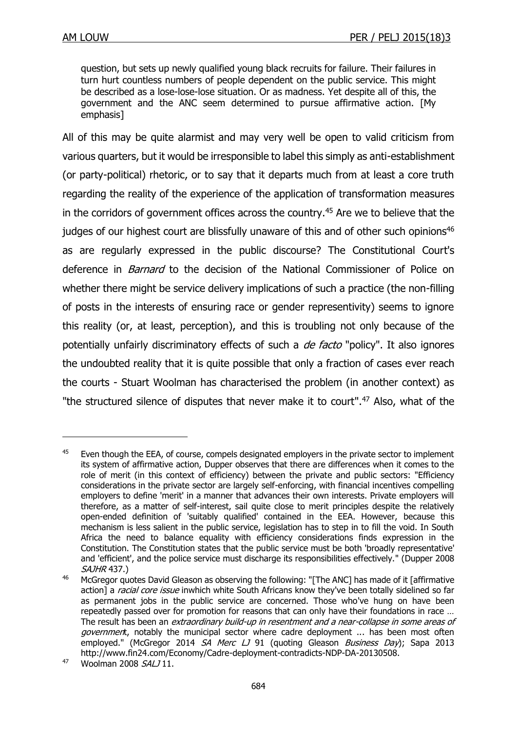question, but sets up newly qualified young black recruits for failure. Their failures in turn hurt countless numbers of people dependent on the public service. This might be described as a lose-lose-lose situation. Or as madness. Yet despite all of this, the government and the ANC seem determined to pursue affirmative action. [My emphasis]

All of this may be quite alarmist and may very well be open to valid criticism from various quarters, but it would be irresponsible to label this simply as anti-establishment (or party-political) rhetoric, or to say that it departs much from at least a core truth regarding the reality of the experience of the application of transformation measures in the corridors of government offices across the country.<sup>45</sup> Are we to believe that the judges of our highest court are blissfully unaware of this and of other such opinions $46$ as are regularly expressed in the public discourse? The Constitutional Court's deference in *Barnard* to the decision of the National Commissioner of Police on whether there might be service delivery implications of such a practice (the non-filling of posts in the interests of ensuring race or gender representivity) seems to ignore this reality (or, at least, perception), and this is troubling not only because of the potentially unfairly discriminatory effects of such a *de facto* "policy". It also ignores the undoubted reality that it is quite possible that only a fraction of cases ever reach the courts - Stuart Woolman has characterised the problem (in another context) as "the structured silence of disputes that never make it to court".<sup>47</sup> Also, what of the

<sup>&</sup>lt;sup>45</sup> Even though the EEA, of course, compels designated employers in the private sector to implement its system of affirmative action, Dupper observes that there are differences when it comes to the role of merit (in this context of efficiency) between the private and public sectors: "Efficiency considerations in the private sector are largely self-enforcing, with financial incentives compelling employers to define 'merit' in a manner that advances their own interests. Private employers will therefore, as a matter of self-interest, sail quite close to merit principles despite the relatively open-ended definition of 'suitably qualified' contained in the EEA. However, because this mechanism is less salient in the public service, legislation has to step in to fill the void. In South Africa the need to balance equality with efficiency considerations finds expression in the Constitution. The Constitution states that the public service must be both 'broadly representative' and 'efficient', and the police service must discharge its responsibilities effectively." (Dupper 2008 SAJHR 437.)

<sup>&</sup>lt;sup>46</sup> McGregor quotes David Gleason as observing the following: "[The ANC] has made of it [affirmative action] a racial core issue inwhich white South Africans know they've been totally sidelined so far as permanent jobs in the public service are concerned. Those who've hung on have been repeatedly passed over for promotion for reasons that can only have their foundations in race … The result has been an extraordinary build-up in resentment and a near-collapse in some areas of government, notably the municipal sector where cadre deployment ... has been most often employed." (McGregor 2014 SA Merc LJ 91 (quoting Gleason Business Day); Sapa 2013 http://www.fin24.com/Economy/Cadre-deployment-contradicts-NDP-DA-20130508.

<sup>47</sup> Woolman 2008 SALJ 11.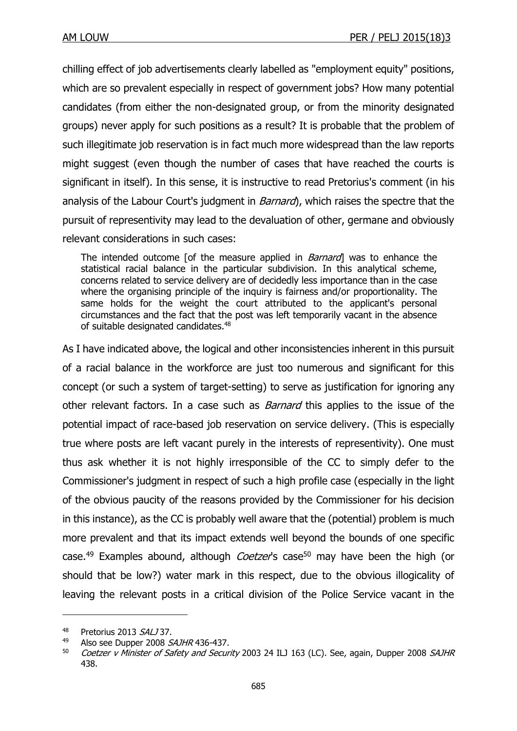chilling effect of job advertisements clearly labelled as "employment equity" positions, which are so prevalent especially in respect of government jobs? How many potential candidates (from either the non-designated group, or from the minority designated groups) never apply for such positions as a result? It is probable that the problem of such illegitimate job reservation is in fact much more widespread than the law reports might suggest (even though the number of cases that have reached the courts is significant in itself). In this sense, it is instructive to read Pretorius's comment (in his analysis of the Labour Court's judgment in *Barnard*), which raises the spectre that the pursuit of representivity may lead to the devaluation of other, germane and obviously relevant considerations in such cases:

The intended outcome [of the measure applied in *Barnard*] was to enhance the statistical racial balance in the particular subdivision. In this analytical scheme, concerns related to service delivery are of decidedly less importance than in the case where the organising principle of the inquiry is fairness and/or proportionality. The same holds for the weight the court attributed to the applicant's personal circumstances and the fact that the post was left temporarily vacant in the absence of suitable designated candidates.<sup>48</sup>

As I have indicated above, the logical and other inconsistencies inherent in this pursuit of a racial balance in the workforce are just too numerous and significant for this concept (or such a system of target-setting) to serve as justification for ignoring any other relevant factors. In a case such as *Barnard* this applies to the issue of the potential impact of race-based job reservation on service delivery. (This is especially true where posts are left vacant purely in the interests of representivity). One must thus ask whether it is not highly irresponsible of the CC to simply defer to the Commissioner's judgment in respect of such a high profile case (especially in the light of the obvious paucity of the reasons provided by the Commissioner for his decision in this instance), as the CC is probably well aware that the (potential) problem is much more prevalent and that its impact extends well beyond the bounds of one specific case.<sup>49</sup> Examples abound, although *Coetzer's* case<sup>50</sup> may have been the high (or should that be low?) water mark in this respect, due to the obvious illogicality of leaving the relevant posts in a critical division of the Police Service vacant in the

 $^{48}$  Pretorius 2013 *SALJ* 37.

<sup>&</sup>lt;sup>49</sup> Also see Dupper 2008 *SAJHR* 436-437.<br><sup>50</sup> Coetzer v Minister of Safety and Secur

Coetzer v Minister of Safety and Security 2003 24 ILJ 163 (LC). See, again, Dupper 2008 SAJHR 438.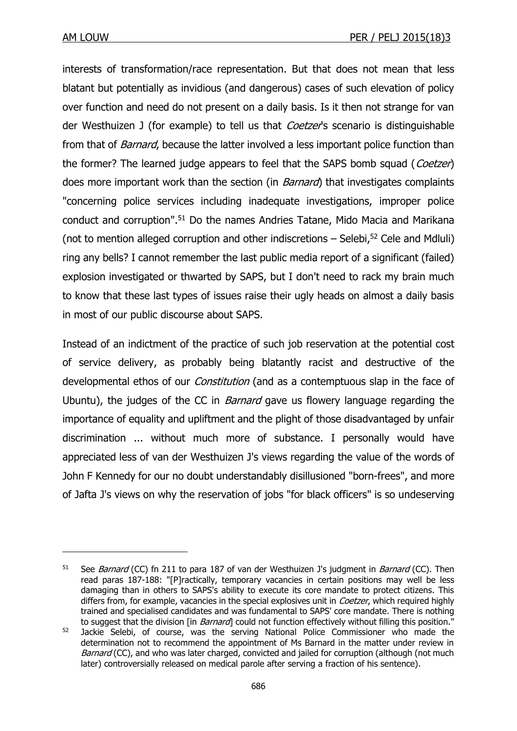interests of transformation/race representation. But that does not mean that less blatant but potentially as invidious (and dangerous) cases of such elevation of policy over function and need do not present on a daily basis. Is it then not strange for van der Westhuizen J (for example) to tell us that *Coetzer's* scenario is distinguishable from that of *Barnard*, because the latter involved a less important police function than the former? The learned judge appears to feel that the SAPS bomb squad (Coetzer) does more important work than the section (in *Barnard*) that investigates complaints "concerning police services including inadequate investigations, improper police conduct and corruption". <sup>51</sup> Do the names Andries Tatane, Mido Macia and Marikana (not to mention alleged corruption and other indiscretions  $-$  Selebi,  $52$  Cele and Mdluli) ring any bells? I cannot remember the last public media report of a significant (failed) explosion investigated or thwarted by SAPS, but I don't need to rack my brain much to know that these last types of issues raise their ugly heads on almost a daily basis in most of our public discourse about SAPS.

Instead of an indictment of the practice of such job reservation at the potential cost of service delivery, as probably being blatantly racist and destructive of the developmental ethos of our *Constitution* (and as a contemptuous slap in the face of Ubuntu), the judges of the CC in *Barnard* gave us flowery language regarding the importance of equality and upliftment and the plight of those disadvantaged by unfair discrimination ... without much more of substance. I personally would have appreciated less of van der Westhuizen J's views regarding the value of the words of John F Kennedy for our no doubt understandably disillusioned "born-frees", and more of Jafta J's views on why the reservation of jobs "for black officers" is so undeserving

<sup>&</sup>lt;sup>51</sup> See *Barnard* (CC) fn 211 to para 187 of van der Westhuizen J's judgment in *Barnard* (CC). Then read paras 187-188: "[P]ractically, temporary vacancies in certain positions may well be less damaging than in others to SAPS's ability to execute its core mandate to protect citizens. This differs from, for example, vacancies in the special explosives unit in Coetzer, which required highly trained and specialised candidates and was fundamental to SAPS' core mandate. There is nothing to suggest that the division [in *Barnard*] could not function effectively without filling this position."

 $52$  Jackie Selebi, of course, was the serving National Police Commissioner who made the determination not to recommend the appointment of Ms Barnard in the matter under review in Barnard (CC), and who was later charged, convicted and jailed for corruption (although (not much later) controversially released on medical parole after serving a fraction of his sentence).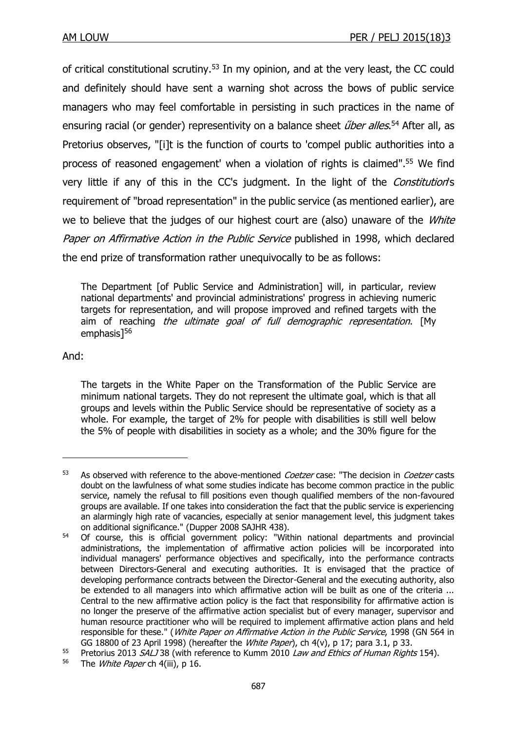of critical constitutional scrutiny.<sup>53</sup> In my opinion, and at the very least, the CC could and definitely should have sent a warning shot across the bows of public service managers who may feel comfortable in persisting in such practices in the name of ensuring racial (or gender) representivity on a balance sheet *űber alles*.<sup>54</sup> After all, as Pretorius observes, "[i]t is the function of courts to 'compel public authorities into a process of reasoned engagement' when a violation of rights is claimed". <sup>55</sup> We find very little if any of this in the CC's judgment. In the light of the Constitution's requirement of "broad representation" in the public service (as mentioned earlier), are we to believe that the judges of our highest court are (also) unaware of the White Paper on Affirmative Action in the Public Service published in 1998, which declared the end prize of transformation rather unequivocally to be as follows:

The Department [of Public Service and Administration] will, in particular, review national departments' and provincial administrations' progress in achieving numeric targets for representation, and will propose improved and refined targets with the aim of reaching the ultimate goal of full demographic representation. [My emphasis]<sup>56</sup>

## And:

-

The targets in the White Paper on the Transformation of the Public Service are minimum national targets. They do not represent the ultimate goal, which is that all groups and levels within the Public Service should be representative of society as a whole. For example, the target of 2% for people with disabilities is still well below the 5% of people with disabilities in society as a whole; and the 30% figure for the

<sup>&</sup>lt;sup>53</sup> As observed with reference to the above-mentioned *Coetzer* case: "The decision in *Coetzer* casts doubt on the lawfulness of what some studies indicate has become common practice in the public service, namely the refusal to fill positions even though qualified members of the non-favoured groups are available. If one takes into consideration the fact that the public service is experiencing an alarmingly high rate of vacancies, especially at senior management level, this judgment takes on additional significance." (Dupper 2008 SAJHR 438).

 $54$  Of course, this is official government policy: "Within national departments and provincial administrations, the implementation of affirmative action policies will be incorporated into individual managers' performance objectives and specifically, into the performance contracts between Directors-General and executing authorities. It is envisaged that the practice of developing performance contracts between the Director-General and the executing authority, also be extended to all managers into which affirmative action will be built as one of the criteria ... Central to the new affirmative action policy is the fact that responsibility for affirmative action is no longer the preserve of the affirmative action specialist but of every manager, supervisor and human resource practitioner who will be required to implement affirmative action plans and held responsible for these." (White Paper on Affirmative Action in the Public Service, 1998 (GN 564 in GG 18800 of 23 April 1998) (hereafter the *White Paper*), ch  $4(v)$ , p 17; para 3.1, p 33.

<sup>&</sup>lt;sup>55</sup> Pretorius 2013 *SALJ* 38 (with reference to Kumm 2010 Law and Ethics of Human Rights 154).

<sup>&</sup>lt;sup>56</sup> The *White Paper* ch 4(iii), p 16.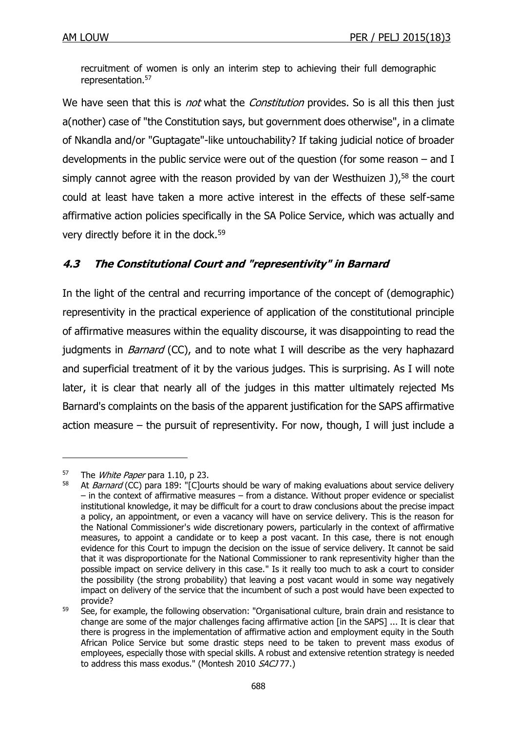recruitment of women is only an interim step to achieving their full demographic representation.<sup>57</sup>

We have seen that this is *not* what the *Constitution* provides. So is all this then just a(nother) case of "the Constitution says, but government does otherwise", in a climate of Nkandla and/or "Guptagate"-like untouchability? If taking judicial notice of broader developments in the public service were out of the question (for some reason – and I simply cannot agree with the reason provided by van der Westhuizen J), $58$  the court could at least have taken a more active interest in the effects of these self-same affirmative action policies specifically in the SA Police Service, which was actually and very directly before it in the dock.<sup>59</sup>

## **4.3 The Constitutional Court and "representivity" in Barnard**

In the light of the central and recurring importance of the concept of (demographic) representivity in the practical experience of application of the constitutional principle of affirmative measures within the equality discourse, it was disappointing to read the judgments in *Barnard* (CC), and to note what I will describe as the very haphazard and superficial treatment of it by the various judges. This is surprising. As I will note later, it is clear that nearly all of the judges in this matter ultimately rejected Ms Barnard's complaints on the basis of the apparent justification for the SAPS affirmative action measure – the pursuit of representivity. For now, though, I will just include a

<sup>&</sup>lt;sup>57</sup> The *White Paper* para 1.10, p 23.<br><sup>58</sup> At *Parpard (CC*) para 190: "[Clou

At Barnard (CC) para 189: "[C]ourts should be wary of making evaluations about service delivery – in the context of affirmative measures – from a distance. Without proper evidence or specialist institutional knowledge, it may be difficult for a court to draw conclusions about the precise impact a policy, an appointment, or even a vacancy will have on service delivery. This is the reason for the National Commissioner's wide discretionary powers, particularly in the context of affirmative measures, to appoint a candidate or to keep a post vacant. In this case, there is not enough evidence for this Court to impugn the decision on the issue of service delivery. It cannot be said that it was disproportionate for the National Commissioner to rank representivity higher than the possible impact on service delivery in this case." Is it really too much to ask a court to consider the possibility (the strong probability) that leaving a post vacant would in some way negatively impact on delivery of the service that the incumbent of such a post would have been expected to provide?

<sup>&</sup>lt;sup>59</sup> See, for example, the following observation: "Organisational culture, brain drain and resistance to change are some of the major challenges facing affirmative action [in the SAPS] ... It is clear that there is progress in the implementation of affirmative action and employment equity in the South African Police Service but some drastic steps need to be taken to prevent mass exodus of employees, especially those with special skills. A robust and extensive retention strategy is needed to address this mass exodus." (Montesh 2010 SACJ 77.)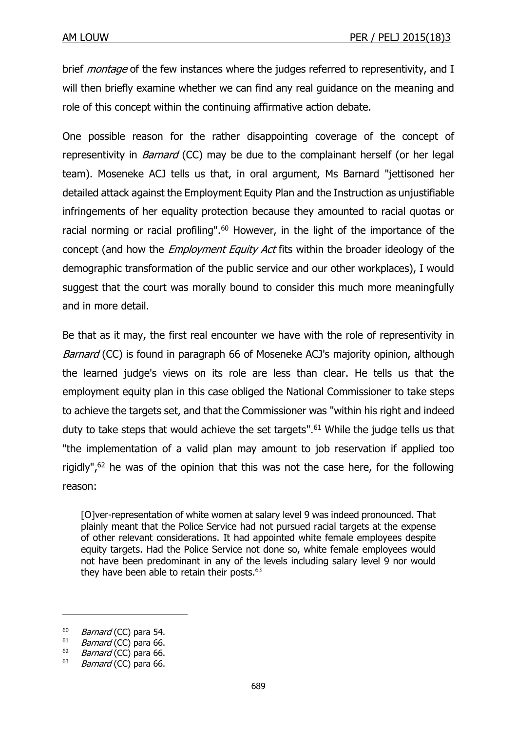brief *montage* of the few instances where the judges referred to representivity, and I will then briefly examine whether we can find any real guidance on the meaning and role of this concept within the continuing affirmative action debate.

One possible reason for the rather disappointing coverage of the concept of representivity in *Barnard* (CC) may be due to the complainant herself (or her legal team). Moseneke ACJ tells us that, in oral argument, Ms Barnard "jettisoned her detailed attack against the Employment Equity Plan and the Instruction as unjustifiable infringements of her equality protection because they amounted to racial quotas or racial norming or racial profiling".<sup>60</sup> However, in the light of the importance of the concept (and how the *Employment Equity Act* fits within the broader ideology of the demographic transformation of the public service and our other workplaces), I would suggest that the court was morally bound to consider this much more meaningfully and in more detail.

Be that as it may, the first real encounter we have with the role of representivity in Barnard (CC) is found in paragraph 66 of Moseneke ACJ's majority opinion, although the learned judge's views on its role are less than clear. He tells us that the employment equity plan in this case obliged the National Commissioner to take steps to achieve the targets set, and that the Commissioner was "within his right and indeed duty to take steps that would achieve the set targets". <sup>61</sup> While the judge tells us that "the implementation of a valid plan may amount to job reservation if applied too rigidly",<sup>62</sup> he was of the opinion that this was not the case here, for the following reason:

[O]ver-representation of white women at salary level 9 was indeed pronounced. That plainly meant that the Police Service had not pursued racial targets at the expense of other relevant considerations. It had appointed white female employees despite equity targets. Had the Police Service not done so, white female employees would not have been predominant in any of the levels including salary level 9 nor would they have been able to retain their posts. $63$ 

 $^{60}$  *Barnard* (CC) para 54.

Barnard (CC) para 66.

 $62$  *Barnard* (CC) para 66.

 $63$  Barnard (CC) para 66.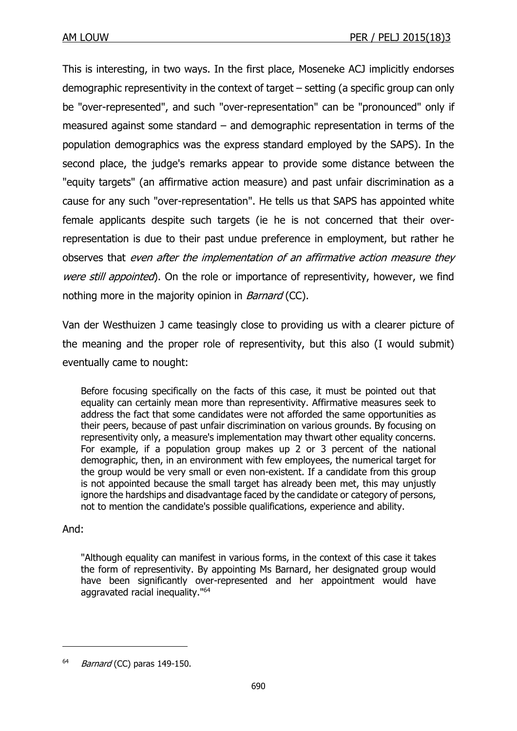This is interesting, in two ways. In the first place, Moseneke ACJ implicitly endorses demographic representivity in the context of target – setting (a specific group can only be "over-represented", and such "over-representation" can be "pronounced" only if measured against some standard – and demographic representation in terms of the population demographics was the express standard employed by the SAPS). In the second place, the judge's remarks appear to provide some distance between the "equity targets" (an affirmative action measure) and past unfair discrimination as a cause for any such "over-representation". He tells us that SAPS has appointed white female applicants despite such targets (ie he is not concerned that their overrepresentation is due to their past undue preference in employment, but rather he observes that even after the implementation of an affirmative action measure they were still appointed). On the role or importance of representivity, however, we find nothing more in the majority opinion in *Barnard* (CC).

Van der Westhuizen J came teasingly close to providing us with a clearer picture of the meaning and the proper role of representivity, but this also (I would submit) eventually came to nought:

Before focusing specifically on the facts of this case, it must be pointed out that equality can certainly mean more than representivity. Affirmative measures seek to address the fact that some candidates were not afforded the same opportunities as their peers, because of past unfair discrimination on various grounds. By focusing on representivity only, a measure's implementation may thwart other equality concerns. For example, if a population group makes up 2 or 3 percent of the national demographic, then, in an environment with few employees, the numerical target for the group would be very small or even non-existent. If a candidate from this group is not appointed because the small target has already been met, this may unjustly ignore the hardships and disadvantage faced by the candidate or category of persons, not to mention the candidate's possible qualifications, experience and ability.

## And:

-

"Although equality can manifest in various forms, in the context of this case it takes the form of representivity. By appointing Ms Barnard, her designated group would have been significantly over-represented and her appointment would have aggravated racial inequality."<sup>64</sup>

<sup>64</sup> *Barnard* (CC) paras 149-150.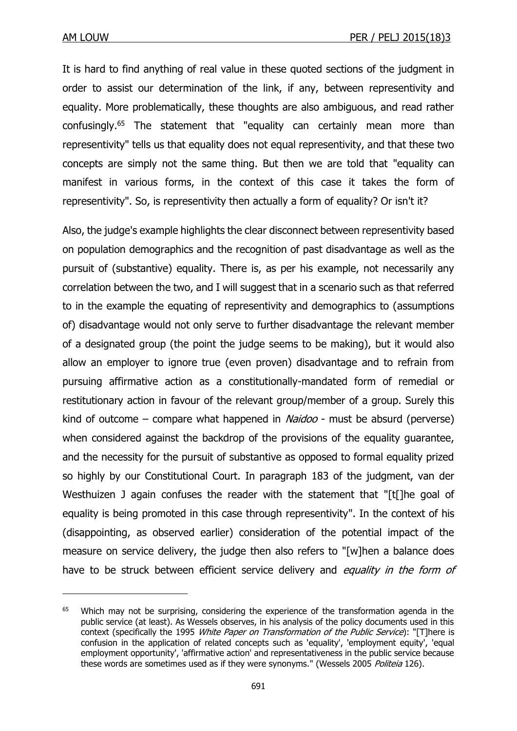It is hard to find anything of real value in these quoted sections of the judgment in order to assist our determination of the link, if any, between representivity and equality. More problematically, these thoughts are also ambiguous, and read rather confusingly.<sup>65</sup> The statement that "equality can certainly mean more than representivity" tells us that equality does not equal representivity, and that these two concepts are simply not the same thing. But then we are told that "equality can manifest in various forms, in the context of this case it takes the form of representivity". So, is representivity then actually a form of equality? Or isn't it?

Also, the judge's example highlights the clear disconnect between representivity based on population demographics and the recognition of past disadvantage as well as the pursuit of (substantive) equality. There is, as per his example, not necessarily any correlation between the two, and I will suggest that in a scenario such as that referred to in the example the equating of representivity and demographics to (assumptions of) disadvantage would not only serve to further disadvantage the relevant member of a designated group (the point the judge seems to be making), but it would also allow an employer to ignore true (even proven) disadvantage and to refrain from pursuing affirmative action as a constitutionally-mandated form of remedial or restitutionary action in favour of the relevant group/member of a group. Surely this kind of outcome – compare what happened in *Naidoo* - must be absurd (perverse) when considered against the backdrop of the provisions of the equality guarantee, and the necessity for the pursuit of substantive as opposed to formal equality prized so highly by our Constitutional Court. In paragraph 183 of the judgment, van der Westhuizen J again confuses the reader with the statement that "[t[]he goal of equality is being promoted in this case through representivity". In the context of his (disappointing, as observed earlier) consideration of the potential impact of the measure on service delivery, the judge then also refers to "[w]hen a balance does have to be struck between efficient service delivery and equality in the form of

 $65$  Which may not be surprising, considering the experience of the transformation agenda in the public service (at least). As Wessels observes, in his analysis of the policy documents used in this context (specifically the 1995 White Paper on Transformation of the Public Service): "[T]here is confusion in the application of related concepts such as 'equality', 'employment equity', 'equal employment opportunity', 'affirmative action' and representativeness in the public service because these words are sometimes used as if they were synonyms." (Wessels 2005 Politeia 126).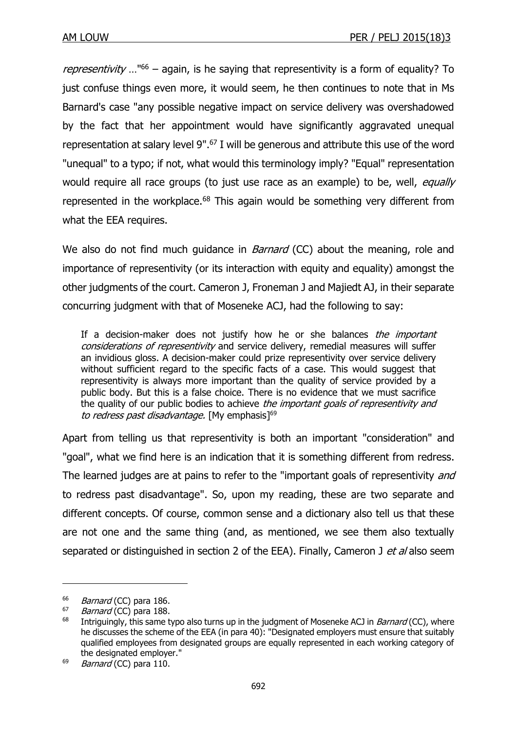representivity ..."<sup>66</sup> – again, is he saying that representivity is a form of equality? To just confuse things even more, it would seem, he then continues to note that in Ms Barnard's case "any possible negative impact on service delivery was overshadowed by the fact that her appointment would have significantly aggravated unequal representation at salary level 9". <sup>67</sup> I will be generous and attribute this use of the word "unequal" to a typo; if not, what would this terminology imply? "Equal" representation would require all race groups (to just use race as an example) to be, well, equally represented in the workplace. $68$  This again would be something very different from what the EEA requires.

We also do not find much guidance in *Barnard* (CC) about the meaning, role and importance of representivity (or its interaction with equity and equality) amongst the other judgments of the court. Cameron J, Froneman J and Majiedt AJ, in their separate concurring judgment with that of Moseneke ACJ, had the following to say:

If a decision-maker does not justify how he or she balances the important considerations of representivity and service delivery, remedial measures will suffer an invidious gloss. A decision-maker could prize representivity over service delivery without sufficient regard to the specific facts of a case. This would suggest that representivity is always more important than the quality of service provided by a public body. But this is a false choice. There is no evidence that we must sacrifice the quality of our public bodies to achieve the important goals of representivity and to redress past disadvantage. [My emphasis]<sup>69</sup>

Apart from telling us that representivity is both an important "consideration" and "goal", what we find here is an indication that it is something different from redress. The learned judges are at pains to refer to the "important goals of representivity and to redress past disadvantage". So, upon my reading, these are two separate and different concepts. Of course, common sense and a dictionary also tell us that these are not one and the same thing (and, as mentioned, we see them also textually separated or distinguished in section 2 of the EEA). Finally, Cameron J et al also seem

<sup>&</sup>lt;sup>66</sup> Barnard (CC) para 186.

 $67$  Barnard (CC) para 188.

<sup>&</sup>lt;sup>68</sup> Intriguingly, this same typo also turns up in the judgment of Moseneke ACJ in *Barnard* (CC), where he discusses the scheme of the EEA (in para 40): "Designated employers must ensure that suitably qualified employees from designated groups are equally represented in each working category of the designated employer."

 $^{69}$  *Barnard* (CC) para 110.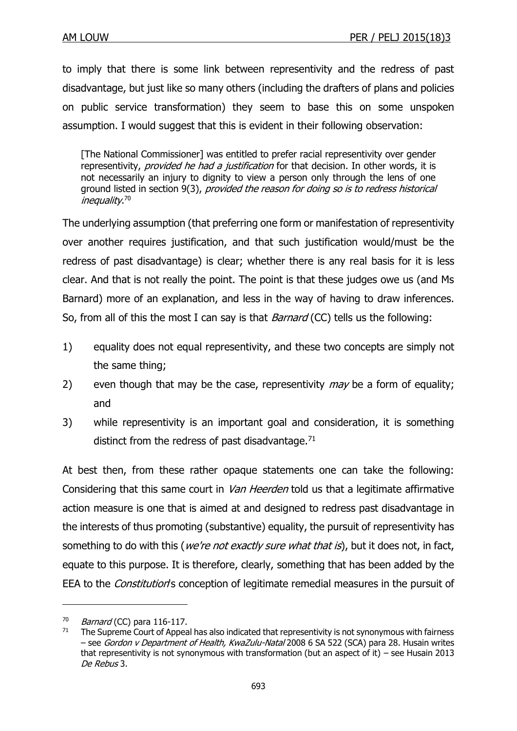to imply that there is some link between representivity and the redress of past disadvantage, but just like so many others (including the drafters of plans and policies on public service transformation) they seem to base this on some unspoken assumption. I would suggest that this is evident in their following observation:

[The National Commissioner] was entitled to prefer racial representivity over gender representivity, *provided he had a justification* for that decision. In other words, it is not necessarily an injury to dignity to view a person only through the lens of one ground listed in section 9(3), provided the reason for doing so is to redress historical inequality. 70

The underlying assumption (that preferring one form or manifestation of representivity over another requires justification, and that such justification would/must be the redress of past disadvantage) is clear; whether there is any real basis for it is less clear. And that is not really the point. The point is that these judges owe us (and Ms Barnard) more of an explanation, and less in the way of having to draw inferences. So, from all of this the most I can say is that *Barnard* (CC) tells us the following:

- 1) equality does not equal representivity, and these two concepts are simply not the same thing;
- 2) even though that may be the case, representivity  $m$ ay be a form of equality; and
- 3) while representivity is an important goal and consideration, it is something distinct from the redress of past disadvantage. $71$

At best then, from these rather opaque statements one can take the following: Considering that this same court in *Van Heerden* told us that a legitimate affirmative action measure is one that is aimed at and designed to redress past disadvantage in the interests of thus promoting (substantive) equality, the pursuit of representivity has something to do with this (*we're not exactly sure what that is*), but it does not, in fact, equate to this purpose. It is therefore, clearly, something that has been added by the EEA to the *Constitution*'s conception of legitimate remedial measures in the pursuit of

 $\frac{70}{71}$  *Barnard* (CC) para 116-117.

The Supreme Court of Appeal has also indicated that representivity is not synonymous with fairness – see Gordon v Department of Health, KwaZulu-Natal 2008 6 SA 522 (SCA) para 28. Husain writes that representivity is not synonymous with transformation (but an aspect of it) – see Husain 2013 De Rebus 3.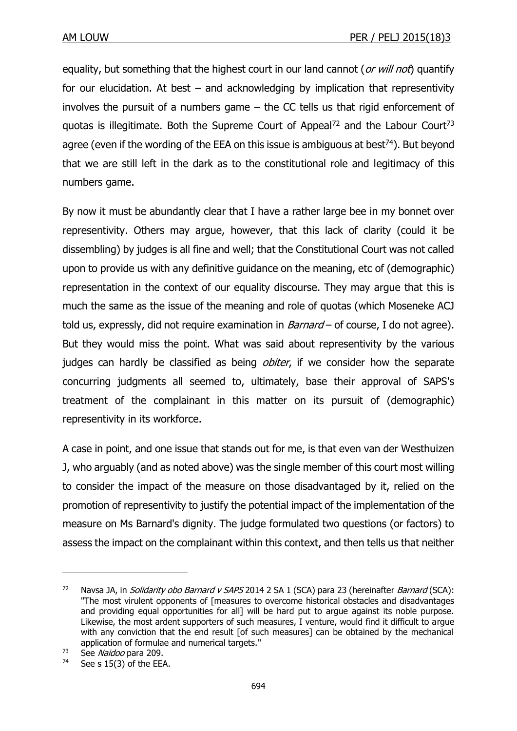equality, but something that the highest court in our land cannot (or will not) quantify for our elucidation. At best  $-$  and acknowledging by implication that representivity involves the pursuit of a numbers game – the CC tells us that rigid enforcement of quotas is illegitimate. Both the Supreme Court of Appeal<sup>72</sup> and the Labour Court<sup>73</sup> agree (even if the wording of the EEA on this issue is ambiguous at best<sup>74</sup>). But beyond that we are still left in the dark as to the constitutional role and legitimacy of this numbers game.

By now it must be abundantly clear that I have a rather large bee in my bonnet over representivity. Others may argue, however, that this lack of clarity (could it be dissembling) by judges is all fine and well; that the Constitutional Court was not called upon to provide us with any definitive guidance on the meaning, etc of (demographic) representation in the context of our equality discourse. They may argue that this is much the same as the issue of the meaning and role of quotas (which Moseneke ACJ told us, expressly, did not require examination in *Barnard* – of course, I do not agree). But they would miss the point. What was said about representivity by the various judges can hardly be classified as being *obiter*, if we consider how the separate concurring judgments all seemed to, ultimately, base their approval of SAPS's treatment of the complainant in this matter on its pursuit of (demographic) representivity in its workforce.

A case in point, and one issue that stands out for me, is that even van der Westhuizen J, who arguably (and as noted above) was the single member of this court most willing to consider the impact of the measure on those disadvantaged by it, relied on the promotion of representivity to justify the potential impact of the implementation of the measure on Ms Barnard's dignity. The judge formulated two questions (or factors) to assess the impact on the complainant within this context, and then tells us that neither

<sup>&</sup>lt;sup>72</sup> Navsa JA, in *Solidarity obo Barnard v SAPS* 2014 2 SA 1 (SCA) para 23 (hereinafter *Barnard* (SCA): "The most virulent opponents of [measures to overcome historical obstacles and disadvantages and providing equal opportunities for all] will be hard put to argue against its noble purpose. Likewise, the most ardent supporters of such measures, I venture, would find it difficult to argue with any conviction that the end result [of such measures] can be obtained by the mechanical application of formulae and numerical targets."

 $73$  See Naidoo para 209.

 $74$  See s 15(3) of the EEA.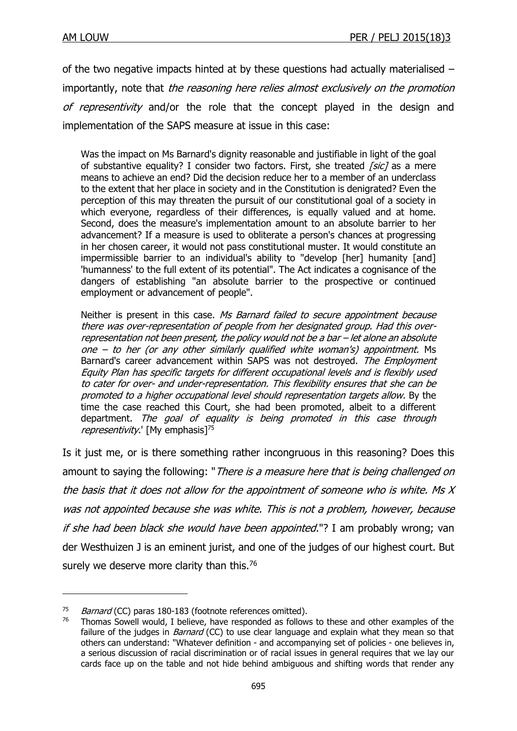of the two negative impacts hinted at by these questions had actually materialised – importantly, note that the reasoning here relies almost exclusively on the promotion of representivity and/or the role that the concept played in the design and implementation of the SAPS measure at issue in this case:

Was the impact on Ms Barnard's dignity reasonable and justifiable in light of the goal of substantive equality? I consider two factors. First, she treated  $\sqrt{s}$  as a mere means to achieve an end? Did the decision reduce her to a member of an underclass to the extent that her place in society and in the Constitution is denigrated? Even the perception of this may threaten the pursuit of our constitutional goal of a society in which everyone, regardless of their differences, is equally valued and at home. Second, does the measure's implementation amount to an absolute barrier to her advancement? If a measure is used to obliterate a person's chances at progressing in her chosen career, it would not pass constitutional muster. It would constitute an impermissible barrier to an individual's ability to "develop [her] humanity [and] 'humanness' to the full extent of its potential". The Act indicates a cognisance of the dangers of establishing "an absolute barrier to the prospective or continued employment or advancement of people".

Neither is present in this case. Ms Barnard failed to secure appointment because there was over-representation of people from her designated group. Had this overrepresentation not been present, the policy would not be a bar – let alone an absolute one – to her (or any other similarly qualified white woman's) appointment. Ms Barnard's career advancement within SAPS was not destroyed. The Employment Equity Plan has specific targets for different occupational levels and is flexibly used to cater for over- and under-representation. This flexibility ensures that she can be promoted to a higher occupational level should representation targets allow. By the time the case reached this Court, she had been promoted, albeit to a different department. The goal of equality is being promoted in this case through *representivity.*' [My emphasis]<sup>75</sup>

Is it just me, or is there something rather incongruous in this reasoning? Does this amount to saying the following: "There is a measure here that is being challenged on the basis that it does not allow for the appointment of someone who is white. Ms  $X$ was not appointed because she was white. This is not a problem, however, because if she had been black she would have been appointed."? I am probably wrong; van der Westhuizen J is an eminent jurist, and one of the judges of our highest court. But surely we deserve more clarity than this.<sup>76</sup>

 $75$  Barnard (CC) paras 180-183 (footnote references omitted).

Thomas Sowell would, I believe, have responded as follows to these and other examples of the failure of the judges in *Barnard* (CC) to use clear language and explain what they mean so that others can understand: "Whatever definition - and accompanying set of policies - one believes in, a serious discussion of racial discrimination or of racial issues in general requires that we lay our cards face up on the table and not hide behind ambiguous and shifting words that render any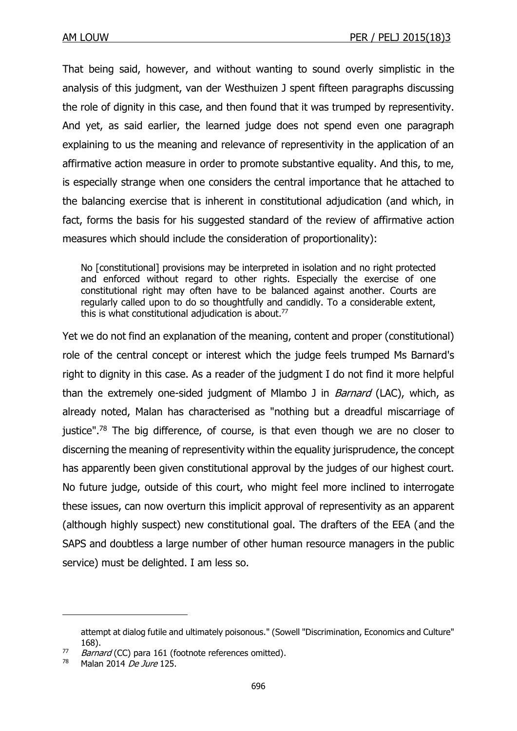That being said, however, and without wanting to sound overly simplistic in the analysis of this judgment, van der Westhuizen J spent fifteen paragraphs discussing the role of dignity in this case, and then found that it was trumped by representivity. And yet, as said earlier, the learned judge does not spend even one paragraph explaining to us the meaning and relevance of representivity in the application of an affirmative action measure in order to promote substantive equality. And this, to me, is especially strange when one considers the central importance that he attached to the balancing exercise that is inherent in constitutional adjudication (and which, in fact, forms the basis for his suggested standard of the review of affirmative action measures which should include the consideration of proportionality):

No [constitutional] provisions may be interpreted in isolation and no right protected and enforced without regard to other rights. Especially the exercise of one constitutional right may often have to be balanced against another. Courts are regularly called upon to do so thoughtfully and candidly. To a considerable extent, this is what constitutional adjudication is about. $77$ 

Yet we do not find an explanation of the meaning, content and proper (constitutional) role of the central concept or interest which the judge feels trumped Ms Barnard's right to dignity in this case. As a reader of the judgment I do not find it more helpful than the extremely one-sided judgment of Mlambo J in *Barnard* (LAC), which, as already noted, Malan has characterised as "nothing but a dreadful miscarriage of justice".<sup>78</sup> The big difference, of course, is that even though we are no closer to discerning the meaning of representivity within the equality jurisprudence, the concept has apparently been given constitutional approval by the judges of our highest court. No future judge, outside of this court, who might feel more inclined to interrogate these issues, can now overturn this implicit approval of representivity as an apparent (although highly suspect) new constitutional goal. The drafters of the EEA (and the SAPS and doubtless a large number of other human resource managers in the public service) must be delighted. I am less so.

attempt at dialog futile and ultimately poisonous." (Sowell "Discrimination, Economics and Culture" 168).

 $77$  Barnard (CC) para 161 (footnote references omitted).

<sup>78</sup> Malan 2014 De Jure 125.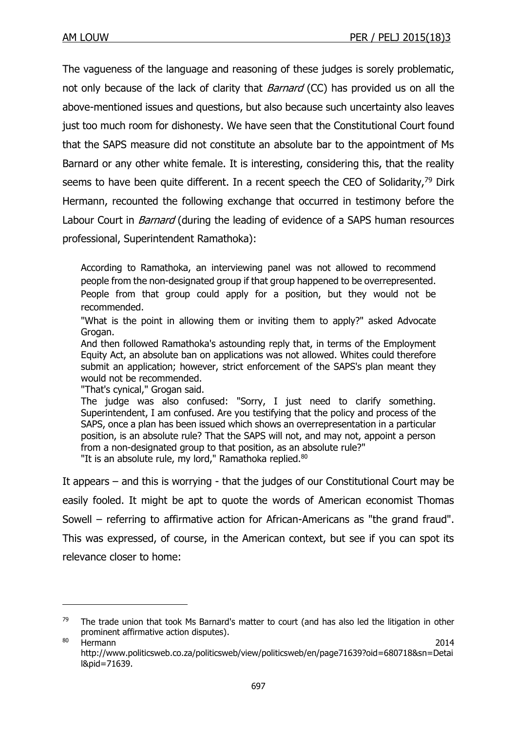The vagueness of the language and reasoning of these judges is sorely problematic, not only because of the lack of clarity that *Barnard* (CC) has provided us on all the above-mentioned issues and questions, but also because such uncertainty also leaves just too much room for dishonesty. We have seen that the Constitutional Court found that the SAPS measure did not constitute an absolute bar to the appointment of Ms Barnard or any other white female. It is interesting, considering this, that the reality seems to have been quite different. In a recent speech the CEO of Solidarity, $79$  Dirk Hermann, recounted the following exchange that occurred in testimony before the Labour Court in *Barnard* (during the leading of evidence of a SAPS human resources professional, Superintendent Ramathoka):

According to Ramathoka, an interviewing panel was not allowed to recommend people from the non-designated group if that group happened to be overrepresented. People from that group could apply for a position, but they would not be recommended.

"What is the point in allowing them or inviting them to apply?" asked Advocate Grogan.

And then followed Ramathoka's astounding reply that, in terms of the Employment Equity Act, an absolute ban on applications was not allowed. Whites could therefore submit an application; however, strict enforcement of the SAPS's plan meant they would not be recommended.

"That's cynical," Grogan said.

-

The judge was also confused: "Sorry, I just need to clarify something. Superintendent, I am confused. Are you testifying that the policy and process of the SAPS, once a plan has been issued which shows an overrepresentation in a particular position, is an absolute rule? That the SAPS will not, and may not, appoint a person from a non-designated group to that position, as an absolute rule?" "It is an absolute rule, my lord," Ramathoka replied.<sup>80</sup>

It appears – and this is worrying - that the judges of our Constitutional Court may be easily fooled. It might be apt to quote the words of American economist Thomas Sowell – referring to affirmative action for African-Americans as "the grand fraud". This was expressed, of course, in the American context, but see if you can spot its relevance closer to home:

 $79$  The trade union that took Ms Barnard's matter to court (and has also led the litigation in other prominent affirmative action disputes).

 $80$  Hermann 2014 http://www.politicsweb.co.za/politicsweb/view/politicsweb/en/page71639?oid=680718&sn=Detai l&pid=71639.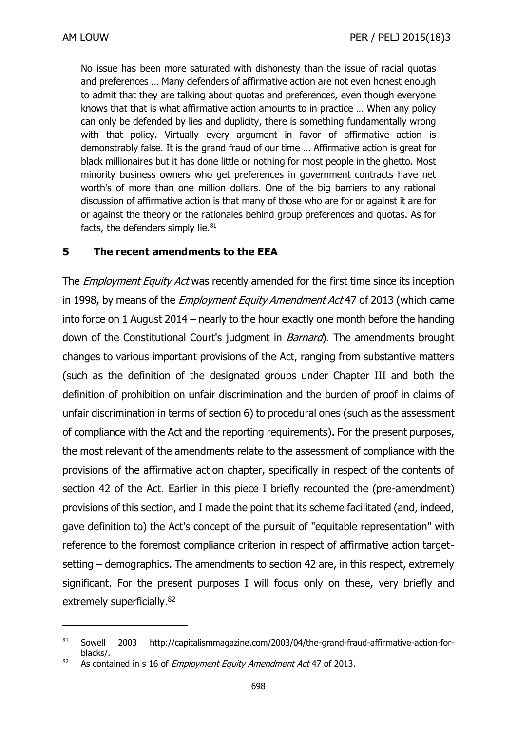No issue has been more saturated with dishonesty than the issue of racial quotas and preferences … Many defenders of affirmative action are not even honest enough to admit that they are talking about quotas and preferences, even though everyone knows that that is what affirmative action amounts to in practice … When any policy can only be defended by lies and duplicity, there is something fundamentally wrong with that policy. Virtually every argument in favor of affirmative action is demonstrably false. It is the grand fraud of our time … Affirmative action is great for black millionaires but it has done little or nothing for most people in the ghetto. Most minority business owners who get preferences in government contracts have net worth's of more than one million dollars. One of the big barriers to any rational discussion of affirmative action is that many of those who are for or against it are for or against the theory or the rationales behind group preferences and quotas. As for facts, the defenders simply lie. $81$ 

## **5 The recent amendments to the EEA**

The *Employment Equity Act* was recently amended for the first time since its inception in 1998, by means of the *Employment Equity Amendment Act* 47 of 2013 (which came into force on 1 August 2014 – nearly to the hour exactly one month before the handing down of the Constitutional Court's judgment in *Barnard*). The amendments brought changes to various important provisions of the Act, ranging from substantive matters (such as the definition of the designated groups under Chapter III and both the definition of prohibition on unfair discrimination and the burden of proof in claims of unfair discrimination in terms of section 6) to procedural ones (such as the assessment of compliance with the Act and the reporting requirements). For the present purposes, the most relevant of the amendments relate to the assessment of compliance with the provisions of the affirmative action chapter, specifically in respect of the contents of section 42 of the Act. Earlier in this piece I briefly recounted the (pre-amendment) provisions of this section, and I made the point that its scheme facilitated (and, indeed, gave definition to) the Act's concept of the pursuit of "equitable representation" with reference to the foremost compliance criterion in respect of affirmative action targetsetting – demographics. The amendments to section 42 are, in this respect, extremely significant. For the present purposes I will focus only on these, very briefly and extremely superficially.<sup>82</sup>

<sup>81</sup> Sowell 2003 http://capitalismmagazine.com/2003/04/the-grand-fraud-affirmative-action-forblacks/.

<sup>82</sup> As contained in s 16 of *Employment Equity Amendment Act* 47 of 2013.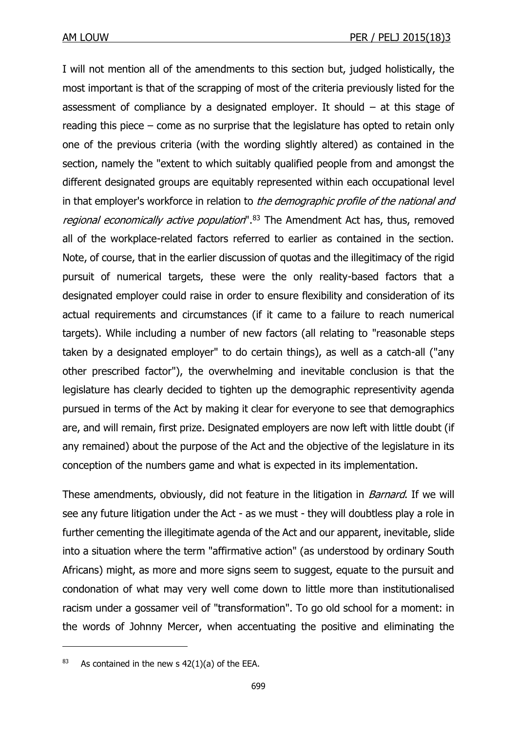I will not mention all of the amendments to this section but, judged holistically, the most important is that of the scrapping of most of the criteria previously listed for the assessment of compliance by a designated employer. It should  $-$  at this stage of reading this piece – come as no surprise that the legislature has opted to retain only one of the previous criteria (with the wording slightly altered) as contained in the section, namely the "extent to which suitably qualified people from and amongst the different designated groups are equitably represented within each occupational level in that employer's workforce in relation to the demographic profile of the national and regional economically active population".<sup>83</sup> The Amendment Act has, thus, removed all of the workplace-related factors referred to earlier as contained in the section. Note, of course, that in the earlier discussion of quotas and the illegitimacy of the rigid pursuit of numerical targets, these were the only reality-based factors that a designated employer could raise in order to ensure flexibility and consideration of its actual requirements and circumstances (if it came to a failure to reach numerical targets). While including a number of new factors (all relating to "reasonable steps taken by a designated employer" to do certain things), as well as a catch-all ("any other prescribed factor"), the overwhelming and inevitable conclusion is that the legislature has clearly decided to tighten up the demographic representivity agenda pursued in terms of the Act by making it clear for everyone to see that demographics are, and will remain, first prize. Designated employers are now left with little doubt (if any remained) about the purpose of the Act and the objective of the legislature in its conception of the numbers game and what is expected in its implementation.

These amendments, obviously, did not feature in the litigation in *Barnard*. If we will see any future litigation under the Act - as we must - they will doubtless play a role in further cementing the illegitimate agenda of the Act and our apparent, inevitable, slide into a situation where the term "affirmative action" (as understood by ordinary South Africans) might, as more and more signs seem to suggest, equate to the pursuit and condonation of what may very well come down to little more than institutionalised racism under a gossamer veil of "transformation". To go old school for a moment: in the words of Johnny Mercer, when accentuating the positive and eliminating the

<sup>83</sup> As contained in the new s  $42(1)(a)$  of the EEA.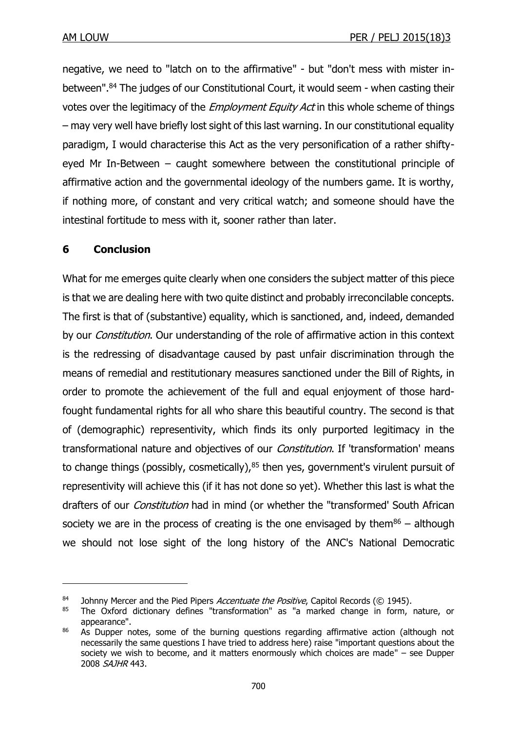negative, we need to "latch on to the affirmative" - but "don't mess with mister inbetween".<sup>84</sup> The judges of our Constitutional Court, it would seem - when casting their votes over the legitimacy of the *Employment Equity Act* in this whole scheme of things – may very well have briefly lost sight of this last warning. In our constitutional equality paradigm, I would characterise this Act as the very personification of a rather shiftyeyed Mr In-Between – caught somewhere between the constitutional principle of affirmative action and the governmental ideology of the numbers game. It is worthy, if nothing more, of constant and very critical watch; and someone should have the intestinal fortitude to mess with it, sooner rather than later.

## **6 Conclusion**

-

What for me emerges quite clearly when one considers the subject matter of this piece is that we are dealing here with two quite distinct and probably irreconcilable concepts. The first is that of (substantive) equality, which is sanctioned, and, indeed, demanded by our *Constitution*. Our understanding of the role of affirmative action in this context is the redressing of disadvantage caused by past unfair discrimination through the means of remedial and restitutionary measures sanctioned under the Bill of Rights, in order to promote the achievement of the full and equal enjoyment of those hardfought fundamental rights for all who share this beautiful country. The second is that of (demographic) representivity, which finds its only purported legitimacy in the transformational nature and objectives of our *Constitution*. If 'transformation' means to change things (possibly, cosmetically), $85$  then yes, government's virulent pursuit of representivity will achieve this (if it has not done so yet). Whether this last is what the drafters of our *Constitution* had in mind (or whether the "transformed' South African society we are in the process of creating is the one envisaged by them $86 -$  although we should not lose sight of the long history of the ANC's National Democratic

<sup>84</sup> Johnny Mercer and the Pied Pipers Accentuate the Positive, Capitol Records (© 1945).

<sup>&</sup>lt;sup>85</sup> The Oxford dictionary defines "transformation" as "a marked change in form, nature, or appearance".

 $86$  As Dupper notes, some of the burning questions regarding affirmative action (although not necessarily the same questions I have tried to address here) raise "important questions about the society we wish to become, and it matters enormously which choices are made" – see Dupper 2008 SAJHR 443.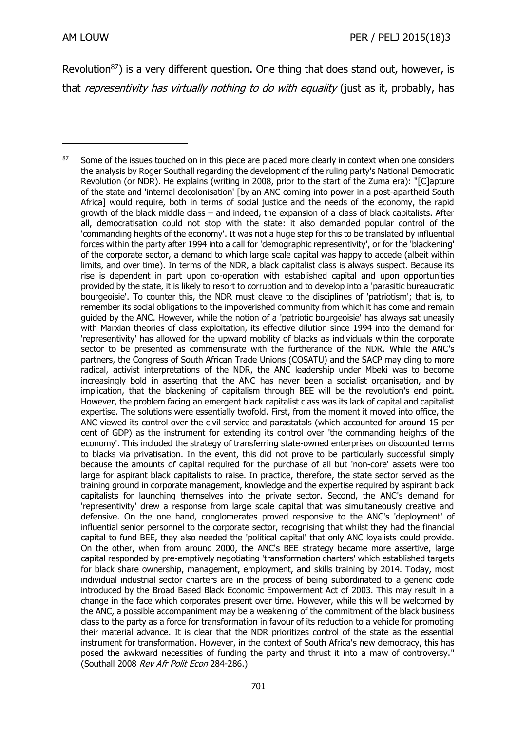Revolution<sup>87</sup>) is a very different question. One thing that does stand out, however, is that representivity has virtually nothing to do with equality (just as it, probably, has

<sup>&</sup>lt;sup>87</sup> Some of the issues touched on in this piece are placed more clearly in context when one considers the analysis by Roger Southall regarding the development of the ruling party's National Democratic Revolution (or NDR). He explains (writing in 2008, prior to the start of the Zuma era): "[C]apture of the state and 'internal decolonisation' [by an ANC coming into power in a post-apartheid South Africa] would require, both in terms of social justice and the needs of the economy, the rapid growth of the black middle class – and indeed, the expansion of a class of black capitalists. After all, democratisation could not stop with the state: it also demanded popular control of the 'commanding heights of the economy'. It was not a huge step for this to be translated by influential forces within the party after 1994 into a call for 'demographic representivity', or for the 'blackening' of the corporate sector, a demand to which large scale capital was happy to accede (albeit within limits, and over time). In terms of the NDR, a black capitalist class is always suspect. Because its rise is dependent in part upon co-operation with established capital and upon opportunities provided by the state, it is likely to resort to corruption and to develop into a 'parasitic bureaucratic bourgeoisie'. To counter this, the NDR must cleave to the disciplines of 'patriotism'; that is, to remember its social obligations to the impoverished community from which it has come and remain guided by the ANC. However, while the notion of a 'patriotic bourgeoisie' has always sat uneasily with Marxian theories of class exploitation, its effective dilution since 1994 into the demand for 'representivity' has allowed for the upward mobility of blacks as individuals within the corporate sector to be presented as commensurate with the furtherance of the NDR. While the ANC's partners, the Congress of South African Trade Unions (COSATU) and the SACP may cling to more radical, activist interpretations of the NDR, the ANC leadership under Mbeki was to become increasingly bold in asserting that the ANC has never been a socialist organisation, and by implication, that the blackening of capitalism through BEE will be the revolution's end point. However, the problem facing an emergent black capitalist class was its lack of capital and capitalist expertise. The solutions were essentially twofold. First, from the moment it moved into office, the ANC viewed its control over the civil service and parastatals (which accounted for around 15 per cent of GDP) as the instrument for extending its control over 'the commanding heights of the economy'. This included the strategy of transferring state-owned enterprises on discounted terms to blacks via privatisation. In the event, this did not prove to be particularly successful simply because the amounts of capital required for the purchase of all but 'non-core' assets were too large for aspirant black capitalists to raise. In practice, therefore, the state sector served as the training ground in corporate management, knowledge and the expertise required by aspirant black capitalists for launching themselves into the private sector. Second, the ANC's demand for 'representivity' drew a response from large scale capital that was simultaneously creative and defensive. On the one hand, conglomerates proved responsive to the ANC's 'deployment' of influential senior personnel to the corporate sector, recognising that whilst they had the financial capital to fund BEE, they also needed the 'political capital' that only ANC loyalists could provide. On the other, when from around 2000, the ANC's BEE strategy became more assertive, large capital responded by pre-emptively negotiating 'transformation charters' which established targets for black share ownership, management, employment, and skills training by 2014. Today, most individual industrial sector charters are in the process of being subordinated to a generic code introduced by the Broad Based Black Economic Empowerment Act of 2003. This may result in a change in the face which corporates present over time. However, while this will be welcomed by the ANC, a possible accompaniment may be a weakening of the commitment of the black business class to the party as a force for transformation in favour of its reduction to a vehicle for promoting their material advance. It is clear that the NDR prioritizes control of the state as the essential instrument for transformation. However, in the context of South Africa's new democracy, this has posed the awkward necessities of funding the party and thrust it into a maw of controversy." (Southall 2008 Rev Afr Polit Econ 284-286.)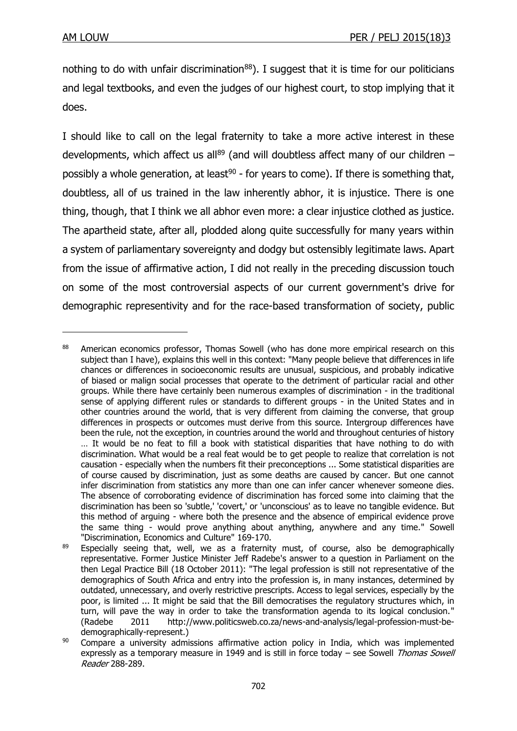nothing to do with unfair discrimination $88$ ). I suggest that it is time for our politicians and legal textbooks, and even the judges of our highest court, to stop implying that it does.

I should like to call on the legal fraternity to take a more active interest in these developments, which affect us all<sup>89</sup> (and will doubtless affect many of our children  $$ possibly a whole generation, at least<sup>90</sup> - for years to come). If there is something that, doubtless, all of us trained in the law inherently abhor, it is injustice. There is one thing, though, that I think we all abhor even more: a clear injustice clothed as justice. The apartheid state, after all, plodded along quite successfully for many years within a system of parliamentary sovereignty and dodgy but ostensibly legitimate laws. Apart from the issue of affirmative action, I did not really in the preceding discussion touch on some of the most controversial aspects of our current government's drive for demographic representivity and for the race-based transformation of society, public

<sup>88</sup> American economics professor, Thomas Sowell (who has done more empirical research on this subject than I have), explains this well in this context: "Many people believe that differences in life chances or differences in socioeconomic results are unusual, suspicious, and probably indicative of biased or malign social processes that operate to the detriment of particular racial and other groups. While there have certainly been numerous examples of discrimination - in the traditional sense of applying different rules or standards to different groups - in the United States and in other countries around the world, that is very different from claiming the converse, that group differences in prospects or outcomes must derive from this source. Intergroup differences have been the rule, not the exception, in countries around the world and throughout centuries of history … It would be no feat to fill a book with statistical disparities that have nothing to do with discrimination. What would be a real feat would be to get people to realize that correlation is not causation - especially when the numbers fit their preconceptions ... Some statistical disparities are of course caused by discrimination, just as some deaths are caused by cancer. But one cannot infer discrimination from statistics any more than one can infer cancer whenever someone dies. The absence of corroborating evidence of discrimination has forced some into claiming that the discrimination has been so 'subtle,' 'covert,' or 'unconscious' as to leave no tangible evidence. But this method of arguing - where both the presence and the absence of empirical evidence prove the same thing - would prove anything about anything, anywhere and any time." Sowell "Discrimination, Economics and Culture" 169-170.

<sup>89</sup> Especially seeing that, well, we as a fraternity must, of course, also be demographically representative. Former Justice Minister Jeff Radebe's answer to a question in Parliament on the then Legal Practice Bill (18 October 2011): "The legal profession is still not representative of the demographics of South Africa and entry into the profession is, in many instances, determined by outdated, unnecessary, and overly restrictive prescripts. Access to legal services, especially by the poor, is limited ... It might be said that the Bill democratises the regulatory structures which, in turn, will pave the way in order to take the transformation agenda to its logical conclusion." (Radebe 2011 http://www.politicsweb.co.za/news-and-analysis/legal-profession-must-bedemographically-represent.)

 $90$  Compare a university admissions affirmative action policy in India, which was implemented expressly as a temporary measure in 1949 and is still in force today – see Sowell Thomas Sowell Reader 288-289.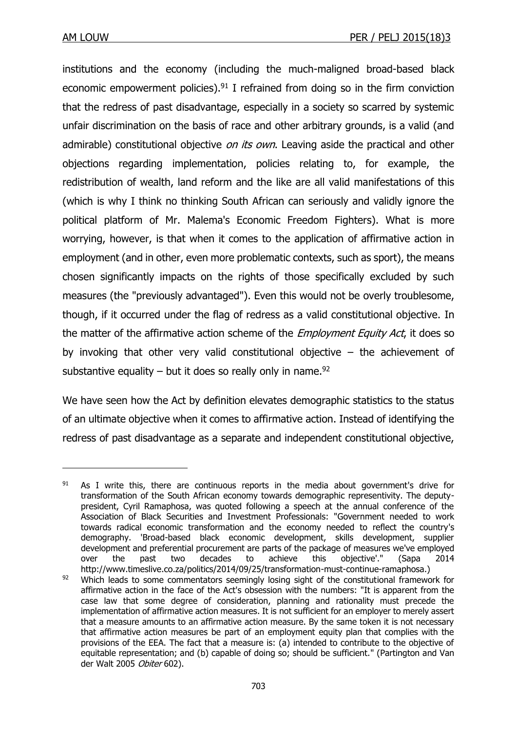institutions and the economy (including the much-maligned broad-based black economic empowerment policies).<sup>91</sup> I refrained from doing so in the firm conviction that the redress of past disadvantage, especially in a society so scarred by systemic unfair discrimination on the basis of race and other arbitrary grounds, is a valid (and admirable) constitutional objective on its own. Leaving aside the practical and other objections regarding implementation, policies relating to, for example, the redistribution of wealth, land reform and the like are all valid manifestations of this (which is why I think no thinking South African can seriously and validly ignore the political platform of Mr. Malema's Economic Freedom Fighters). What is more worrying, however, is that when it comes to the application of affirmative action in employment (and in other, even more problematic contexts, such as sport), the means chosen significantly impacts on the rights of those specifically excluded by such measures (the "previously advantaged"). Even this would not be overly troublesome, though, if it occurred under the flag of redress as a valid constitutional objective. In the matter of the affirmative action scheme of the *Employment Equity Act*, it does so by invoking that other very valid constitutional objective – the achievement of substantive equality – but it does so really only in name. $92$ 

We have seen how the Act by definition elevates demographic statistics to the status of an ultimate objective when it comes to affirmative action. Instead of identifying the redress of past disadvantage as a separate and independent constitutional objective,

 $91$  As I write this, there are continuous reports in the media about government's drive for transformation of the South African economy towards demographic representivity. The deputypresident, Cyril Ramaphosa, was quoted following a speech at the annual conference of the Association of Black Securities and Investment Professionals: "Government needed to work towards radical economic transformation and the economy needed to reflect the country's demography. 'Broad-based black economic development, skills development, supplier development and preferential procurement are parts of the package of measures we've employed over the past two decades to achieve this objective'." (Sapa 2014 http://www.timeslive.co.za/politics/2014/09/25/transformation-must-continue-ramaphosa.)

<sup>92</sup> Which leads to some commentators seemingly losing sight of the constitutional framework for affirmative action in the face of the Act's obsession with the numbers: "It is apparent from the case law that some degree of consideration, planning and rationality must precede the implementation of affirmative action measures. It is not sufficient for an employer to merely assert that a measure amounts to an affirmative action measure. By the same token it is not necessary that affirmative action measures be part of an employment equity plan that complies with the provisions of the EEA. The fact that a measure is: (a) intended to contribute to the objective of equitable representation; and (b) capable of doing so; should be sufficient." (Partington and Van der Walt 2005 Obiter 602).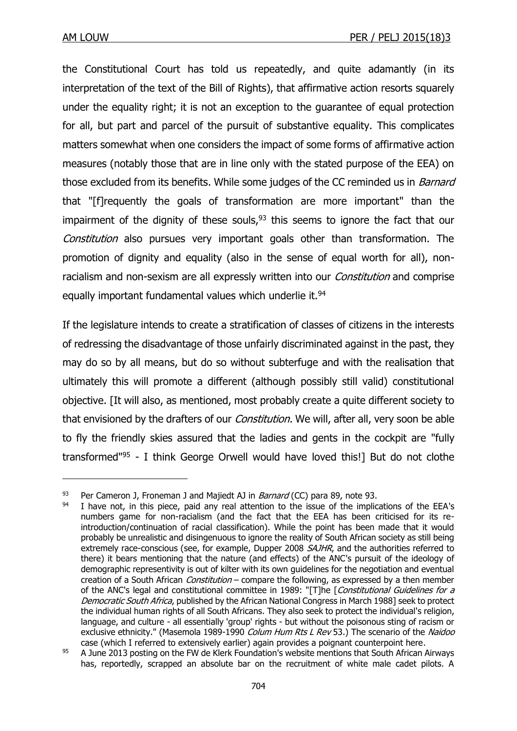the Constitutional Court has told us repeatedly, and quite adamantly (in its interpretation of the text of the Bill of Rights), that affirmative action resorts squarely under the equality right; it is not an exception to the guarantee of equal protection for all, but part and parcel of the pursuit of substantive equality. This complicates matters somewhat when one considers the impact of some forms of affirmative action measures (notably those that are in line only with the stated purpose of the EEA) on those excluded from its benefits. While some judges of the CC reminded us in *Barnard* that "[f]requently the goals of transformation are more important" than the impairment of the dignity of these souls,  $93$  this seems to ignore the fact that our Constitution also pursues very important goals other than transformation. The promotion of dignity and equality (also in the sense of equal worth for all), nonracialism and non-sexism are all expressly written into our *Constitution* and comprise equally important fundamental values which underlie it.<sup>94</sup>

If the legislature intends to create a stratification of classes of citizens in the interests of redressing the disadvantage of those unfairly discriminated against in the past, they may do so by all means, but do so without subterfuge and with the realisation that ultimately this will promote a different (although possibly still valid) constitutional objective. [It will also, as mentioned, most probably create a quite different society to that envisioned by the drafters of our *Constitution*. We will, after all, very soon be able to fly the friendly skies assured that the ladies and gents in the cockpit are "fully transformed" <sup>95</sup> - I think George Orwell would have loved this!] But do not clothe

<sup>93</sup> Per Cameron J, Froneman J and Majiedt AJ in *Barnard* (CC) para 89, note 93.

<sup>94</sup> I have not, in this piece, paid any real attention to the issue of the implications of the EEA's numbers game for non-racialism (and the fact that the EEA has been criticised for its reintroduction/continuation of racial classification). While the point has been made that it would probably be unrealistic and disingenuous to ignore the reality of South African society as still being extremely race-conscious (see, for example, Dupper 2008 SAJHR, and the authorities referred to there) it bears mentioning that the nature (and effects) of the ANC's pursuit of the ideology of demographic representivity is out of kilter with its own guidelines for the negotiation and eventual creation of a South African *Constitution* – compare the following, as expressed by a then member of the ANC's legal and constitutional committee in 1989: "[T]he [Constitutional Guidelines for a Democratic South Africa, published by the African National Congress in March 1988] seek to protect the individual human rights of all South Africans. They also seek to protect the individual's religion, language, and culture - all essentially 'group' rights - but without the poisonous sting of racism or exclusive ethnicity." (Masemola 1989-1990 *Colum Hum Rts L Rev* 53.) The scenario of the Naidoo case (which I referred to extensively earlier) again provides a poignant counterpoint here.

<sup>&</sup>lt;sup>95</sup> A June 2013 posting on the FW de Klerk Foundation's website mentions that South African Airways has, reportedly, scrapped an absolute bar on the recruitment of white male cadet pilots. A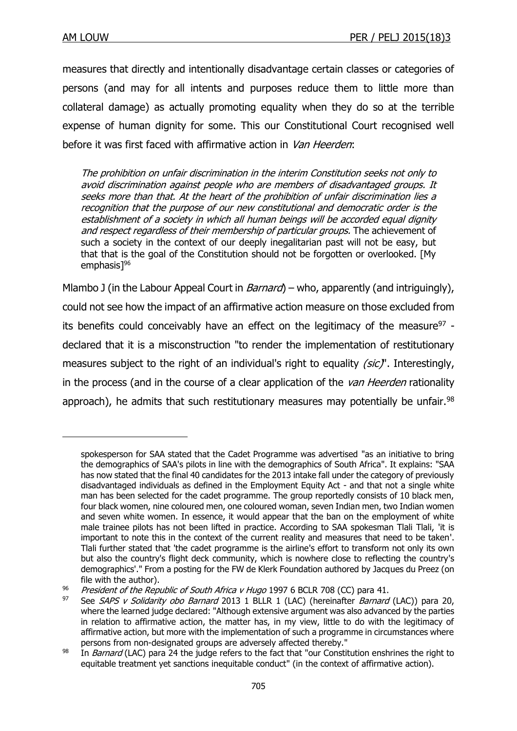measures that directly and intentionally disadvantage certain classes or categories of persons (and may for all intents and purposes reduce them to little more than collateral damage) as actually promoting equality when they do so at the terrible expense of human dignity for some. This our Constitutional Court recognised well before it was first faced with affirmative action in Van Heerden:

The prohibition on unfair discrimination in the interim Constitution seeks not only to avoid discrimination against people who are members of disadvantaged groups. It seeks more than that. At the heart of the prohibition of unfair discrimination lies a recognition that the purpose of our new constitutional and democratic order is the establishment of a society in which all human beings will be accorded equal dignity and respect regardless of their membership of particular groups. The achievement of such a society in the context of our deeply inegalitarian past will not be easy, but that that is the goal of the Constitution should not be forgotten or overlooked. [My emphasis<sup>196</sup>

Mlambo J (in the Labour Appeal Court in *Barnard*) – who, apparently (and intriguingly), could not see how the impact of an affirmative action measure on those excluded from its benefits could conceivably have an effect on the legitimacy of the measure<sup>97</sup> declared that it is a misconstruction "to render the implementation of restitutionary measures subject to the right of an individual's right to equality (sic)'. Interestingly, in the process (and in the course of a clear application of the van Heerden rationality approach), he admits that such restitutionary measures may potentially be unfair.<sup>98</sup>

spokesperson for SAA stated that the Cadet Programme was advertised "as an initiative to bring the demographics of SAA's pilots in line with the demographics of South Africa". It explains: "SAA has now stated that the final 40 candidates for the 2013 intake fall under the category of previously disadvantaged individuals as defined in the Employment Equity Act - and that not a single white man has been selected for the cadet programme. The group reportedly consists of 10 black men, four black women, nine coloured men, one coloured woman, seven Indian men, two Indian women and seven white women. In essence, it would appear that the ban on the employment of white male trainee pilots has not been lifted in practice. According to SAA spokesman Tlali Tlali, 'it is important to note this in the context of the current reality and measures that need to be taken'. Tlali further stated that 'the cadet programme is the airline's effort to transform not only its own but also the country's flight deck community, which is nowhere close to reflecting the country's demographics'." From a posting for the FW de Klerk Foundation authored by Jacques du Preez (on file with the author).

<sup>&</sup>lt;sup>96</sup> President of the Republic of South Africa v Hugo 1997 6 BCLR 708 (CC) para 41.

See SAPS v Solidarity obo Barnard 2013 1 BLLR 1 (LAC) (hereinafter Barnard (LAC)) para 20, where the learned judge declared: "Although extensive argument was also advanced by the parties in relation to affirmative action, the matter has, in my view, little to do with the legitimacy of affirmative action, but more with the implementation of such a programme in circumstances where persons from non-designated groups are adversely affected thereby."

<sup>&</sup>lt;sup>98</sup> In *Barnard* (LAC) para 24 the judge refers to the fact that "our Constitution enshrines the right to equitable treatment yet sanctions inequitable conduct" (in the context of affirmative action).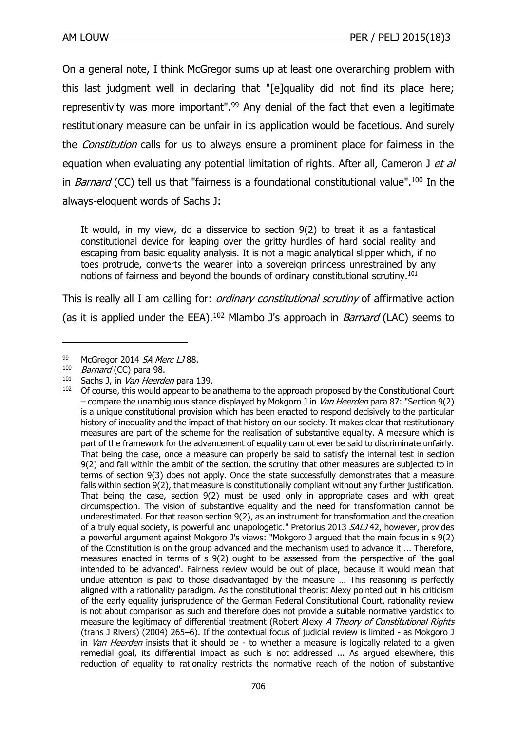On a general note, I think McGregor sums up at least one overarching problem with this last judgment well in declaring that "[e]quality did not find its place here; representivity was more important".<sup>99</sup> Any denial of the fact that even a legitimate restitutionary measure can be unfair in its application would be facetious. And surely the *Constitution* calls for us to always ensure a prominent place for fairness in the equation when evaluating any potential limitation of rights. After all, Cameron J et al in *Barnard* (CC) tell us that "fairness is a foundational constitutional value".<sup>100</sup> In the always-eloquent words of Sachs J:

It would, in my view, do a disservice to section 9(2) to treat it as a fantastical constitutional device for leaping over the gritty hurdles of hard social reality and escaping from basic equality analysis. It is not a magic analytical slipper which, if no toes protrude, converts the wearer into a sovereign princess unrestrained by any notions of fairness and beyond the bounds of ordinary constitutional scrutiny.<sup>101</sup>

This is really all I am calling for: *ordinary constitutional scrutiny* of affirmative action (as it is applied under the EEA).<sup>102</sup> Mlambo J's approach in *Barnard* (LAC) seems to

<sup>&</sup>lt;sup>99</sup> McGregor 2014 *SA Merc LJ* 88.<br><sup>100</sup> Barnard (CC) para 98

 $\frac{100}{101}$  *Barnard* (CC) para 98.

Sachs J, in Van Heerden para 139.

<sup>&</sup>lt;sup>102</sup> Of course, this would appear to be anathema to the approach proposed by the Constitutional Court – compare the unambiguous stance displayed by Mokgoro J in Van Heerden para 87: "Section 9(2) is a unique constitutional provision which has been enacted to respond decisively to the particular history of inequality and the impact of that history on our society. It makes clear that restitutionary measures are part of the scheme for the realisation of substantive equality. A measure which is part of the framework for the advancement of equality cannot ever be said to discriminate unfairly. That being the case, once a measure can properly be said to satisfy the internal test in section 9(2) and fall within the ambit of the section, the scrutiny that other measures are subjected to in terms of section 9(3) does not apply. Once the state successfully demonstrates that a measure falls within section 9(2), that measure is constitutionally compliant without any further justification. That being the case, section 9(2) must be used only in appropriate cases and with great circumspection. The vision of substantive equality and the need for transformation cannot be underestimated. For that reason section 9(2), as an instrument for transformation and the creation of a truly equal society, is powerful and unapologetic." Pretorius 2013 SALJ 42, however, provides a powerful argument against Mokgoro J's views: "Mokgoro J argued that the main focus in s 9(2) of the Constitution is on the group advanced and the mechanism used to advance it ... Therefore, measures enacted in terms of s 9(2) ought to be assessed from the perspective of 'the goal intended to be advanced'. Fairness review would be out of place, because it would mean that undue attention is paid to those disadvantaged by the measure … This reasoning is perfectly aligned with a rationality paradigm. As the constitutional theorist Alexy pointed out in his criticism of the early equality jurisprudence of the German Federal Constitutional Court, rationality review is not about comparison as such and therefore does not provide a suitable normative yardstick to measure the legitimacy of differential treatment (Robert Alexy A Theory of Constitutional Rights (trans J Rivers) (2004) 265–6). If the contextual focus of judicial review is limited - as Mokgoro J in Van Heerden insists that it should be - to whether a measure is logically related to a given remedial goal, its differential impact as such is not addressed ... As argued elsewhere, this reduction of equality to rationality restricts the normative reach of the notion of substantive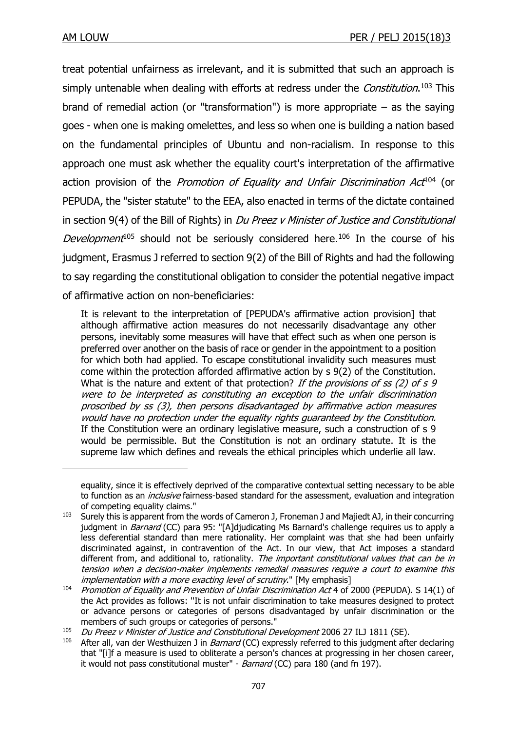treat potential unfairness as irrelevant, and it is submitted that such an approach is simply untenable when dealing with efforts at redress under the *Constitution*.<sup>103</sup> This brand of remedial action (or "transformation") is more appropriate  $-$  as the saying goes - when one is making omelettes, and less so when one is building a nation based on the fundamental principles of Ubuntu and non-racialism. In response to this approach one must ask whether the equality court's interpretation of the affirmative action provision of the *Promotion of Equality and Unfair Discrimination Act*<sup>104</sup> (or PEPUDA, the "sister statute" to the EEA, also enacted in terms of the dictate contained in section 9(4) of the Bill of Rights) in Du Preez v Minister of Justice and Constitutional Development<sup>105</sup> should not be seriously considered here.<sup>106</sup> In the course of his judgment, Erasmus J referred to section 9(2) of the Bill of Rights and had the following to say regarding the constitutional obligation to consider the potential negative impact of affirmative action on non-beneficiaries:

It is relevant to the interpretation of [PEPUDA's affirmative action provision] that although affirmative action measures do not necessarily disadvantage any other persons, inevitably some measures will have that effect such as when one person is preferred over another on the basis of race or gender in the appointment to a position for which both had applied. To escape constitutional invalidity such measures must come within the protection afforded affirmative action by s 9(2) of the Constitution. What is the nature and extent of that protection? If the provisions of  $ss$  (2) of  $s$  9 were to be interpreted as constituting an exception to the unfair discrimination proscribed by ss (3), then persons disadvantaged by affirmative action measures would have no protection under the equality rights guaranteed by the Constitution. If the Constitution were an ordinary legislative measure, such a construction of s 9 would be permissible. But the Constitution is not an ordinary statute. It is the supreme law which defines and reveals the ethical principles which underlie all law.

equality, since it is effectively deprived of the comparative contextual setting necessary to be able to function as an *inclusive* fairness-based standard for the assessment, evaluation and integration of competing equality claims."

 $103$  Surely this is apparent from the words of Cameron J, Froneman J and Majiedt AJ, in their concurring judgment in *Barnard* (CC) para 95: "[A]djudicating Ms Barnard's challenge requires us to apply a less deferential standard than mere rationality. Her complaint was that she had been unfairly discriminated against, in contravention of the Act. In our view, that Act imposes a standard different from, and additional to, rationality. The important constitutional values that can be in tension when a decision-maker implements remedial measures require a court to examine this implementation with a more exacting level of scrutiny." [My emphasis]

<sup>&</sup>lt;sup>104</sup> Promotion of Equality and Prevention of Unfair Discrimination Act 4 of 2000 (PEPUDA). S 14(1) of the Act provides as follows: ''It is not unfair discrimination to take measures designed to protect or advance persons or categories of persons disadvantaged by unfair discrimination or the members of such groups or categories of persons."

<sup>&</sup>lt;sup>105</sup> Du Preez v Minister of Justice and Constitutional Development 2006 27 ILJ 1811 (SE).<br><sup>106</sup> After all van der Westbuizen 1 in *Barnard* (CC) expressly referred to this judgment after

After all, van der Westhuizen J in *Barnard* (CC) expressly referred to this judgment after declaring that "[i]f a measure is used to obliterate a person's chances at progressing in her chosen career, it would not pass constitutional muster" -  $\textit{Barnard}$  (CC) para 180 (and fn 197).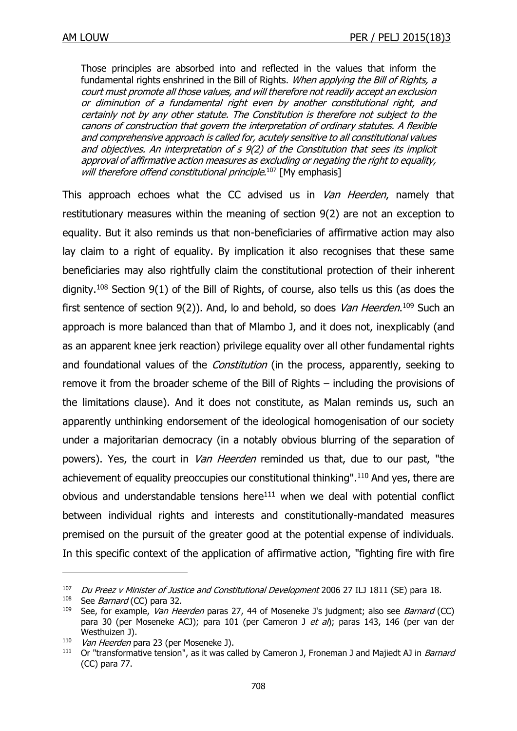Those principles are absorbed into and reflected in the values that inform the fundamental rights enshrined in the Bill of Rights. When applying the Bill of Rights, a court must promote all those values, and will therefore not readily accept an exclusion or diminution of a fundamental right even by another constitutional right, and certainly not by any other statute. The Constitution is therefore not subject to the canons of construction that govern the interpretation of ordinary statutes. A flexible and comprehensive approach is called for, acutely sensitive to all constitutional values and objectives. An interpretation of s 9(2) of the Constitution that sees its implicit approval of affirmative action measures as excluding or negating the right to equality, will therefore offend constitutional principle.<sup>107</sup> [My emphasis]

This approach echoes what the CC advised us in Van Heerden, namely that restitutionary measures within the meaning of section 9(2) are not an exception to equality. But it also reminds us that non-beneficiaries of affirmative action may also lay claim to a right of equality. By implication it also recognises that these same beneficiaries may also rightfully claim the constitutional protection of their inherent dignity.<sup>108</sup> Section 9(1) of the Bill of Rights, of course, also tells us this (as does the first sentence of section 9(2)). And, lo and behold, so does *Van Heerden*.<sup>109</sup> Such an approach is more balanced than that of Mlambo J, and it does not, inexplicably (and as an apparent knee jerk reaction) privilege equality over all other fundamental rights and foundational values of the *Constitution* (in the process, apparently, seeking to remove it from the broader scheme of the Bill of Rights – including the provisions of the limitations clause). And it does not constitute, as Malan reminds us, such an apparently unthinking endorsement of the ideological homogenisation of our society under a majoritarian democracy (in a notably obvious blurring of the separation of powers). Yes, the court in *Van Heerden* reminded us that, due to our past, "the achievement of equality preoccupies our constitutional thinking".<sup>110</sup> And yes, there are obvious and understandable tensions here $111$  when we deal with potential conflict between individual rights and interests and constitutionally-mandated measures premised on the pursuit of the greater good at the potential expense of individuals. In this specific context of the application of affirmative action, "fighting fire with fire

<sup>107</sup> Du Preez v Minister of Justice and Constitutional Development 2006 27 ILJ 1811 (SE) para 18.<br>108 See Barnard (CC) para 32

See *Barnard* (CC) para 32.

<sup>&</sup>lt;sup>109</sup> See, for example, *Van Heerden* paras 27, 44 of Moseneke J's judgment; also see *Barnard* (CC) para 30 (per Moseneke ACJ); para 101 (per Cameron J et al); paras 143, 146 (per van der Westhuizen J).

 $110$  *Van Heerden* para 23 (per Moseneke J).

 $111$  Or "transformative tension", as it was called by Cameron J, Froneman J and Majiedt AJ in *Barnard* (CC) para 77.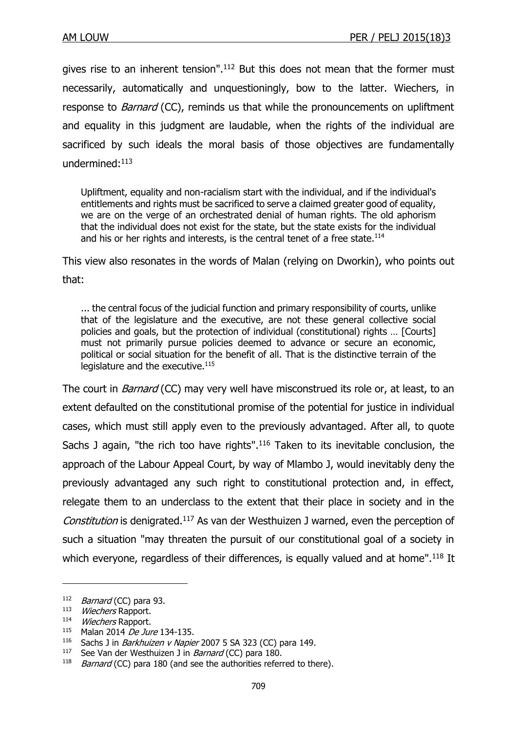gives rise to an inherent tension". <sup>112</sup> But this does not mean that the former must necessarily, automatically and unquestioningly, bow to the latter. Wiechers, in response to *Barnard* (CC), reminds us that while the pronouncements on upliftment and equality in this judgment are laudable, when the rights of the individual are sacrificed by such ideals the moral basis of those objectives are fundamentally undermined: $113$ 

Upliftment, equality and non-racialism start with the individual, and if the individual's entitlements and rights must be sacrificed to serve a claimed greater good of equality, we are on the verge of an orchestrated denial of human rights. The old aphorism that the individual does not exist for the state, but the state exists for the individual and his or her rights and interests, is the central tenet of a free state.<sup>114</sup>

This view also resonates in the words of Malan (relying on Dworkin), who points out that:

... the central focus of the judicial function and primary responsibility of courts, unlike that of the legislature and the executive, are not these general collective social policies and goals, but the protection of individual (constitutional) rights … [Courts] must not primarily pursue policies deemed to advance or secure an economic, political or social situation for the benefit of all. That is the distinctive terrain of the legislature and the executive.<sup>115</sup>

The court in *Barnard* (CC) may very well have misconstrued its role or, at least, to an extent defaulted on the constitutional promise of the potential for justice in individual cases, which must still apply even to the previously advantaged. After all, to quote Sachs J again, "the rich too have rights".<sup>116</sup> Taken to its inevitable conclusion, the approach of the Labour Appeal Court, by way of Mlambo J, would inevitably deny the previously advantaged any such right to constitutional protection and, in effect, relegate them to an underclass to the extent that their place in society and in the Constitution is denigrated.<sup>117</sup> As van der Westhuizen J warned, even the perception of such a situation "may threaten the pursuit of our constitutional goal of a society in which everyone, regardless of their differences, is equally valued and at home".<sup>118</sup> It

<sup>112</sup> *Barnard* (CC) para 93.

<sup>113</sup> Wiechers Rapport.

<sup>&</sup>lt;sup>114</sup> Wiechers Rapport.<br><sup>115</sup> Malan 2014 De Ju

Malan 2014 De Jure 134-135.

<sup>&</sup>lt;sup>116</sup> Sachs J in *Barkhuizen v Napier* 2007 5 SA 323 (CC) para 149.<br><sup>117</sup> See Van der Westhuizen J in *Barnard* (CC) para 180

See Van der Westhuizen J in Barnard (CC) para 180.

 $118$  *Barnard* (CC) para 180 (and see the authorities referred to there).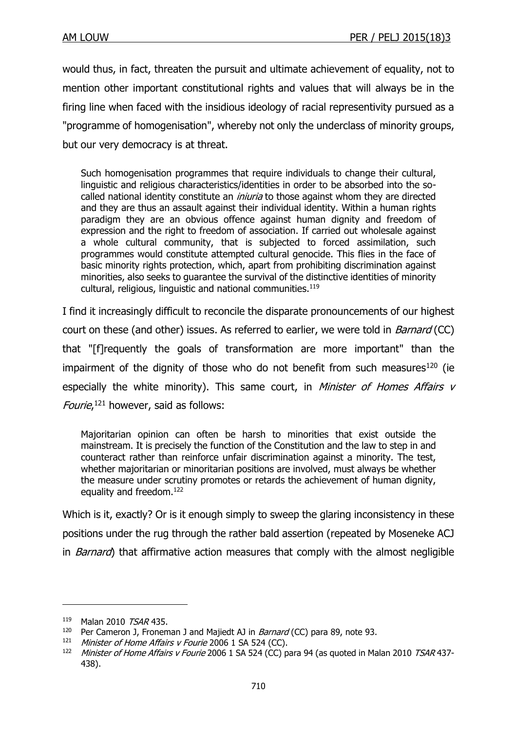would thus, in fact, threaten the pursuit and ultimate achievement of equality, not to mention other important constitutional rights and values that will always be in the firing line when faced with the insidious ideology of racial representivity pursued as a "programme of homogenisation", whereby not only the underclass of minority groups, but our very democracy is at threat.

Such homogenisation programmes that require individuals to change their cultural, linguistic and religious characteristics/identities in order to be absorbed into the socalled national identity constitute an *iniuria* to those against whom they are directed and they are thus an assault against their individual identity. Within a human rights paradigm they are an obvious offence against human dignity and freedom of expression and the right to freedom of association. If carried out wholesale against a whole cultural community, that is subjected to forced assimilation, such programmes would constitute attempted cultural genocide. This flies in the face of basic minority rights protection, which, apart from prohibiting discrimination against minorities, also seeks to guarantee the survival of the distinctive identities of minority cultural, religious, linguistic and national communities.<sup>119</sup>

I find it increasingly difficult to reconcile the disparate pronouncements of our highest court on these (and other) issues. As referred to earlier, we were told in *Barnard* (CC) that "[f]requently the goals of transformation are more important" than the impairment of the dignity of those who do not benefit from such measures<sup>120</sup> (ie especially the white minority). This same court, in *Minister of Homes Affairs v* Fourie,<sup>121</sup> however, said as follows:

Majoritarian opinion can often be harsh to minorities that exist outside the mainstream. It is precisely the function of the Constitution and the law to step in and counteract rather than reinforce unfair discrimination against a minority. The test, whether majoritarian or minoritarian positions are involved, must always be whether the measure under scrutiny promotes or retards the achievement of human dignity, equality and freedom.<sup>122</sup>

Which is it, exactly? Or is it enough simply to sweep the glaring inconsistency in these positions under the rug through the rather bald assertion (repeated by Moseneke ACJ in *Barnard*) that affirmative action measures that comply with the almost negligible

 $^{119}$  Malan 2010 *TSAR* 435.<br> $^{120}$  Per Cameron 1 Fronem

Per Cameron J, Froneman J and Majiedt AJ in *Barnard* (CC) para 89, note 93.

<sup>121</sup> Minister of Home Affairs v Fourie 2006 1 SA 524 (CC).

<sup>&</sup>lt;sup>122</sup> Minister of Home Affairs v Fourie 2006 1 SA 524 (CC) para 94 (as quoted in Malan 2010 TSAR 437-438).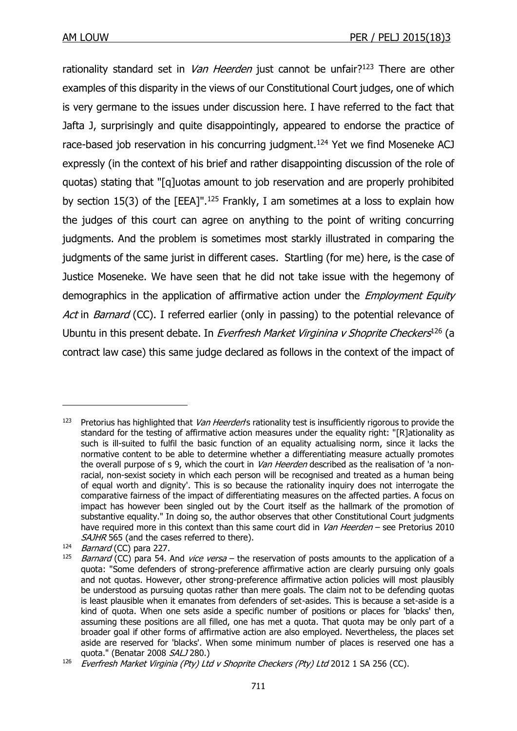rationality standard set in Van Heerden just cannot be unfair?<sup>123</sup> There are other examples of this disparity in the views of our Constitutional Court judges, one of which is very germane to the issues under discussion here. I have referred to the fact that Jafta J, surprisingly and quite disappointingly, appeared to endorse the practice of race-based job reservation in his concurring judgment.<sup>124</sup> Yet we find Moseneke ACJ expressly (in the context of his brief and rather disappointing discussion of the role of quotas) stating that "[q]uotas amount to job reservation and are properly prohibited by section 15(3) of the  $[EEA]^{n}$ .  $125$  Frankly, I am sometimes at a loss to explain how the judges of this court can agree on anything to the point of writing concurring judgments. And the problem is sometimes most starkly illustrated in comparing the judgments of the same jurist in different cases. Startling (for me) here, is the case of Justice Moseneke. We have seen that he did not take issue with the hegemony of demographics in the application of affirmative action under the *Employment Equity* Act in Barnard (CC). I referred earlier (only in passing) to the potential relevance of Ubuntu in this present debate. In *Everfresh Market Virginina v Shoprite Checkers*<sup>126</sup> (a contract law case) this same judge declared as follows in the context of the impact of

<sup>&</sup>lt;sup>123</sup> Pretorius has highlighted that *Van Heerden*'s rationality test is insufficiently rigorous to provide the standard for the testing of affirmative action measures under the equality right: "[R]ationality as such is ill-suited to fulfil the basic function of an equality actualising norm, since it lacks the normative content to be able to determine whether a differentiating measure actually promotes the overall purpose of s 9, which the court in *Van Heerden* described as the realisation of 'a nonracial, non-sexist society in which each person will be recognised and treated as a human being of equal worth and dignity'. This is so because the rationality inquiry does not interrogate the comparative fairness of the impact of differentiating measures on the affected parties. A focus on impact has however been singled out by the Court itself as the hallmark of the promotion of substantive equality." In doing so, the author observes that other Constitutional Court judgments have required more in this context than this same court did in Van Heerden - see Pretorius 2010 SAJHR 565 (and the cases referred to there).

 $\frac{124}{125}$  *Barnard* (CC) para 227.

Barnard (CC) para 54. And vice versa – the reservation of posts amounts to the application of a quota: "Some defenders of strong-preference affirmative action are clearly pursuing only goals and not quotas. However, other strong-preference affirmative action policies will most plausibly be understood as pursuing quotas rather than mere goals. The claim not to be defending quotas is least plausible when it emanates from defenders of set-asides. This is because a set-aside is a kind of quota. When one sets aside a specific number of positions or places for 'blacks' then, assuming these positions are all filled, one has met a quota. That quota may be only part of a broader goal if other forms of affirmative action are also employed. Nevertheless, the places set aside are reserved for 'blacks'. When some minimum number of places is reserved one has a quota." (Benatar 2008 SALJ 280.)

 $126$  Everfresh Market Virginia (Pty) Ltd v Shoprite Checkers (Pty) Ltd 2012 1 SA 256 (CC).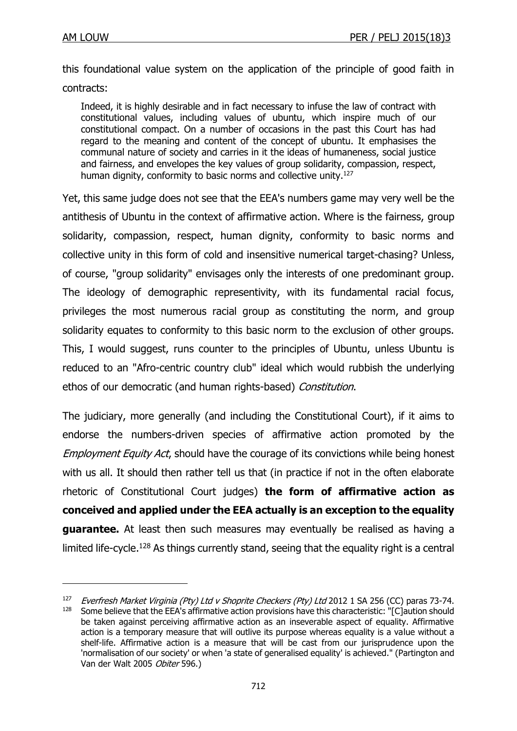this foundational value system on the application of the principle of good faith in

contracts:

-

Indeed, it is highly desirable and in fact necessary to infuse the law of contract with constitutional values, including values of ubuntu, which inspire much of our constitutional compact. On a number of occasions in the past this Court has had regard to the meaning and content of the concept of ubuntu. It emphasises the communal nature of society and carries in it the ideas of humaneness, social justice and fairness, and envelopes the key values of group solidarity, compassion, respect, human dignity, conformity to basic norms and collective unity.<sup>127</sup>

Yet, this same judge does not see that the EEA's numbers game may very well be the antithesis of Ubuntu in the context of affirmative action. Where is the fairness, group solidarity, compassion, respect, human dignity, conformity to basic norms and collective unity in this form of cold and insensitive numerical target-chasing? Unless, of course, "group solidarity" envisages only the interests of one predominant group. The ideology of demographic representivity, with its fundamental racial focus, privileges the most numerous racial group as constituting the norm, and group solidarity equates to conformity to this basic norm to the exclusion of other groups. This, I would suggest, runs counter to the principles of Ubuntu, unless Ubuntu is reduced to an "Afro-centric country club" ideal which would rubbish the underlying ethos of our democratic (and human rights-based) Constitution.

The judiciary, more generally (and including the Constitutional Court), if it aims to endorse the numbers-driven species of affirmative action promoted by the Employment Equity Act, should have the courage of its convictions while being honest with us all. It should then rather tell us that (in practice if not in the often elaborate rhetoric of Constitutional Court judges) **the form of affirmative action as conceived and applied under the EEA actually is an exception to the equality guarantee.** At least then such measures may eventually be realised as having a limited life-cycle.<sup>128</sup> As things currently stand, seeing that the equality right is a central

<sup>&</sup>lt;sup>127</sup> Everfresh Market Virginia (Pty) Ltd v Shoprite Checkers (Pty) Ltd 2012 1 SA 256 (CC) paras 73-74.<br><sup>128</sup> Some believe that the EEA's affirmative action provisions have this characteristic: "[Claution should <sup>128</sup> Some believe that the EEA's affirmative action provisions have this characteristic: "[C]aution should be taken against perceiving affirmative action as an inseverable aspect of equality. Affirmative action is a temporary measure that will outlive its purpose whereas equality is a value without a shelf-life. Affirmative action is a measure that will be cast from our jurisprudence upon the 'normalisation of our society' or when 'a state of generalised equality' is achieved." (Partington and Van der Walt 2005 Obiter 596.)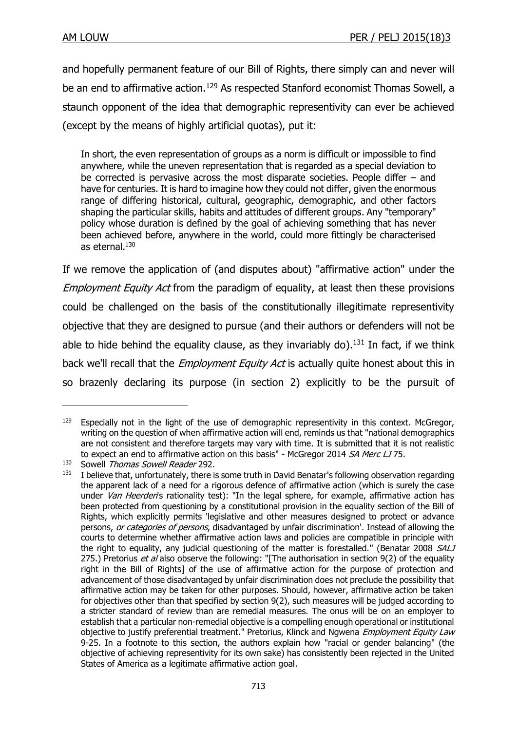and hopefully permanent feature of our Bill of Rights, there simply can and never will be an end to affirmative action.<sup>129</sup> As respected Stanford economist Thomas Sowell, a staunch opponent of the idea that demographic representivity can ever be achieved (except by the means of highly artificial quotas), put it:

In short, the even representation of groups as a norm is difficult or impossible to find anywhere, while the uneven representation that is regarded as a special deviation to be corrected is pervasive across the most disparate societies. People differ – and have for centuries. It is hard to imagine how they could not differ, given the enormous range of differing historical, cultural, geographic, demographic, and other factors shaping the particular skills, habits and attitudes of different groups. Any "temporary" policy whose duration is defined by the goal of achieving something that has never been achieved before, anywhere in the world, could more fittingly be characterised as eternal.<sup>130</sup>

If we remove the application of (and disputes about) "affirmative action" under the Employment Equity Act from the paradigm of equality, at least then these provisions could be challenged on the basis of the constitutionally illegitimate representivity objective that they are designed to pursue (and their authors or defenders will not be able to hide behind the equality clause, as they invariably do).<sup>131</sup> In fact, if we think back we'll recall that the *Employment Equity Act* is actually quite honest about this in so brazenly declaring its purpose (in section 2) explicitly to be the pursuit of

<sup>&</sup>lt;sup>129</sup> Especially not in the light of the use of demographic representivity in this context. McGregor, writing on the question of when affirmative action will end, reminds us that "national demographics are not consistent and therefore targets may vary with time. It is submitted that it is not realistic to expect an end to affirmative action on this basis" - McGregor 2014 SA Merc LJ 75.

<sup>&</sup>lt;sup>130</sup> Sowell *Thomas Sowell Reader* 292.

<sup>131</sup> I believe that, unfortunately, there is some truth in David Benatar's following observation regarding the apparent lack of a need for a rigorous defence of affirmative action (which is surely the case under Van Heerden's rationality test): "In the legal sphere, for example, affirmative action has been protected from questioning by a constitutional provision in the equality section of the Bill of Rights, which explicitly permits 'legislative and other measures designed to protect or advance persons, or categories of persons, disadvantaged by unfair discrimination'. Instead of allowing the courts to determine whether affirmative action laws and policies are compatible in principle with the right to equality, any judicial questioning of the matter is forestalled." (Benatar 2008 SALJ 275.) Pretorius et al also observe the following: "[The authorisation in section 9(2) of the equality right in the Bill of Rights] of the use of affirmative action for the purpose of protection and advancement of those disadvantaged by unfair discrimination does not preclude the possibility that affirmative action may be taken for other purposes. Should, however, affirmative action be taken for objectives other than that specified by section 9(2), such measures will be judged according to a stricter standard of review than are remedial measures. The onus will be on an employer to establish that a particular non-remedial objective is a compelling enough operational or institutional objective to justify preferential treatment." Pretorius, Klinck and Ngwena Employment Equity Law 9-25. In a footnote to this section, the authors explain how "racial or gender balancing" (the objective of achieving representivity for its own sake) has consistently been rejected in the United States of America as a legitimate affirmative action goal.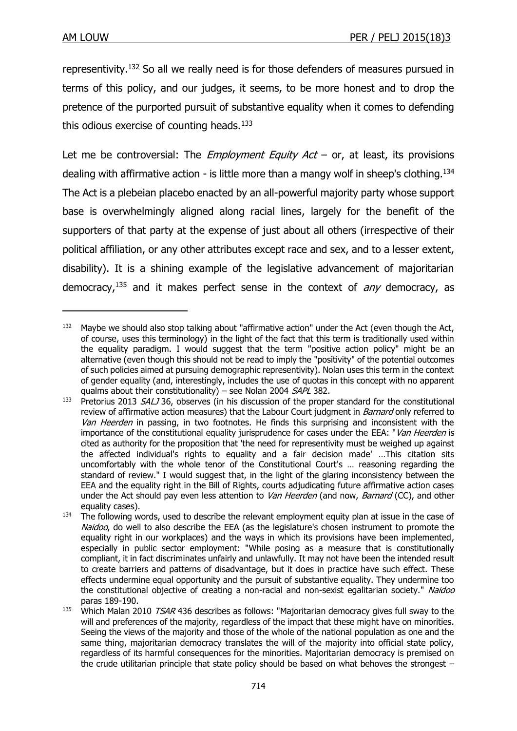representivity.<sup>132</sup> So all we really need is for those defenders of measures pursued in terms of this policy, and our judges, it seems, to be more honest and to drop the pretence of the purported pursuit of substantive equality when it comes to defending this odious exercise of counting heads. $133$ 

Let me be controversial: The *Employment Equity Act* – or, at least, its provisions dealing with affirmative action - is little more than a mangy wolf in sheep's clothing.<sup>134</sup> The Act is a plebeian placebo enacted by an all-powerful majority party whose support base is overwhelmingly aligned along racial lines, largely for the benefit of the supporters of that party at the expense of just about all others (irrespective of their political affiliation, or any other attributes except race and sex, and to a lesser extent, disability). It is a shining example of the legislative advancement of majoritarian democracy,<sup>135</sup> and it makes perfect sense in the context of  $any$  democracy, as

<sup>132</sup> Maybe we should also stop talking about "affirmative action" under the Act (even though the Act, of course, uses this terminology) in the light of the fact that this term is traditionally used within the equality paradigm. I would suggest that the term "positive action policy" might be an alternative (even though this should not be read to imply the "positivity" of the potential outcomes of such policies aimed at pursuing demographic representivity). Nolan uses this term in the context of gender equality (and, interestingly, includes the use of quotas in this concept with no apparent qualms about their constitutionality) – see Nolan 2004 SAPL 382.

<sup>&</sup>lt;sup>133</sup> Pretorius 2013 *SALJ* 36, observes (in his discussion of the proper standard for the constitutional review of affirmative action measures) that the Labour Court judgment in *Barnard* only referred to Van Heerden in passing, in two footnotes. He finds this surprising and inconsistent with the importance of the constitutional equality jurisprudence for cases under the EEA: "Van Heerden is cited as authority for the proposition that 'the need for representivity must be weighed up against the affected individual's rights to equality and a fair decision made' …This citation sits uncomfortably with the whole tenor of the Constitutional Court's … reasoning regarding the standard of review." I would suggest that, in the light of the glaring inconsistency between the EEA and the equality right in the Bill of Rights, courts adjudicating future affirmative action cases under the Act should pay even less attention to Van Heerden (and now, Barnard (CC), and other equality cases).

<sup>&</sup>lt;sup>134</sup> The following words, used to describe the relevant employment equity plan at issue in the case of Naidoo, do well to also describe the EEA (as the legislature's chosen instrument to promote the equality right in our workplaces) and the ways in which its provisions have been implemented, especially in public sector employment: "While posing as a measure that is constitutionally compliant, it in fact discriminates unfairly and unlawfully. It may not have been the intended result to create barriers and patterns of disadvantage, but it does in practice have such effect. These effects undermine equal opportunity and the pursuit of substantive equality. They undermine too the constitutional objective of creating a non-racial and non-sexist egalitarian society." Naidoo paras 189-190.

<sup>&</sup>lt;sup>135</sup> Which Malan 2010 *TSAR* 436 describes as follows: "Majoritarian democracy gives full sway to the will and preferences of the majority, regardless of the impact that these might have on minorities. Seeing the views of the majority and those of the whole of the national population as one and the same thing, majoritarian democracy translates the will of the majority into official state policy, regardless of its harmful consequences for the minorities. Majoritarian democracy is premised on the crude utilitarian principle that state policy should be based on what behoves the strongest –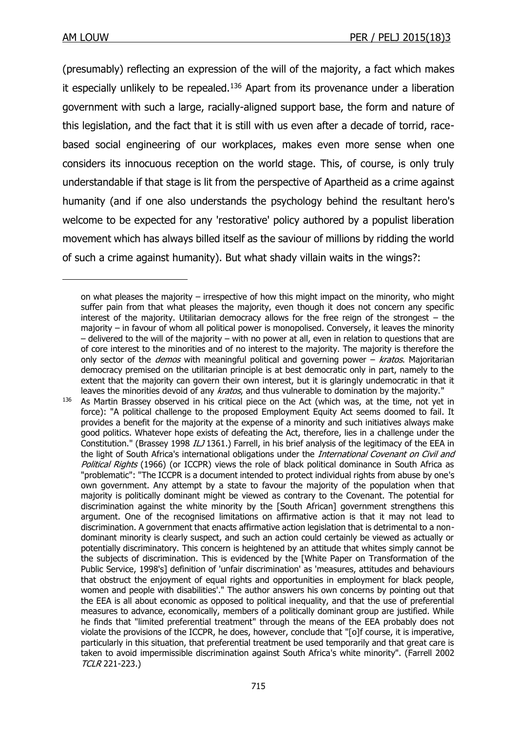(presumably) reflecting an expression of the will of the majority, a fact which makes it especially unlikely to be repealed. $136$  Apart from its provenance under a liberation government with such a large, racially-aligned support base, the form and nature of this legislation, and the fact that it is still with us even after a decade of torrid, racebased social engineering of our workplaces, makes even more sense when one considers its innocuous reception on the world stage. This, of course, is only truly understandable if that stage is lit from the perspective of Apartheid as a crime against humanity (and if one also understands the psychology behind the resultant hero's welcome to be expected for any 'restorative' policy authored by a populist liberation movement which has always billed itself as the saviour of millions by ridding the world of such a crime against humanity). But what shady villain waits in the wings?:

on what pleases the majority – irrespective of how this might impact on the minority, who might suffer pain from that what pleases the majority, even though it does not concern any specific interest of the majority. Utilitarian democracy allows for the free reign of the strongest – the majority – in favour of whom all political power is monopolised. Conversely, it leaves the minority – delivered to the will of the majority – with no power at all, even in relation to questions that are of core interest to the minorities and of no interest to the majority. The majority is therefore the only sector of the *demos* with meaningful political and governing power  $-$  kratos. Majoritarian democracy premised on the utilitarian principle is at best democratic only in part, namely to the extent that the majority can govern their own interest, but it is glaringly undemocratic in that it leaves the minorities devoid of any kratos, and thus vulnerable to domination by the majority."

 $136$  As Martin Brassey observed in his critical piece on the Act (which was, at the time, not yet in force): "A political challenge to the proposed Employment Equity Act seems doomed to fail. It provides a benefit for the majority at the expense of a minority and such initiatives always make good politics. Whatever hope exists of defeating the Act, therefore, lies in a challenge under the Constitution." (Brassey 1998 *ILJ* 1361.) Farrell, in his brief analysis of the legitimacy of the EEA in the light of South Africa's international obligations under the *International Covenant on Civil and* Political Rights (1966) (or ICCPR) views the role of black political dominance in South Africa as "problematic": "The ICCPR is a document intended to protect individual rights from abuse by one's own government. Any attempt by a state to favour the majority of the population when that majority is politically dominant might be viewed as contrary to the Covenant. The potential for discrimination against the white minority by the [South African] government strengthens this argument. One of the recognised limitations on affirmative action is that it may not lead to discrimination. A government that enacts affirmative action legislation that is detrimental to a nondominant minority is clearly suspect, and such an action could certainly be viewed as actually or potentially discriminatory. This concern is heightened by an attitude that whites simply cannot be the subjects of discrimination. This is evidenced by the [White Paper on Transformation of the Public Service, 1998's] definition of 'unfair discrimination' as 'measures, attitudes and behaviours that obstruct the enjoyment of equal rights and opportunities in employment for black people, women and people with disabilities'." The author answers his own concerns by pointing out that the EEA is all about economic as opposed to political inequality, and that the use of preferential measures to advance, economically, members of a politically dominant group are justified. While he finds that "limited preferential treatment" through the means of the EEA probably does not violate the provisions of the ICCPR, he does, however, conclude that "[o]f course, it is imperative, particularly in this situation, that preferential treatment be used temporarily and that great care is taken to avoid impermissible discrimination against South Africa's white minority". (Farrell 2002 TCLR 221-223.)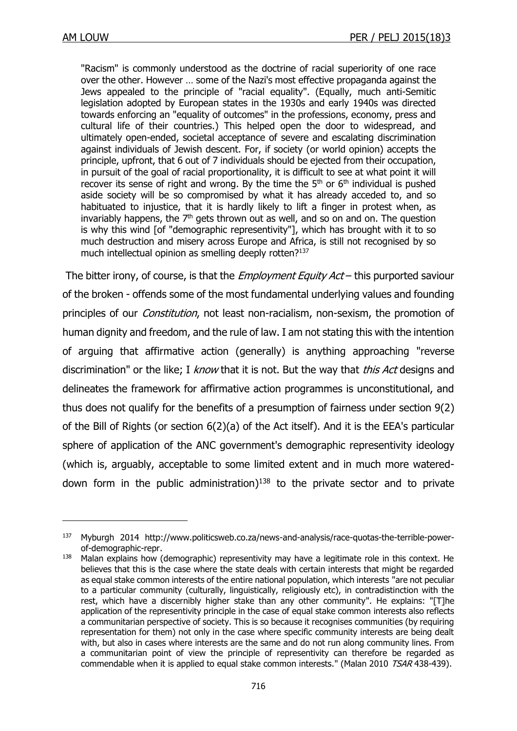"Racism" is commonly understood as the doctrine of racial superiority of one race over the other. However … some of the Nazi's most effective propaganda against the Jews appealed to the principle of "racial equality". (Equally, much anti-Semitic legislation adopted by European states in the 1930s and early 1940s was directed towards enforcing an "equality of outcomes" in the professions, economy, press and cultural life of their countries.) This helped open the door to widespread, and ultimately open-ended, societal acceptance of severe and escalating discrimination against individuals of Jewish descent. For, if society (or world opinion) accepts the principle, upfront, that 6 out of 7 individuals should be ejected from their occupation, in pursuit of the goal of racial proportionality, it is difficult to see at what point it will recover its sense of right and wrong. By the time the  $5<sup>th</sup>$  or  $6<sup>th</sup>$  individual is pushed aside society will be so compromised by what it has already acceded to, and so habituated to injustice, that it is hardly likely to lift a finger in protest when, as invariably happens, the  $7<sup>th</sup>$  gets thrown out as well, and so on and on. The question is why this wind [of "demographic representivity"], which has brought with it to so much destruction and misery across Europe and Africa, is still not recognised by so much intellectual opinion as smelling deeply rotten?<sup>137</sup>

The bitter irony, of course, is that the *Employment Equity Act* – this purported saviour of the broken - offends some of the most fundamental underlying values and founding principles of our *Constitution*, not least non-racialism, non-sexism, the promotion of human dignity and freedom, and the rule of law. I am not stating this with the intention of arguing that affirmative action (generally) is anything approaching "reverse discrimination" or the like; I know that it is not. But the way that *this Act* designs and delineates the framework for affirmative action programmes is unconstitutional, and thus does not qualify for the benefits of a presumption of fairness under section 9(2) of the Bill of Rights (or section 6(2)(a) of the Act itself). And it is the EEA's particular sphere of application of the ANC government's demographic representivity ideology (which is, arguably, acceptable to some limited extent and in much more watereddown form in the public administration) $138$  to the private sector and to private

<sup>137</sup> Myburgh 2014 http://www.politicsweb.co.za/news-and-analysis/race-quotas-the-terrible-powerof-demographic-repr.

 $138$  Malan explains how (demographic) representivity may have a legitimate role in this context. He believes that this is the case where the state deals with certain interests that might be regarded as equal stake common interests of the entire national population, which interests "are not peculiar to a particular community (culturally, linguistically, religiously etc), in contradistinction with the rest, which have a discernibly higher stake than any other community". He explains: "[T]he application of the representivity principle in the case of equal stake common interests also reflects a communitarian perspective of society. This is so because it recognises communities (by requiring representation for them) not only in the case where specific community interests are being dealt with, but also in cases where interests are the same and do not run along community lines. From a communitarian point of view the principle of representivity can therefore be regarded as commendable when it is applied to equal stake common interests." (Malan 2010 TSAR 438-439).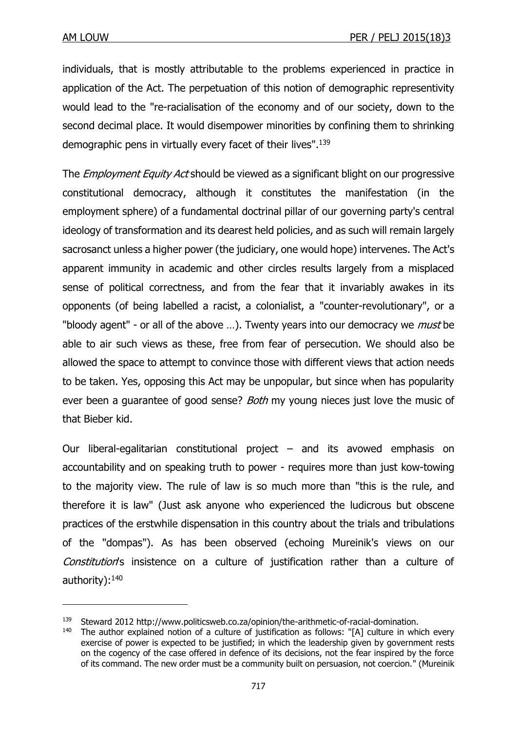individuals, that is mostly attributable to the problems experienced in practice in application of the Act. The perpetuation of this notion of demographic representivity would lead to the "re-racialisation of the economy and of our society, down to the second decimal place. It would disempower minorities by confining them to shrinking demographic pens in virtually every facet of their lives".<sup>139</sup>

The *Employment Equity Act* should be viewed as a significant blight on our progressive constitutional democracy, although it constitutes the manifestation (in the employment sphere) of a fundamental doctrinal pillar of our governing party's central ideology of transformation and its dearest held policies, and as such will remain largely sacrosanct unless a higher power (the judiciary, one would hope) intervenes. The Act's apparent immunity in academic and other circles results largely from a misplaced sense of political correctness, and from the fear that it invariably awakes in its opponents (of being labelled a racist, a colonialist, a "counter-revolutionary", or a "bloody agent" - or all of the above ...). Twenty years into our democracy we *must* be able to air such views as these, free from fear of persecution. We should also be allowed the space to attempt to convince those with different views that action needs to be taken. Yes, opposing this Act may be unpopular, but since when has popularity ever been a guarantee of good sense? Both my young nieces just love the music of that Bieber kid.

Our liberal-egalitarian constitutional project – and its avowed emphasis on accountability and on speaking truth to power - requires more than just kow-towing to the majority view. The rule of law is so much more than "this is the rule, and therefore it is law" (Just ask anyone who experienced the ludicrous but obscene practices of the erstwhile dispensation in this country about the trials and tribulations of the "dompas"). As has been observed (echoing Mureinik's views on our Constitution's insistence on a culture of justification rather than a culture of authority):<sup>140</sup>

<sup>139</sup> Steward 2012 http://www.politicsweb.co.za/opinion/the-arithmetic-of-racial-domination.<br>140 The author explained notion of a culture of justification as follows: "[A] culture in whi

The author explained notion of a culture of justification as follows: "[A] culture in which every exercise of power is expected to be justified; in which the leadership given by government rests on the cogency of the case offered in defence of its decisions, not the fear inspired by the force of its command. The new order must be a community built on persuasion, not coercion." (Mureinik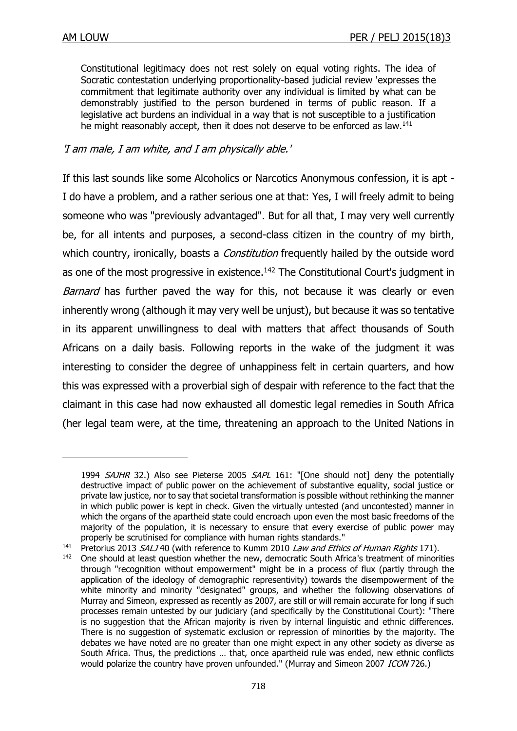Constitutional legitimacy does not rest solely on equal voting rights. The idea of Socratic contestation underlying proportionality-based judicial review 'expresses the commitment that legitimate authority over any individual is limited by what can be demonstrably justified to the person burdened in terms of public reason. If a legislative act burdens an individual in a way that is not susceptible to a justification he might reasonably accept, then it does not deserve to be enforced as law.<sup>141</sup>

'I am male, I am white, and I am physically able.'

If this last sounds like some Alcoholics or Narcotics Anonymous confession, it is apt - I do have a problem, and a rather serious one at that: Yes, I will freely admit to being someone who was "previously advantaged". But for all that, I may very well currently be, for all intents and purposes, a second-class citizen in the country of my birth, which country, ironically, boasts a *Constitution* frequently hailed by the outside word as one of the most progressive in existence.<sup>142</sup> The Constitutional Court's judgment in Barnard has further paved the way for this, not because it was clearly or even inherently wrong (although it may very well be unjust), but because it was so tentative in its apparent unwillingness to deal with matters that affect thousands of South Africans on a daily basis. Following reports in the wake of the judgment it was interesting to consider the degree of unhappiness felt in certain quarters, and how this was expressed with a proverbial sigh of despair with reference to the fact that the claimant in this case had now exhausted all domestic legal remedies in South Africa (her legal team were, at the time, threatening an approach to the United Nations in

<sup>1994</sup> SAJHR 32.) Also see Pieterse 2005 SAPL 161: "[One should not] deny the potentially destructive impact of public power on the achievement of substantive equality, social justice or private law justice, nor to say that societal transformation is possible without rethinking the manner in which public power is kept in check. Given the virtually untested (and uncontested) manner in which the organs of the apartheid state could encroach upon even the most basic freedoms of the majority of the population, it is necessary to ensure that every exercise of public power may properly be scrutinised for compliance with human rights standards."

<sup>&</sup>lt;sup>141</sup> Pretorius 2013 *SALJ* 40 (with reference to Kumm 2010 Law and Ethics of Human Rights 171).

<sup>&</sup>lt;sup>142</sup> One should at least question whether the new, democratic South Africa's treatment of minorities through "recognition without empowerment" might be in a process of flux (partly through the application of the ideology of demographic representivity) towards the disempowerment of the white minority and minority "designated" groups, and whether the following observations of Murray and Simeon, expressed as recently as 2007, are still or will remain accurate for long if such processes remain untested by our judiciary (and specifically by the Constitutional Court): "There is no suggestion that the African majority is riven by internal linguistic and ethnic differences. There is no suggestion of systematic exclusion or repression of minorities by the majority. The debates we have noted are no greater than one might expect in any other society as diverse as South Africa. Thus, the predictions … that, once apartheid rule was ended, new ethnic conflicts would polarize the country have proven unfounded." (Murray and Simeon 2007 ICON 726.)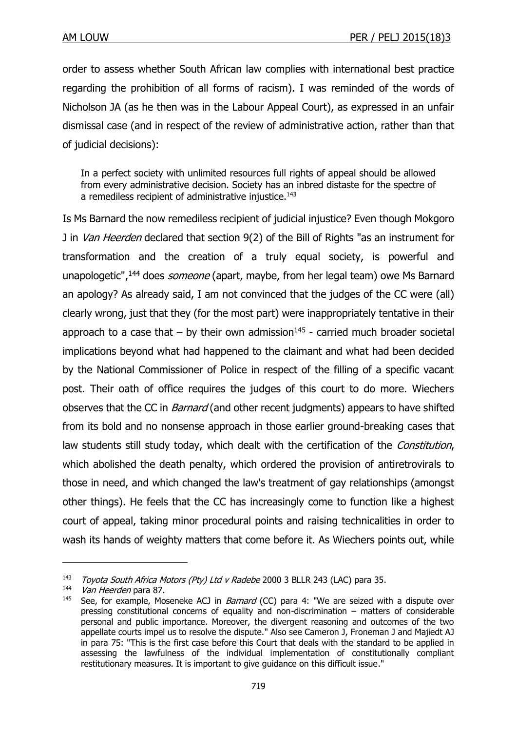order to assess whether South African law complies with international best practice regarding the prohibition of all forms of racism). I was reminded of the words of Nicholson JA (as he then was in the Labour Appeal Court), as expressed in an unfair dismissal case (and in respect of the review of administrative action, rather than that of judicial decisions):

In a perfect society with unlimited resources full rights of appeal should be allowed from every administrative decision. Society has an inbred distaste for the spectre of a remediless recipient of administrative injustice.<sup>143</sup>

Is Ms Barnard the now remediless recipient of judicial injustice? Even though Mokgoro J in *Van Heerden* declared that section 9(2) of the Bill of Rights "as an instrument for transformation and the creation of a truly equal society, is powerful and unapologetic",<sup>144</sup> does *someone* (apart, maybe, from her legal team) owe Ms Barnard an apology? As already said, I am not convinced that the judges of the CC were (all) clearly wrong, just that they (for the most part) were inappropriately tentative in their approach to a case that  $-$  by their own admission<sup>145</sup> - carried much broader societal implications beyond what had happened to the claimant and what had been decided by the National Commissioner of Police in respect of the filling of a specific vacant post. Their oath of office requires the judges of this court to do more. Wiechers observes that the CC in *Barnard* (and other recent judgments) appears to have shifted from its bold and no nonsense approach in those earlier ground-breaking cases that law students still study today, which dealt with the certification of the *Constitution*, which abolished the death penalty, which ordered the provision of antiretrovirals to those in need, and which changed the law's treatment of gay relationships (amongst other things). He feels that the CC has increasingly come to function like a highest court of appeal, taking minor procedural points and raising technicalities in order to wash its hands of weighty matters that come before it. As Wiechers points out, while

<sup>143</sup> Toyota South Africa Motors (Pty) Ltd v Radebe 2000 3 BLLR 243 (LAC) para 35.

<sup>144</sup> Van Heerden para 87.

<sup>&</sup>lt;sup>145</sup> See, for example, Moseneke ACJ in *Barnard* (CC) para 4: "We are seized with a dispute over pressing constitutional concerns of equality and non-discrimination – matters of considerable personal and public importance. Moreover, the divergent reasoning and outcomes of the two appellate courts impel us to resolve the dispute." Also see Cameron J, Froneman J and Majiedt AJ in para 75: "This is the first case before this Court that deals with the standard to be applied in assessing the lawfulness of the individual implementation of constitutionally compliant restitutionary measures. It is important to give guidance on this difficult issue."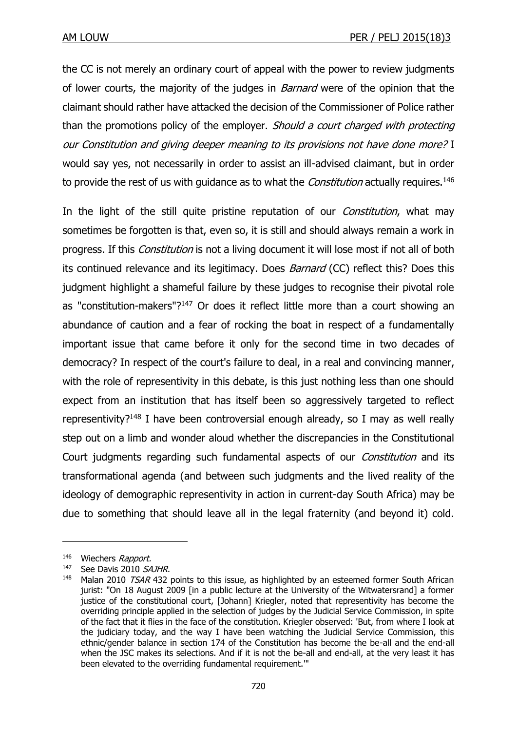the CC is not merely an ordinary court of appeal with the power to review judgments of lower courts, the majority of the judges in *Barnard* were of the opinion that the claimant should rather have attacked the decision of the Commissioner of Police rather than the promotions policy of the employer. Should a court charged with protecting our Constitution and giving deeper meaning to its provisions not have done more? I would say yes, not necessarily in order to assist an ill-advised claimant, but in order to provide the rest of us with guidance as to what the *Constitution* actually requires.<sup>146</sup>

In the light of the still quite pristine reputation of our *Constitution*, what may sometimes be forgotten is that, even so, it is still and should always remain a work in progress. If this *Constitution* is not a living document it will lose most if not all of both its continued relevance and its legitimacy. Does *Barnard* (CC) reflect this? Does this iudament highlight a shameful failure by these judges to recognise their pivotal role as "constitution-makers"?<sup>147</sup> Or does it reflect little more than a court showing an abundance of caution and a fear of rocking the boat in respect of a fundamentally important issue that came before it only for the second time in two decades of democracy? In respect of the court's failure to deal, in a real and convincing manner, with the role of representivity in this debate, is this just nothing less than one should expect from an institution that has itself been so aggressively targeted to reflect representivity?<sup>148</sup> I have been controversial enough already, so I may as well really step out on a limb and wonder aloud whether the discrepancies in the Constitutional Court judgments regarding such fundamental aspects of our *Constitution* and its transformational agenda (and between such judgments and the lived reality of the ideology of demographic representivity in action in current-day South Africa) may be due to something that should leave all in the legal fraternity (and beyond it) cold.

<sup>146</sup> Wiechers Rapport.

<sup>&</sup>lt;sup>147</sup> See Davis 2010 SAJHR.

 $148$  Malan 2010 TSAR 432 points to this issue, as highlighted by an esteemed former South African jurist: "On 18 August 2009 [in a public lecture at the University of the Witwatersrand] a former justice of the constitutional court, [Johann] Kriegler, noted that representivity has become the overriding principle applied in the selection of judges by the Judicial Service Commission, in spite of the fact that it flies in the face of the constitution. Kriegler observed: 'But, from where I look at the judiciary today, and the way I have been watching the Judicial Service Commission, this ethnic/gender balance in section 174 of the Constitution has become the be-all and the end-all when the JSC makes its selections. And if it is not the be-all and end-all, at the very least it has been elevated to the overriding fundamental requirement.'"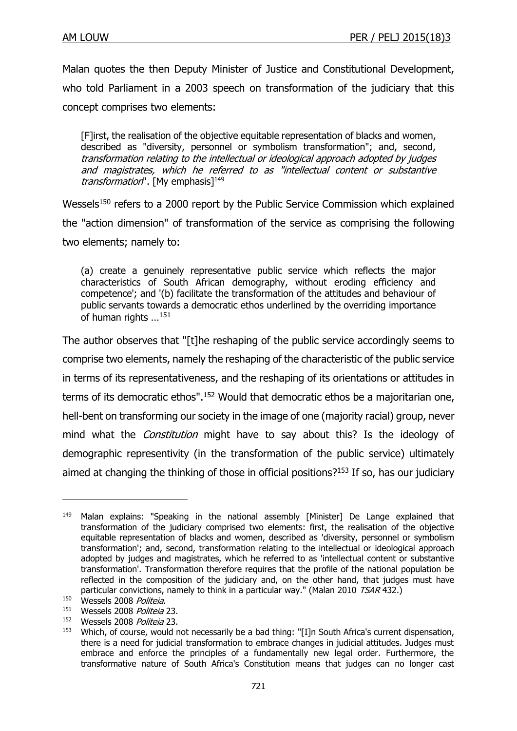Malan quotes the then Deputy Minister of Justice and Constitutional Development, who told Parliament in a 2003 speech on transformation of the judiciary that this concept comprises two elements:

[F]irst, the realisation of the objective equitable representation of blacks and women, described as "diversity, personnel or symbolism transformation"; and, second, transformation relating to the intellectual or ideological approach adopted by judges and magistrates, which he referred to as "intellectual content or substantive transformation". [My emphasis]<sup>149</sup>

Wessels<sup>150</sup> refers to a 2000 report by the Public Service Commission which explained the "action dimension" of transformation of the service as comprising the following two elements; namely to:

(a) create a genuinely representative public service which reflects the major characteristics of South African demography, without eroding efficiency and competence'; and '(b) facilitate the transformation of the attitudes and behaviour of public servants towards a democratic ethos underlined by the overriding importance of human rights …<sup>151</sup>

The author observes that "[t]he reshaping of the public service accordingly seems to comprise two elements, namely the reshaping of the characteristic of the public service in terms of its representativeness, and the reshaping of its orientations or attitudes in terms of its democratic ethos".<sup>152</sup> Would that democratic ethos be a majoritarian one, hell-bent on transforming our society in the image of one (majority racial) group, never mind what the *Constitution* might have to say about this? Is the ideology of demographic representivity (in the transformation of the public service) ultimately aimed at changing the thinking of those in official positions?<sup>153</sup> If so, has our judiciary

<sup>&</sup>lt;sup>149</sup> Malan explains: "Speaking in the national assembly [Minister] De Lange explained that transformation of the judiciary comprised two elements: first, the realisation of the objective equitable representation of blacks and women, described as 'diversity, personnel or symbolism transformation'; and, second, transformation relating to the intellectual or ideological approach adopted by judges and magistrates, which he referred to as 'intellectual content or substantive transformation'. Transformation therefore requires that the profile of the national population be reflected in the composition of the judiciary and, on the other hand, that judges must have particular convictions, namely to think in a particular way." (Malan 2010 TSAR 432.)

<sup>&</sup>lt;sup>150</sup> Wessels 2008 Politeia.

<sup>&</sup>lt;sup>151</sup> Wessels 2008 *Politeia* 23.<br><sup>152</sup> Messels 2008 *Politeia* 23.

 $^{152}$  Wessels 2008 *Politeia* 23.

Which, of course, would not necessarily be a bad thing: "[I]n South Africa's current dispensation, there is a need for judicial transformation to embrace changes in judicial attitudes. Judges must embrace and enforce the principles of a fundamentally new legal order. Furthermore, the transformative nature of South Africa's Constitution means that judges can no longer cast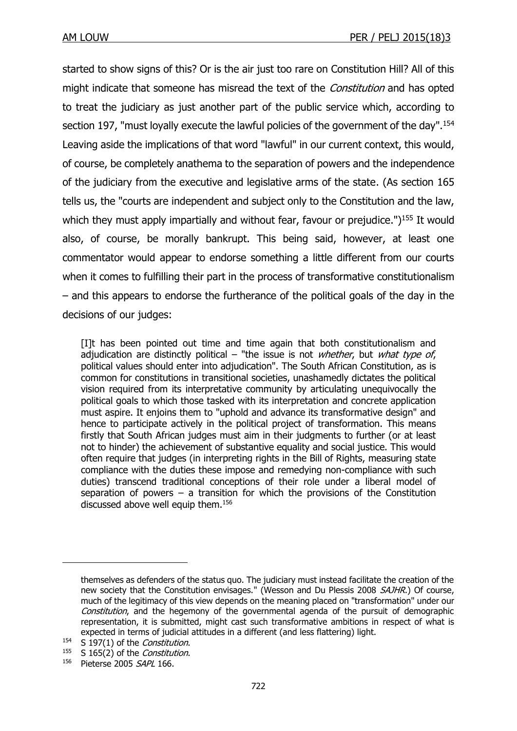started to show signs of this? Or is the air just too rare on Constitution Hill? All of this might indicate that someone has misread the text of the *Constitution* and has opted to treat the judiciary as just another part of the public service which, according to section 197, "must loyally execute the lawful policies of the government of the day".<sup>154</sup> Leaving aside the implications of that word "lawful" in our current context, this would, of course, be completely anathema to the separation of powers and the independence of the judiciary from the executive and legislative arms of the state. (As section 165 tells us, the "courts are independent and subject only to the Constitution and the law, which they must apply impartially and without fear, favour or prejudice." $155$  It would also, of course, be morally bankrupt. This being said, however, at least one commentator would appear to endorse something a little different from our courts when it comes to fulfilling their part in the process of transformative constitutionalism – and this appears to endorse the furtherance of the political goals of the day in the decisions of our judges:

[I]t has been pointed out time and time again that both constitutionalism and adjudication are distinctly political – "the issue is not *whether*, but *what type of*, political values should enter into adjudication". The South African Constitution, as is common for constitutions in transitional societies, unashamedly dictates the political vision required from its interpretative community by articulating unequivocally the political goals to which those tasked with its interpretation and concrete application must aspire. It enjoins them to "uphold and advance its transformative design" and hence to participate actively in the political project of transformation. This means firstly that South African judges must aim in their judgments to further (or at least not to hinder) the achievement of substantive equality and social justice. This would often require that judges (in interpreting rights in the Bill of Rights, measuring state compliance with the duties these impose and remedying non-compliance with such duties) transcend traditional conceptions of their role under a liberal model of separation of powers  $-$  a transition for which the provisions of the Constitution discussed above well equip them. $156$ 

themselves as defenders of the status quo. The judiciary must instead facilitate the creation of the new society that the Constitution envisages." (Wesson and Du Plessis 2008 SAJHR.) Of course, much of the legitimacy of this view depends on the meaning placed on "transformation" under our Constitution, and the hegemony of the governmental agenda of the pursuit of demographic representation, it is submitted, might cast such transformative ambitions in respect of what is expected in terms of judicial attitudes in a different (and less flattering) light.

 $154$  S 197(1) of the *Constitution*.

<sup>&</sup>lt;sup>155</sup> S 165(2) of the *Constitution*.

<sup>&</sup>lt;sup>156</sup> Pieterse 2005 SAPL 166.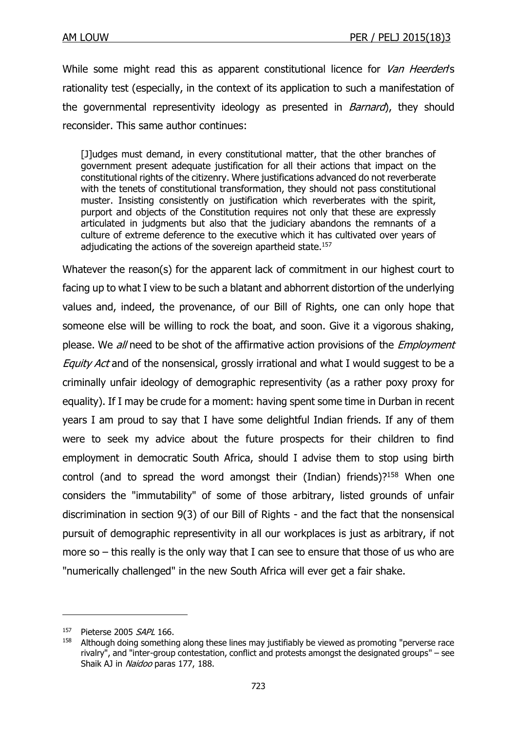While some might read this as apparent constitutional licence for *Van Heerden's* rationality test (especially, in the context of its application to such a manifestation of the governmental representivity ideology as presented in *Barnard*), they should reconsider. This same author continues:

[J]udges must demand, in every constitutional matter, that the other branches of government present adequate justification for all their actions that impact on the constitutional rights of the citizenry. Where justifications advanced do not reverberate with the tenets of constitutional transformation, they should not pass constitutional muster. Insisting consistently on justification which reverberates with the spirit, purport and objects of the Constitution requires not only that these are expressly articulated in judgments but also that the judiciary abandons the remnants of a culture of extreme deference to the executive which it has cultivated over years of adjudicating the actions of the sovereign apartheid state.<sup>157</sup>

Whatever the reason(s) for the apparent lack of commitment in our highest court to facing up to what I view to be such a blatant and abhorrent distortion of the underlying values and, indeed, the provenance, of our Bill of Rights, one can only hope that someone else will be willing to rock the boat, and soon. Give it a vigorous shaking, please. We all need to be shot of the affirmative action provisions of the *Employment* Equity Act and of the nonsensical, grossly irrational and what I would suggest to be a criminally unfair ideology of demographic representivity (as a rather poxy proxy for equality). If I may be crude for a moment: having spent some time in Durban in recent years I am proud to say that I have some delightful Indian friends. If any of them were to seek my advice about the future prospects for their children to find employment in democratic South Africa, should I advise them to stop using birth control (and to spread the word amongst their (Indian) friends)? $158$  When one considers the "immutability" of some of those arbitrary, listed grounds of unfair discrimination in section 9(3) of our Bill of Rights - and the fact that the nonsensical pursuit of demographic representivity in all our workplaces is just as arbitrary, if not more so – this really is the only way that I can see to ensure that those of us who are "numerically challenged" in the new South Africa will ever get a fair shake.

<sup>&</sup>lt;sup>157</sup> Pieterse 2005 *SAPL* 166.<br><sup>158</sup> Although doing somethin

Although doing something along these lines may justifiably be viewed as promoting "perverse race rivalry", and "inter-group contestation, conflict and protests amongst the designated groups" – see Shaik AJ in Naidoo paras 177, 188.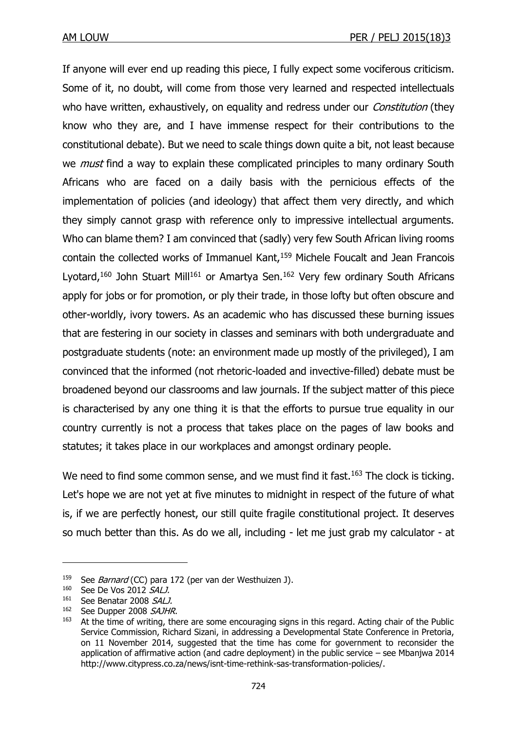If anyone will ever end up reading this piece, I fully expect some vociferous criticism. Some of it, no doubt, will come from those very learned and respected intellectuals who have written, exhaustively, on equality and redress under our *Constitution* (they know who they are, and I have immense respect for their contributions to the constitutional debate). But we need to scale things down quite a bit, not least because we *must* find a way to explain these complicated principles to many ordinary South Africans who are faced on a daily basis with the pernicious effects of the implementation of policies (and ideology) that affect them very directly, and which they simply cannot grasp with reference only to impressive intellectual arguments. Who can blame them? I am convinced that (sadly) very few South African living rooms contain the collected works of Immanuel Kant,<sup>159</sup> Michele Foucalt and Jean Francois Lyotard,<sup>160</sup> John Stuart Mill<sup>161</sup> or Amartya Sen.<sup>162</sup> Very few ordinary South Africans apply for jobs or for promotion, or ply their trade, in those lofty but often obscure and other-worldly, ivory towers. As an academic who has discussed these burning issues that are festering in our society in classes and seminars with both undergraduate and postgraduate students (note: an environment made up mostly of the privileged), I am convinced that the informed (not rhetoric-loaded and invective-filled) debate must be broadened beyond our classrooms and law journals. If the subject matter of this piece is characterised by any one thing it is that the efforts to pursue true equality in our country currently is not a process that takes place on the pages of law books and statutes; it takes place in our workplaces and amongst ordinary people.

We need to find some common sense, and we must find it fast.<sup>163</sup> The clock is ticking. Let's hope we are not yet at five minutes to midnight in respect of the future of what is, if we are perfectly honest, our still quite fragile constitutional project. It deserves so much better than this. As do we all, including - let me just grab my calculator - at

<sup>&</sup>lt;sup>159</sup> See Barnard (CC) para 172 (per van der Westhuizen J).

<sup>&</sup>lt;sup>160</sup> See De Vos 2012 SALJ.

<sup>&</sup>lt;sup>161</sup> See Benatar 2008 SALJ.

<sup>&</sup>lt;sup>162</sup> See Dupper 2008 SAJHR.

<sup>&</sup>lt;sup>163</sup> At the time of writing, there are some encouraging signs in this regard. Acting chair of the Public Service Commission, Richard Sizani, in addressing a Developmental State Conference in Pretoria, on 11 November 2014, suggested that the time has come for government to reconsider the application of affirmative action (and cadre deployment) in the public service – see Mbanjwa 2014 http://www.citypress.co.za/news/isnt-time-rethink-sas-transformation-policies/.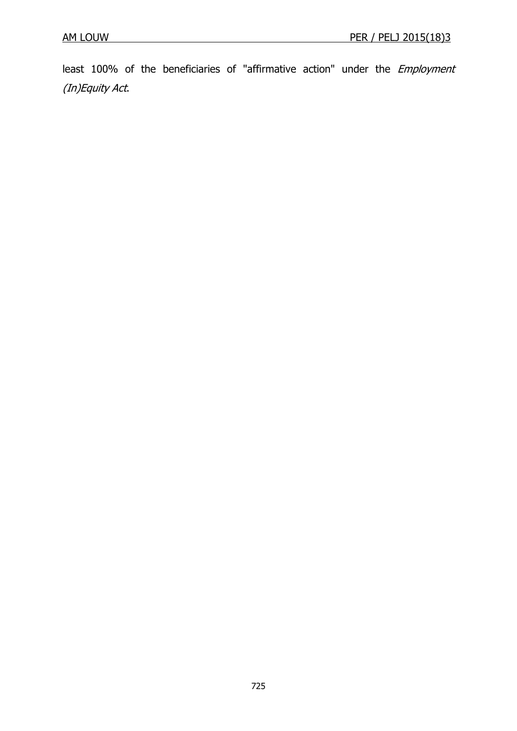least 100% of the beneficiaries of "affirmative action" under the *Employment* (In)Equity Act.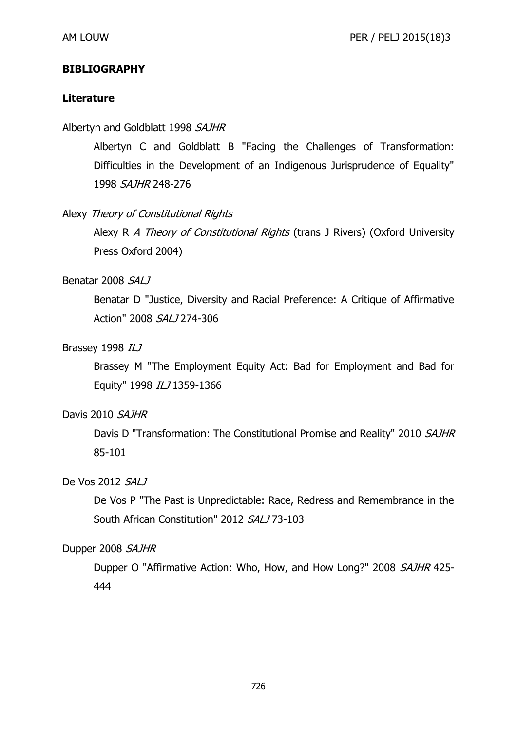## **BIBLIOGRAPHY**

## **Literature**

#### Albertyn and Goldblatt 1998 SAJHR

Albertyn C and Goldblatt B "Facing the Challenges of Transformation: Difficulties in the Development of an Indigenous Jurisprudence of Equality" 1998 SAJHR 248-276

## Alexy Theory of Constitutional Rights

Alexy R A Theory of Constitutional Rights (trans J Rivers) (Oxford University Press Oxford 2004)

## Benatar 2008 SALJ

Benatar D "Justice, Diversity and Racial Preference: A Critique of Affirmative Action" 2008 SALJ 274-306

## Brassey 1998 ILJ

Brassey M "The Employment Equity Act: Bad for Employment and Bad for Equity" 1998 ILJ 1359-1366

## Davis 2010 SAJHR

Davis D "Transformation: The Constitutional Promise and Reality" 2010 SAJHR 85-101

## De Vos 2012 SALJ

De Vos P "The Past is Unpredictable: Race, Redress and Remembrance in the South African Constitution" 2012 SALJ 73-103

## Dupper 2008 SAJHR

Dupper O "Affirmative Action: Who, How, and How Long?" 2008 SAJHR 425-444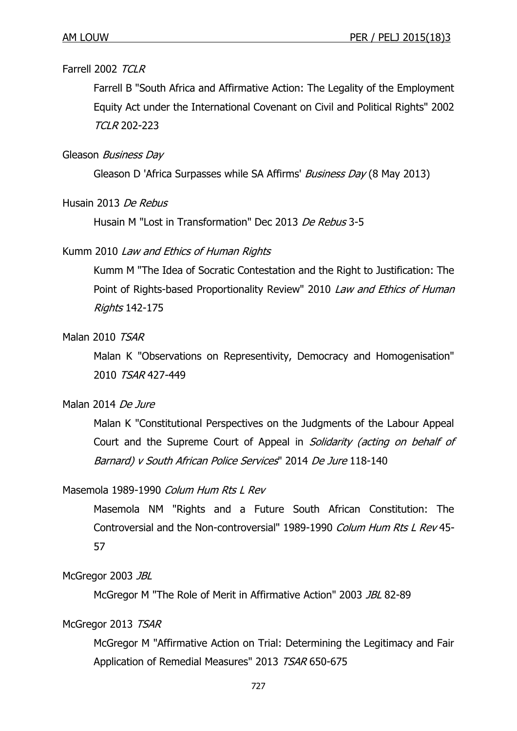## Farrell 2002 TCLR

Farrell B "South Africa and Affirmative Action: The Legality of the Employment Equity Act under the International Covenant on Civil and Political Rights" 2002 TCLR 202-223

#### Gleason Business Day

Gleason D 'Africa Surpasses while SA Affirms' *Business Day* (8 May 2013)

#### Husain 2013 De Rebus

Husain M "Lost in Transformation" Dec 2013 De Rebus 3-5

#### Kumm 2010 Law and Ethics of Human Rights

Kumm M "The Idea of Socratic Contestation and the Right to Justification: The Point of Rights-based Proportionality Review" 2010 Law and Ethics of Human Rights 142-175

## Malan 2010 TSAR

Malan K "Observations on Representivity, Democracy and Homogenisation" 2010 TSAR 427-449

## Malan 2014 De Jure

Malan K "Constitutional Perspectives on the Judgments of the Labour Appeal Court and the Supreme Court of Appeal in Solidarity (acting on behalf of Barnard) v South African Police Services" 2014 De Jure 118-140

## Masemola 1989-1990 Colum Hum Rts L Rev

Masemola NM "Rights and a Future South African Constitution: The Controversial and the Non-controversial" 1989-1990 Colum Hum Rts L Rev 45- 57

#### McGregor 2003 JBL

McGregor M "The Role of Merit in Affirmative Action" 2003 JBL 82-89

#### McGregor 2013 TSAR

McGregor M "Affirmative Action on Trial: Determining the Legitimacy and Fair Application of Remedial Measures" 2013 TSAR 650-675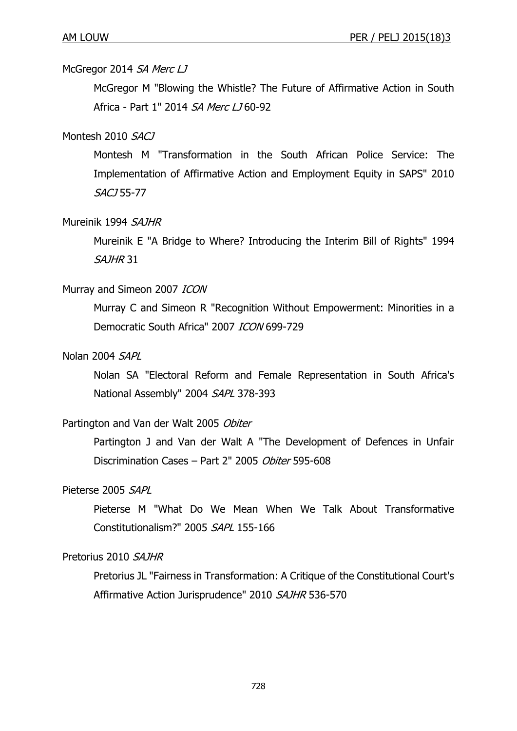## McGregor 2014 SA Merc LJ

McGregor M "Blowing the Whistle? The Future of Affirmative Action in South Africa - Part 1" 2014 SA Merc LJ 60-92

#### Montesh 2010 SACJ

Montesh M "Transformation in the South African Police Service: The Implementation of Affirmative Action and Employment Equity in SAPS" 2010 SACJ 55-77

#### Mureinik 1994 SAJHR

Mureinik E "A Bridge to Where? Introducing the Interim Bill of Rights" 1994 SAJHR 31

#### Murray and Simeon 2007 ICON

Murray C and Simeon R "Recognition Without Empowerment: Minorities in a Democratic South Africa" 2007 ICON 699-729

#### Nolan 2004 SAPL

Nolan SA "Electoral Reform and Female Representation in South Africa's National Assembly" 2004 SAPL 378-393

## Partington and Van der Walt 2005 Obiter

Partington J and Van der Walt A "The Development of Defences in Unfair Discrimination Cases – Part 2" 2005 Obiter 595-608

#### Pieterse 2005 SAPL

Pieterse M "What Do We Mean When We Talk About Transformative Constitutionalism?" 2005 SAPL 155-166

## Pretorius 2010 SAJHR

Pretorius JL "Fairness in Transformation: A Critique of the Constitutional Court's Affirmative Action Jurisprudence" 2010 SAJHR 536-570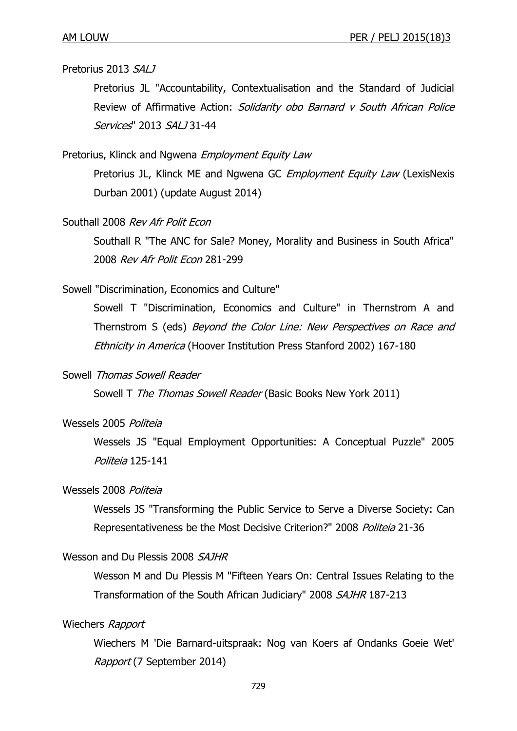## Pretorius 2013 SALJ

Pretorius JL "Accountability, Contextualisation and the Standard of Judicial Review of Affirmative Action: Solidarity obo Barnard v South African Police Services" 2013 SALJ 31-44

## Pretorius, Klinck and Ngwena Employment Equity Law

Pretorius JL, Klinck ME and Ngwena GC Employment Equity Law (LexisNexis Durban 2001) (update August 2014)

## Southall 2008 Rev Afr Polit Econ

Southall R "The ANC for Sale? Money, Morality and Business in South Africa" 2008 Rev Afr Polit Econ 281-299

## Sowell "Discrimination, Economics and Culture"

Sowell T "Discrimination, Economics and Culture" in Thernstrom A and Thernstrom S (eds) Beyond the Color Line: New Perspectives on Race and Ethnicity in America (Hoover Institution Press Stanford 2002) 167-180

## Sowell Thomas Sowell Reader

Sowell T The Thomas Sowell Reader (Basic Books New York 2011)

## Wessels 2005 Politeia

Wessels JS "Equal Employment Opportunities: A Conceptual Puzzle" 2005 Politeia 125-141

## Wessels 2008 Politeia

Wessels JS "Transforming the Public Service to Serve a Diverse Society: Can Representativeness be the Most Decisive Criterion?" 2008 Politeia 21-36

## Wesson and Du Plessis 2008 SAJHR

Wesson M and Du Plessis M "Fifteen Years On: Central Issues Relating to the Transformation of the South African Judiciary" 2008 SAJHR 187-213

## Wiechers Rapport

Wiechers M 'Die Barnard-uitspraak: Nog van Koers af Ondanks Goeie Wet' Rapport (7 September 2014)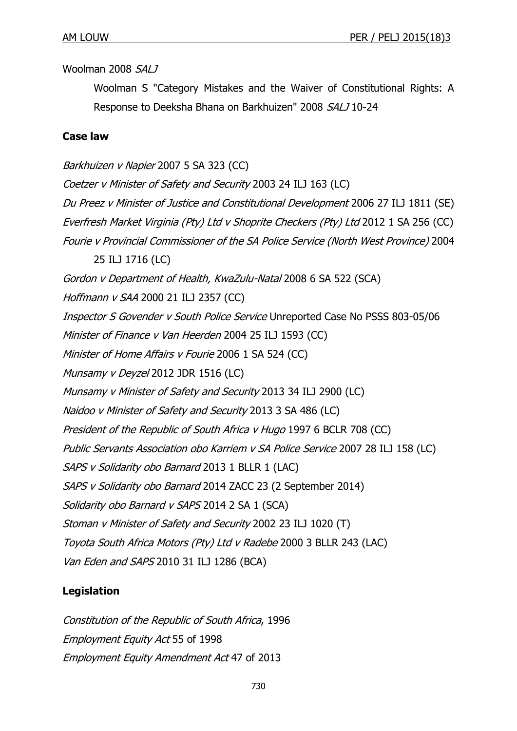## Woolman 2008 SALJ

Woolman S "Category Mistakes and the Waiver of Constitutional Rights: A Response to Deeksha Bhana on Barkhuizen" 2008 SALJ 10-24

## **Case law**

Barkhuizen v Napier 2007 5 SA 323 (CC) Coetzer v Minister of Safety and Security 2003 24 ILJ 163 (LC) Du Preez v Minister of Justice and Constitutional Development 2006 27 ILJ 1811 (SE) Everfresh Market Virginia (Pty) Ltd v Shoprite Checkers (Pty) Ltd 2012 1 SA 256 (CC) Fourie v Provincial Commissioner of the SA Police Service (North West Province) 2004 25 ILJ 1716 (LC) Gordon v Department of Health, KwaZulu-Natal 2008 6 SA 522 (SCA) Hoffmann v SAA 2000 21 ILJ 2357 (CC) Inspector S Govender v South Police Service Unreported Case No PSSS 803-05/06 Minister of Finance v Van Heerden 2004 25 ILJ 1593 (CC) Minister of Home Affairs v Fourie 2006 1 SA 524 (CC) Munsamy v Deyzel 2012 JDR 1516 (LC) Munsamy v Minister of Safety and Security 2013 34 ILJ 2900 (LC) Naidoo v Minister of Safety and Security 2013 3 SA 486 (LC) President of the Republic of South Africa v Hugo 1997 6 BCLR 708 (CC) Public Servants Association obo Karriem v SA Police Service 2007 28 ILJ 158 (LC) SAPS v Solidarity obo Barnard 2013 1 BLLR 1 (LAC) SAPS v Solidarity obo Barnard 2014 ZACC 23 (2 September 2014) Solidarity obo Barnard v SAPS 2014 2 SA 1 (SCA) Stoman v Minister of Safety and Security 2002 23 ILJ 1020 (T) Toyota South Africa Motors (Pty) Ltd v Radebe 2000 3 BLLR 243 (LAC) Van Eden and SAPS 2010 31 ILJ 1286 (BCA)

## **Legislation**

Constitution of the Republic of South Africa, 1996 Employment Equity Act 55 of 1998 Employment Equity Amendment Act 47 of 2013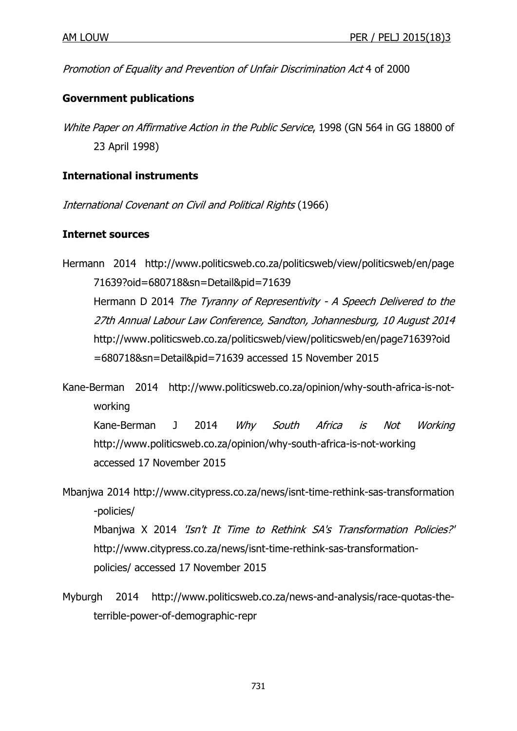Promotion of Equality and Prevention of Unfair Discrimination Act 4 of 2000

## **Government publications**

White Paper on Affirmative Action in the Public Service, 1998 (GN 564 in GG 18800 of 23 April 1998)

## **International instruments**

International Covenant on Civil and Political Rights (1966)

#### **Internet sources**

Hermann 2014 http://www.politicsweb.co.za/politicsweb/view/politicsweb/en/page 71639?oid=680718&sn=Detail&pid=71639 Hermann D 2014 The Tyranny of Representivity - A Speech Delivered to the 27th Annual Labour Law Conference, Sandton, Johannesburg, 10 August 2014 http://www.politicsweb.co.za/politicsweb/view/politicsweb/en/page71639?oid =680718&sn=Detail&pid=71639 accessed 15 November 2015

Kane-Berman 2014 http://www.politicsweb.co.za/opinion/why-south-africa-is-notworking Kane-Berman J 2014 *Why South Africa is Not Working* http://www.politicsweb.co.za/opinion/why-south-africa-is-not-working accessed 17 November 2015

Mbanjwa 2014 http://www.citypress.co.za/news/isnt-time-rethink-sas-transformation -policies/ Mbanjwa X 2014 'Isn't It Time to Rethink SA's Transformation Policies?' http://www.citypress.co.za/news/isnt-time-rethink-sas-transformationpolicies/ accessed 17 November 2015

Myburgh 2014 http://www.politicsweb.co.za/news-and-analysis/race-quotas-theterrible-power-of-demographic-repr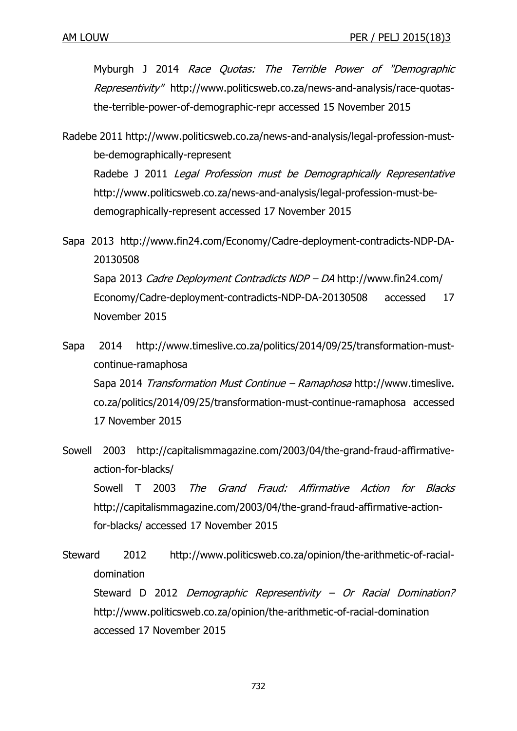Myburgh J 2014 Race Quotas: The Terrible Power of "Demographic Representivity" http://www.politicsweb.co.za/news-and-analysis/race-quotasthe-terrible-power-of-demographic-repr accessed 15 November 2015

Radebe 2011 http://www.politicsweb.co.za/news-and-analysis/legal-profession-mustbe-demographically-represent Radebe J 2011 Legal Profession must be Demographically Representative http://www.politicsweb.co.za/news-and-analysis/legal-profession-must-bedemographically-represent accessed 17 November 2015

Sapa 2013 http://www.fin24.com/Economy/Cadre-deployment-contradicts-NDP-DA-20130508 Sapa 2013 Cadre Deployment Contradicts NDP – DA http://www.fin24.com/ Economy/Cadre-deployment-contradicts-NDP-DA-20130508 accessed 17 November 2015

Sapa 2014 http://www.timeslive.co.za/politics/2014/09/25/transformation-mustcontinue-ramaphosa Sapa 2014 Transformation Must Continue – Ramaphosa http://www.timeslive. co.za/politics/2014/09/25/transformation-must-continue-ramaphosa accessed 17 November 2015

Sowell 2003 http://capitalismmagazine.com/2003/04/the-grand-fraud-affirmativeaction-for-blacks/ Sowell T 2003 The Grand Fraud: Affirmative Action for Blacks http://capitalismmagazine.com/2003/04/the-grand-fraud-affirmative-actionfor-blacks/ accessed 17 November 2015

Steward 2012 http://www.politicsweb.co.za/opinion/the-arithmetic-of-racialdomination Steward D 2012 Demographic Representivity - Or Racial Domination? http://www.politicsweb.co.za/opinion/the-arithmetic-of-racial-domination accessed 17 November 2015